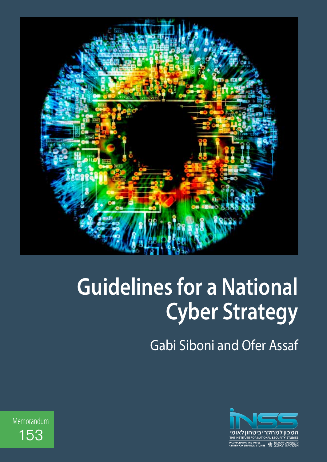

# **Guidelines for a National Cyber Strategy**

Gabi Siboni and Ofer Assaf



Memorandum 153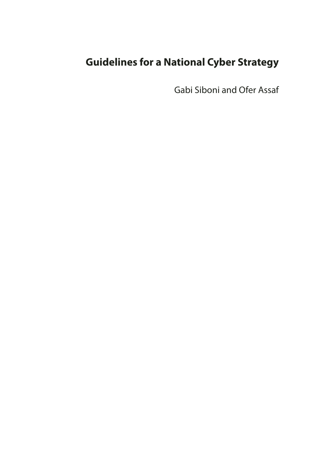## **Guidelines for a National Cyber Strategy**

Gabi Siboni and Ofer Assaf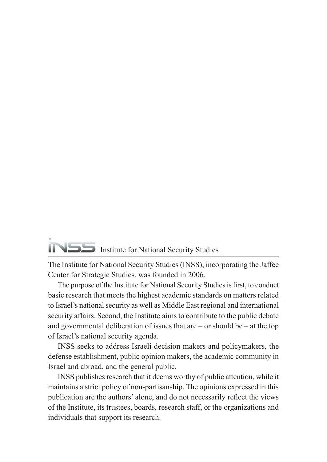## Institute for National Security Studies

The Institute for National Security Studies (INSS), incorporating the Jaffee Center for Strategic Studies, was founded in 2006.

The purpose of the Institute for National Security Studies is first, to conduct basic research that meets the highest academic standards on matters related to Israel's national security as well as Middle East regional and international security affairs. Second, the Institute aims to contribute to the public debate and governmental deliberation of issues that are  $-$  or should be  $-$  at the top of Israel's national security agenda.

INSS seeks to address Israeli decision makers and policymakers, the defense establishment, public opinion makers, the academic community in Israel and abroad, and the general public.

INSS publishes research that it deems worthy of public attention, while it maintains a strict policy of non-partisanship. The opinions expressed in this publication are the authors' alone, and do not necessarily reflect the views of the Institute, its trustees, boards, research staff, or the organizations and individuals that support its research.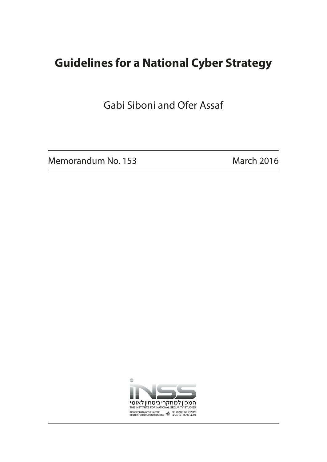## **Guidelines for a National Cyber Strategy**

Gabi Siboni and Ofer Assaf

Memorandum No. 153 March 2016

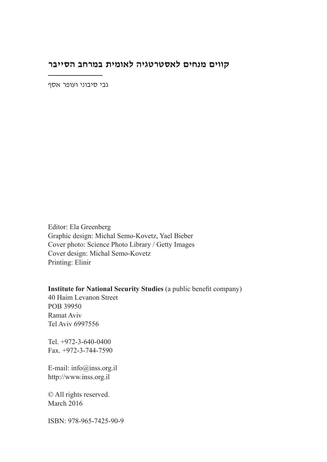#### **קווים מנחים לאסטרטגיה לאומית במרחב הסייבר**

גבי סיבוני ועופר אסף

Editor: Ela Greenberg Graphic design: Michal Semo-Kovetz, Yael Bieber Cover photo: Science Photo Library / Getty Images Cover design: Michal Semo-Kovetz Printing: Elinir

**Institute for National Security Studies** (a public benefit company) 40 Haim Levanon Street POB 39950 Ramat Aviv Tel Aviv 6997556

Tel. +972-3-640-0400 Fax. +972-3-744-7590

E-mail: info@inss.org.il http://www.inss.org.il

© All rights reserved. March 2016

ISBN: 978-965-7425-90-9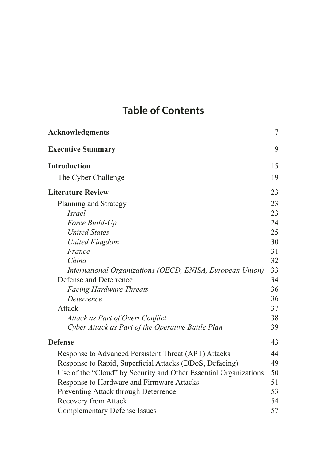## **Table of Contents**

| <b>Acknowledgments</b>                                           | $\overline{7}$ |
|------------------------------------------------------------------|----------------|
| <b>Executive Summary</b>                                         | 9              |
| <b>Introduction</b>                                              | 15             |
| The Cyber Challenge                                              | 19             |
| <b>Literature Review</b>                                         | 23             |
| Planning and Strategy                                            | 23             |
| <b>Israel</b>                                                    | 23             |
| Force Build-Up                                                   | 24             |
| <b>United States</b>                                             | 25             |
| <b>United Kingdom</b>                                            | 30             |
| France                                                           | 31             |
| China                                                            | 32             |
| International Organizations (OECD, ENISA, European Union)        | 33             |
| Defense and Deterrence                                           | 34             |
| <b>Facing Hardware Threats</b>                                   | 36             |
| Deterrence                                                       | 36             |
| Attack                                                           | 37             |
| Attack as Part of Overt Conflict                                 | 38             |
| Cyber Attack as Part of the Operative Battle Plan                | 39             |
| <b>Defense</b>                                                   | 43             |
| Response to Advanced Persistent Threat (APT) Attacks             | 44             |
| Response to Rapid, Superficial Attacks (DDoS, Defacing)          | 49             |
| Use of the "Cloud" by Security and Other Essential Organizations | 50             |
| Response to Hardware and Firmware Attacks                        | 51             |
| Preventing Attack through Deterrence                             | 53             |
| Recovery from Attack                                             | 54             |
| <b>Complementary Defense Issues</b>                              | 57             |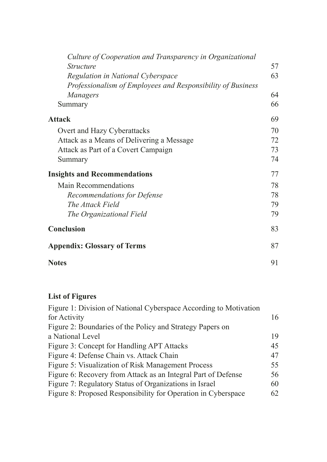| Culture of Cooperation and Transparency in Organizational   |    |
|-------------------------------------------------------------|----|
| <i>Structure</i>                                            | 57 |
| Regulation in National Cyberspace                           | 63 |
| Professionalism of Employees and Responsibility of Business |    |
| Managers                                                    | 64 |
| Summary                                                     | 66 |
| <b>Attack</b>                                               | 69 |
| Overt and Hazy Cyberattacks                                 | 70 |
| Attack as a Means of Delivering a Message                   | 72 |
| Attack as Part of a Covert Campaign                         | 73 |
| Summary                                                     | 74 |
| <b>Insights and Recommendations</b>                         | 77 |
| <b>Main Recommendations</b>                                 | 78 |
| <b>Recommendations for Defense</b>                          | 78 |
| The Attack Field                                            | 79 |
| The Organizational Field                                    | 79 |
| Conclusion                                                  | 83 |
| <b>Appendix: Glossary of Terms</b>                          | 87 |
| <b>Notes</b>                                                | 91 |

#### **List of Figures**

| 16 |
|----|
|    |
| 19 |
| 45 |
| 47 |
| 55 |
| 56 |
| 60 |
| 62 |
|    |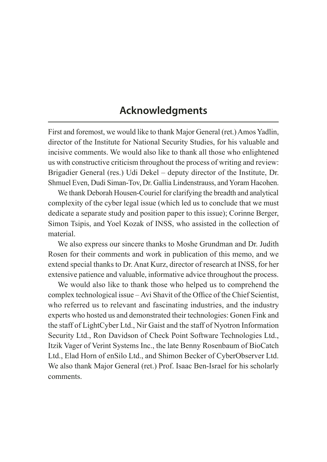#### **Acknowledgments**

First and foremost, we would like to thank Major General (ret.) Amos Yadlin, director of the Institute for National Security Studies, for his valuable and incisive comments. We would also like to thank all those who enlightened us with constructive criticism throughout the process of writing and review: Brigadier General (res.) Udi Dekel – deputy director of the Institute, Dr. Shmuel Even, Dudi Siman-Tov, Dr. Gallia Lindenstrauss, and Yoram Hacohen.

We thank Deborah Housen-Couriel for clarifying the breadth and analytical complexity of the cyber legal issue (which led us to conclude that we must dedicate a separate study and position paper to this issue); Corinne Berger, Simon Tsipis, and Yoel Kozak of INSS, who assisted in the collection of material.

We also express our sincere thanks to Moshe Grundman and Dr. Judith Rosen for their comments and work in publication of this memo, and we extend special thanks to Dr. Anat Kurz, director of research at INSS, for her extensive patience and valuable, informative advice throughout the process.

We would also like to thank those who helped us to comprehend the complex technological issue – Avi Shavit of the Office of the Chief Scientist, who referred us to relevant and fascinating industries, and the industry experts who hosted us and demonstrated their technologies: Gonen Fink and the staff of LightCyber Ltd., Nir Gaist and the staff of Nyotron Information Security Ltd., Ron Davidson of Check Point Software Technologies Ltd., Itzik Vager of Verint Systems Inc., the late Benny Rosenbaum of BioCatch Ltd., Elad Horn of enSilo Ltd., and Shimon Becker of CyberObserver Ltd. We also thank Major General (ret.) Prof. Isaac Ben-Israel for his scholarly comments.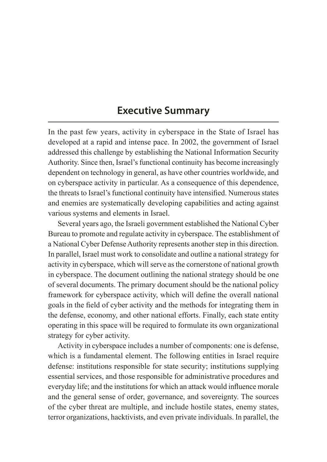#### **Executive Summary**

In the past few years, activity in cyberspace in the State of Israel has developed at a rapid and intense pace. In 2002, the government of Israel addressed this challenge by establishing the National Information Security Authority. Since then, Israel's functional continuity has become increasingly dependent on technology in general, as have other countries worldwide, and on cyberspace activity in particular. As a consequence of this dependence, the threats to Israel's functional continuity have intensified. Numerous states and enemies are systematically developing capabilities and acting against various systems and elements in Israel.

Several years ago, the Israeli government established the National Cyber Bureau to promote and regulate activity in cyberspace. The establishment of a National Cyber Defense Authority represents another step in this direction. In parallel, Israel must work to consolidate and outline a national strategy for activity in cyberspace, which will serve as the cornerstone of national growth in cyberspace. The document outlining the national strategy should be one of several documents. The primary document should be the national policy framework for cyberspace activity, which will define the overall national goals in the field of cyber activity and the methods for integrating them in the defense, economy, and other national efforts. Finally, each state entity operating in this space will be required to formulate its own organizational strategy for cyber activity.

Activity in cyberspace includes a number of components: one is defense, which is a fundamental element. The following entities in Israel require defense: institutions responsible for state security; institutions supplying essential services, and those responsible for administrative procedures and everyday life; and the institutions for which an attack would influence morale and the general sense of order, governance, and sovereignty. The sources of the cyber threat are multiple, and include hostile states, enemy states, terror organizations, hacktivists, and even private individuals. In parallel, the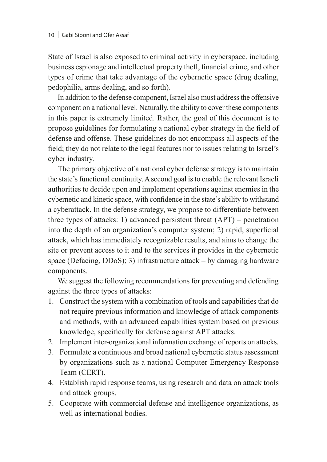State of Israel is also exposed to criminal activity in cyberspace, including business espionage and intellectual property theft, financial crime, and other types of crime that take advantage of the cybernetic space (drug dealing, pedophilia, arms dealing, and so forth).

In addition to the defense component, Israel also must address the offensive component on a national level. Naturally, the ability to cover these components in this paper is extremely limited. Rather, the goal of this document is to propose guidelines for formulating a national cyber strategy in the field of defense and offense. These guidelines do not encompass all aspects of the field; they do not relate to the legal features nor to issues relating to Israel's cyber industry.

The primary objective of a national cyber defense strategy is to maintain the state's functional continuity. A second goal is to enable the relevant Israeli authorities to decide upon and implement operations against enemies in the cybernetic and kinetic space, with confidence in the state's ability to withstand a cyberattack. In the defense strategy, we propose to differentiate between three types of attacks: 1) advanced persistent threat (APT) – penetration into the depth of an organization's computer system; 2) rapid, superficial attack, which has immediately recognizable results, and aims to change the site or prevent access to it and to the services it provides in the cybernetic space (Defacing, DDoS); 3) infrastructure attack – by damaging hardware components.

We suggest the following recommendations for preventing and defending against the three types of attacks:

- 1. Construct the system with a combination of tools and capabilities that do not require previous information and knowledge of attack components and methods, with an advanced capabilities system based on previous knowledge, specifically for defense against APT attacks.
- 2. Implement inter-organizational information exchange of reports on attacks.
- 3. Formulate a continuous and broad national cybernetic status assessment by organizations such as a national Computer Emergency Response Team (CERT).
- 4. Establish rapid response teams, using research and data on attack tools and attack groups.
- 5. Cooperate with commercial defense and intelligence organizations, as well as international bodies.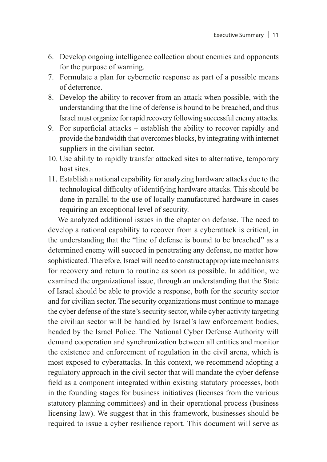- 6. Develop ongoing intelligence collection about enemies and opponents for the purpose of warning.
- 7. Formulate a plan for cybernetic response as part of a possible means of deterrence.
- 8. Develop the ability to recover from an attack when possible, with the understanding that the line of defense is bound to be breached, and thus Israel must organize for rapid recovery following successful enemy attacks.
- 9. For superficial attacks establish the ability to recover rapidly and provide the bandwidth that overcomes blocks, by integrating with internet suppliers in the civilian sector.
- 10. Use ability to rapidly transfer attacked sites to alternative, temporary host sites.
- 11. Establish a national capability for analyzing hardware attacks due to the technological difficulty of identifying hardware attacks. This should be done in parallel to the use of locally manufactured hardware in cases requiring an exceptional level of security.

We analyzed additional issues in the chapter on defense. The need to develop a national capability to recover from a cyberattack is critical, in the understanding that the "line of defense is bound to be breached" as a determined enemy will succeed in penetrating any defense, no matter how sophisticated. Therefore, Israel will need to construct appropriate mechanisms for recovery and return to routine as soon as possible. In addition, we examined the organizational issue, through an understanding that the State of Israel should be able to provide a response, both for the security sector and for civilian sector. The security organizations must continue to manage the cyber defense of the state's security sector, while cyber activity targeting the civilian sector will be handled by Israel's law enforcement bodies, headed by the Israel Police. The National Cyber Defense Authority will demand cooperation and synchronization between all entities and monitor the existence and enforcement of regulation in the civil arena, which is most exposed to cyberattacks. In this context, we recommend adopting a regulatory approach in the civil sector that will mandate the cyber defense field as a component integrated within existing statutory processes, both in the founding stages for business initiatives (licenses from the various statutory planning committees) and in their operational process (business licensing law). We suggest that in this framework, businesses should be required to issue a cyber resilience report. This document will serve as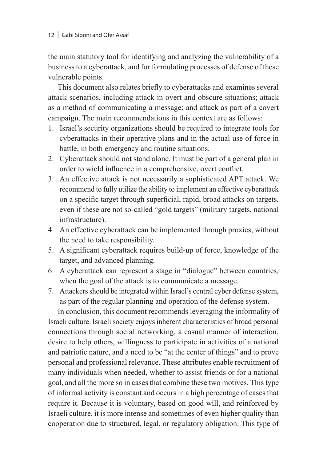the main statutory tool for identifying and analyzing the vulnerability of a business to a cyberattack, and for formulating processes of defense of these vulnerable points.

This document also relates briefly to cyberattacks and examines several attack scenarios, including attack in overt and obscure situations; attack as a method of communicating a message; and attack as part of a covert campaign. The main recommendations in this context are as follows:

- 1. Israel's security organizations should be required to integrate tools for cyberattacks in their operative plans and in the actual use of force in battle, in both emergency and routine situations.
- 2. Cyberattack should not stand alone. It must be part of a general plan in order to wield influence in a comprehensive, overt conflict.
- 3. An effective attack is not necessarily a sophisticated APT attack. We recommend to fully utilize the ability to implement an effective cyberattack on a specific target through superficial, rapid, broad attacks on targets, even if these are not so-called "gold targets" (military targets, national infrastructure).
- 4. An effective cyberattack can be implemented through proxies, without the need to take responsibility.
- 5. A significant cyberattack requires build-up of force, knowledge of the target, and advanced planning.
- 6. A cyberattack can represent a stage in "dialogue" between countries, when the goal of the attack is to communicate a message.
- 7. Attackers should be integrated within Israel's central cyber defense system, as part of the regular planning and operation of the defense system.

In conclusion, this document recommends leveraging the informality of Israeli culture. Israeli society enjoys inherent characteristics of broad personal connections through social networking, a casual manner of interaction, desire to help others, willingness to participate in activities of a national and patriotic nature, and a need to be "at the center of things" and to prove personal and professional relevance. These attributes enable recruitment of many individuals when needed, whether to assist friends or for a national goal, and all the more so in cases that combine these two motives. This type of informal activity is constant and occurs in a high percentage of cases that require it. Because it is voluntary, based on good will, and reinforced by Israeli culture, it is more intense and sometimes of even higher quality than cooperation due to structured, legal, or regulatory obligation. This type of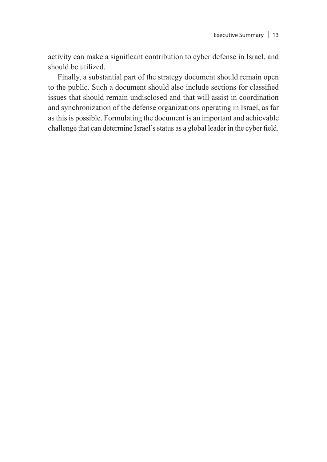activity can make a significant contribution to cyber defense in Israel, and should be utilized.

Finally, a substantial part of the strategy document should remain open to the public. Such a document should also include sections for classified issues that should remain undisclosed and that will assist in coordination and synchronization of the defense organizations operating in Israel, as far as this is possible. Formulating the document is an important and achievable challenge that can determine Israel's status as a global leader in the cyber field.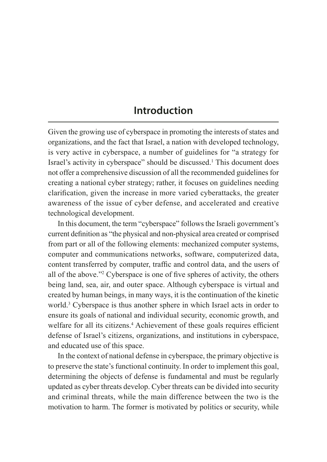#### **Introduction**

Given the growing use of cyberspace in promoting the interests of states and organizations, and the fact that Israel, a nation with developed technology, is very active in cyberspace, a number of guidelines for "a strategy for Israel's activity in cyberspace" should be discussed.<sup>1</sup> This document does not offer a comprehensive discussion of all the recommended guidelines for creating a national cyber strategy; rather, it focuses on guidelines needing clarification, given the increase in more varied cyberattacks, the greater awareness of the issue of cyber defense, and accelerated and creative technological development.

In this document, the term "cyberspace" follows the Israeli government's current definition as "the physical and non-physical area created or comprised from part or all of the following elements: mechanized computer systems, computer and communications networks, software, computerized data, content transferred by computer, traffic and control data, and the users of all of the above."2 Cyberspace is one of five spheres of activity, the others being land, sea, air, and outer space. Although cyberspace is virtual and created by human beings, in many ways, it is the continuation of the kinetic world.3 Cyberspace is thus another sphere in which Israel acts in order to ensure its goals of national and individual security, economic growth, and welfare for all its citizens.<sup>4</sup> Achievement of these goals requires efficient defense of Israel's citizens, organizations, and institutions in cyberspace, and educated use of this space.

In the context of national defense in cyberspace, the primary objective is to preserve the state's functional continuity. In order to implement this goal, determining the objects of defense is fundamental and must be regularly updated as cyber threats develop. Cyber threats can be divided into security and criminal threats, while the main difference between the two is the motivation to harm. The former is motivated by politics or security, while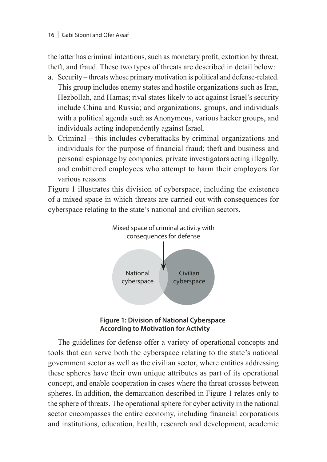the latter has criminal intentions, such as monetary profit, extortion by threat, theft, and fraud. These two types of threats are described in detail below:

- a. Security threats whose primary motivation is political and defense-related. This group includes enemy states and hostile organizations such as Iran, Hezbollah, and Hamas; rival states likely to act against Israel's security include China and Russia; and organizations, groups, and individuals with a political agenda such as Anonymous, various hacker groups, and individuals acting independently against Israel.
- b. Criminal this includes cyberattacks by criminal organizations and individuals for the purpose of financial fraud; theft and business and personal espionage by companies, private investigators acting illegally, and embittered employees who attempt to harm their employers for various reasons.

Figure 1 illustrates this division of cyberspace, including the existence of a mixed space in which threats are carried out with consequences for cyberspace relating to the state's national and civilian sectors.





The guidelines for defense offer a variety of operational concepts and tools that can serve both the cyberspace relating to the state's national government sector as well as the civilian sector, where entities addressing these spheres have their own unique attributes as part of its operational concept, and enable cooperation in cases where the threat crosses between spheres. In addition, the demarcation described in Figure 1 relates only to the sphere of threats. The operational sphere for cyber activity in the national sector encompasses the entire economy, including financial corporations and institutions, education, health, research and development, academic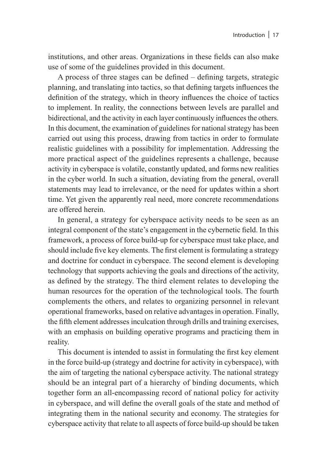institutions, and other areas. Organizations in these fields can also make use of some of the guidelines provided in this document.

A process of three stages can be defined – defining targets, strategic planning, and translating into tactics, so that defining targets influences the definition of the strategy, which in theory influences the choice of tactics to implement. In reality, the connections between levels are parallel and bidirectional, and the activity in each layer continuously influences the others. In this document, the examination of guidelines for national strategy has been carried out using this process, drawing from tactics in order to formulate realistic guidelines with a possibility for implementation. Addressing the more practical aspect of the guidelines represents a challenge, because activity in cyberspace is volatile, constantly updated, and forms new realities in the cyber world. In such a situation, deviating from the general, overall statements may lead to irrelevance, or the need for updates within a short time. Yet given the apparently real need, more concrete recommendations are offered herein.

In general, a strategy for cyberspace activity needs to be seen as an integral component of the state's engagement in the cybernetic field. In this framework, a process of force build-up for cyberspace must take place, and should include five key elements. The first element is formulating a strategy and doctrine for conduct in cyberspace. The second element is developing technology that supports achieving the goals and directions of the activity, as defined by the strategy. The third element relates to developing the human resources for the operation of the technological tools. The fourth complements the others, and relates to organizing personnel in relevant operational frameworks, based on relative advantages in operation. Finally, the fifth element addresses inculcation through drills and training exercises, with an emphasis on building operative programs and practicing them in reality.

This document is intended to assist in formulating the first key element in the force build-up (strategy and doctrine for activity in cyberspace), with the aim of targeting the national cyberspace activity. The national strategy should be an integral part of a hierarchy of binding documents, which together form an all-encompassing record of national policy for activity in cyberspace, and will define the overall goals of the state and method of integrating them in the national security and economy. The strategies for cyberspace activity that relate to all aspects of force build-up should be taken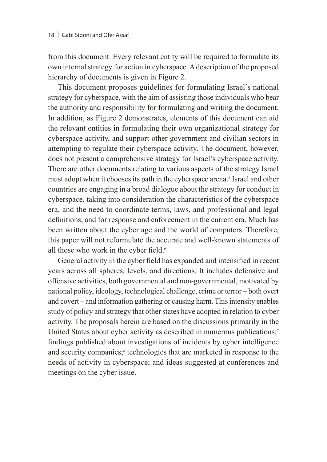from this document. Every relevant entity will be required to formulate its own internal strategy for action in cyberspace. A description of the proposed hierarchy of documents is given in Figure 2.

This document proposes guidelines for formulating Israel's national strategy for cyberspace, with the aim of assisting those individuals who bear the authority and responsibility for formulating and writing the document. In addition, as Figure 2 demonstrates, elements of this document can aid the relevant entities in formulating their own organizational strategy for cyberspace activity, and support other government and civilian sectors in attempting to regulate their cyberspace activity. The document, however, does not present a comprehensive strategy for Israel's cyberspace activity. There are other documents relating to various aspects of the strategy Israel must adopt when it chooses its path in the cyberspace arena.<sup>5</sup> Israel and other countries are engaging in a broad dialogue about the strategy for conduct in cyberspace, taking into consideration the characteristics of the cyberspace era, and the need to coordinate terms, laws, and professional and legal definitions, and for response and enforcement in the current era. Much has been written about the cyber age and the world of computers. Therefore, this paper will not reformulate the accurate and well-known statements of all those who work in the cyber field.<sup>6</sup>

General activity in the cyber field has expanded and intensified in recent years across all spheres, levels, and directions. It includes defensive and offensive activities, both governmental and non-governmental, motivated by national policy, ideology, technological challenge, crime or terror – both overt and covert – and information gathering or causing harm. This intensity enables study of policy and strategy that other states have adopted in relation to cyber activity. The proposals herein are based on the discussions primarily in the United States about cyber activity as described in numerous publications;<sup>7</sup> findings published about investigations of incidents by cyber intelligence and security companies;<sup>8</sup> technologies that are marketed in response to the needs of activity in cyberspace; and ideas suggested at conferences and meetings on the cyber issue.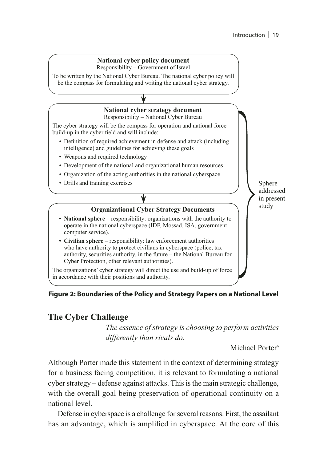#### **National cyber policy document**

Responsibility – Government of Israel

To be written by the National Cyber Bureau. The national cyber policy will be the compass for formulating and writing the national cyber strategy.

#### **National cyber strategy document**

Responsibility – National Cyber Bureau

The cyber strategy will be the compass for operation and national force build-up in the cyber field and will include:

- Definition of required achievement in defense and attack (including intelligence) and guidelines for achieving these goals
- Weapons and required technology
- Development of the national and organizational human resources
- Organization of the acting authorities in the national cyberspace
- Drills and training exercises

Sphere addressed in present study

#### **Organizational Cyber Strategy Documents**

- **• National sphere** responsibility: organizations with the authority to operate in the national cyberspace (IDF, Mossad, ISA, government computer service).
- **• Civilian sphere**  responsibility: law enforcement authorities who have authority to protect civilians in cyberspace (police, tax authority, securities authority, in the future – the National Bureau for Cyber Protection, other relevant authorities).

The organizations' cyber strategy will direct the use and build-up of force in accordance with their positions and authority.

#### **Figure 2: Boundaries of the Policy and Strategy Papers on a National Level**

#### **The Cyber Challenge**

*The essence of strategy is choosing to perform activities differently than rivals do.*

Michael Porter<sup>9</sup>

Although Porter made this statement in the context of determining strategy for a business facing competition, it is relevant to formulating a national cyber strategy – defense against attacks. This is the main strategic challenge, with the overall goal being preservation of operational continuity on a national level.

Defense in cyberspace is a challenge for several reasons. First, the assailant has an advantage, which is amplified in cyberspace. At the core of this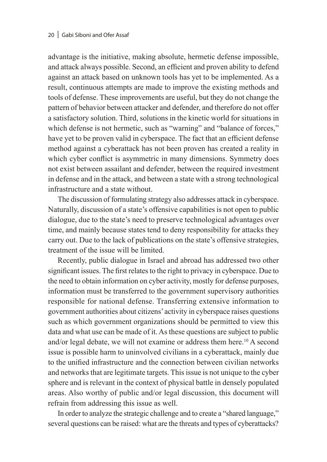advantage is the initiative, making absolute, hermetic defense impossible, and attack always possible. Second, an efficient and proven ability to defend against an attack based on unknown tools has yet to be implemented. As a result, continuous attempts are made to improve the existing methods and tools of defense. These improvements are useful, but they do not change the pattern of behavior between attacker and defender, and therefore do not offer a satisfactory solution. Third, solutions in the kinetic world for situations in which defense is not hermetic, such as "warning" and "balance of forces," have yet to be proven valid in cyberspace. The fact that an efficient defense method against a cyberattack has not been proven has created a reality in which cyber conflict is asymmetric in many dimensions. Symmetry does not exist between assailant and defender, between the required investment in defense and in the attack, and between a state with a strong technological infrastructure and a state without.

The discussion of formulating strategy also addresses attack in cyberspace. Naturally, discussion of a state's offensive capabilities is not open to public dialogue, due to the state's need to preserve technological advantages over time, and mainly because states tend to deny responsibility for attacks they carry out. Due to the lack of publications on the state's offensive strategies, treatment of the issue will be limited.

Recently, public dialogue in Israel and abroad has addressed two other significant issues. The first relates to the right to privacy in cyberspace. Due to the need to obtain information on cyber activity, mostly for defense purposes, information must be transferred to the government supervisory authorities responsible for national defense. Transferring extensive information to government authorities about citizens' activity in cyberspace raises questions such as which government organizations should be permitted to view this data and what use can be made of it. As these questions are subject to public and/or legal debate, we will not examine or address them here.<sup>10</sup> A second issue is possible harm to uninvolved civilians in a cyberattack, mainly due to the unified infrastructure and the connection between civilian networks and networks that are legitimate targets. This issue is not unique to the cyber sphere and is relevant in the context of physical battle in densely populated areas. Also worthy of public and/or legal discussion, this document will refrain from addressing this issue as well.

In order to analyze the strategic challenge and to create a "shared language," several questions can be raised: what are the threats and types of cyberattacks?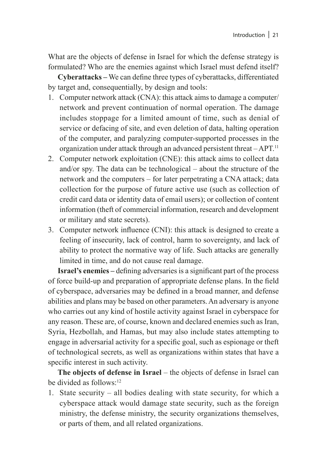What are the objects of defense in Israel for which the defense strategy is formulated? Who are the enemies against which Israel must defend itself?

**Cyberattacks –** We can define three types of cyberattacks, differentiated by target and, consequentially, by design and tools:

- 1. Computer network attack (CNA): this attack aims to damage a computer/ network and prevent continuation of normal operation. The damage includes stoppage for a limited amount of time, such as denial of service or defacing of site, and even deletion of data, halting operation of the computer, and paralyzing computer-supported processes in the organization under attack through an advanced persistent threat – APT.11
- 2. Computer network exploitation (CNE): this attack aims to collect data and/or spy. The data can be technological – about the structure of the network and the computers – for later perpetrating a CNA attack; data collection for the purpose of future active use (such as collection of credit card data or identity data of email users); or collection of content information (theft of commercial information, research and development or military and state secrets).
- 3. Computer network influence (CNI): this attack is designed to create a feeling of insecurity, lack of control, harm to sovereignty, and lack of ability to protect the normative way of life. Such attacks are generally limited in time, and do not cause real damage.

**Israel's enemies –** defining adversaries is a significant part of the process of force build-up and preparation of appropriate defense plans. In the field of cyberspace, adversaries may be defined in a broad manner, and defense abilities and plans may be based on other parameters. An adversary is anyone who carries out any kind of hostile activity against Israel in cyberspace for any reason. These are, of course, known and declared enemies such as Iran, Syria, Hezbollah, and Hamas, but may also include states attempting to engage in adversarial activity for a specific goal, such as espionage or theft of technological secrets, as well as organizations within states that have a specific interest in such activity.

**The objects of defense in Israel** – the objects of defense in Israel can be divided as follows<sup>-12</sup>

1. State security – all bodies dealing with state security, for which a cyberspace attack would damage state security, such as the foreign ministry, the defense ministry, the security organizations themselves, or parts of them, and all related organizations.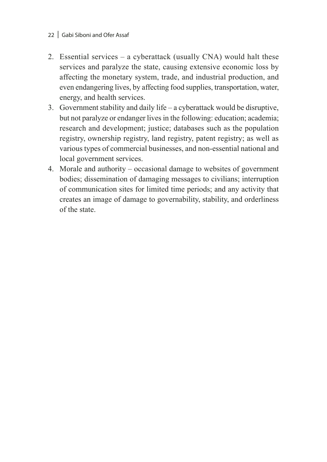- 22 | Gabi Siboni and Ofer Assaf
- 2. Essential services a cyberattack (usually CNA) would halt these services and paralyze the state, causing extensive economic loss by affecting the monetary system, trade, and industrial production, and even endangering lives, by affecting food supplies, transportation, water, energy, and health services.
- 3. Government stability and daily life a cyberattack would be disruptive, but not paralyze or endanger lives in the following: education; academia; research and development; justice; databases such as the population registry, ownership registry, land registry, patent registry; as well as various types of commercial businesses, and non-essential national and local government services.
- 4. Morale and authority occasional damage to websites of government bodies; dissemination of damaging messages to civilians; interruption of communication sites for limited time periods; and any activity that creates an image of damage to governability, stability, and orderliness of the state.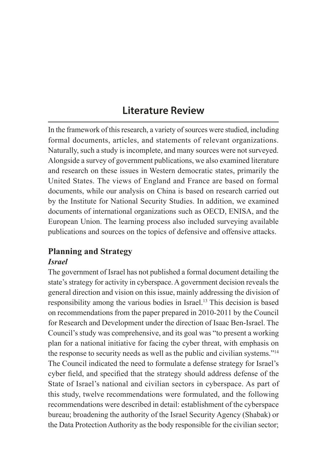### **Literature Review**

In the framework of this research, a variety of sources were studied, including formal documents, articles, and statements of relevant organizations. Naturally, such a study is incomplete, and many sources were not surveyed. Alongside a survey of government publications, we also examined literature and research on these issues in Western democratic states, primarily the United States. The views of England and France are based on formal documents, while our analysis on China is based on research carried out by the Institute for National Security Studies. In addition, we examined documents of international organizations such as OECD, ENISA, and the European Union. The learning process also included surveying available publications and sources on the topics of defensive and offensive attacks.

## **Planning and Strategy**

#### *Israel*

The government of Israel has not published a formal document detailing the state's strategy for activity in cyberspace. A government decision reveals the general direction and vision on this issue, mainly addressing the division of responsibility among the various bodies in Israel.13 This decision is based on recommendations from the paper prepared in 2010-2011 by the Council for Research and Development under the direction of Isaac Ben-Israel. The Council's study was comprehensive, and its goal was "to present a working plan for a national initiative for facing the cyber threat, with emphasis on the response to security needs as well as the public and civilian systems."14 The Council indicated the need to formulate a defense strategy for Israel's cyber field, and specified that the strategy should address defense of the State of Israel's national and civilian sectors in cyberspace. As part of this study, twelve recommendations were formulated, and the following recommendations were described in detail: establishment of the cyberspace bureau; broadening the authority of the Israel Security Agency (Shabak) or the Data Protection Authority as the body responsible for the civilian sector;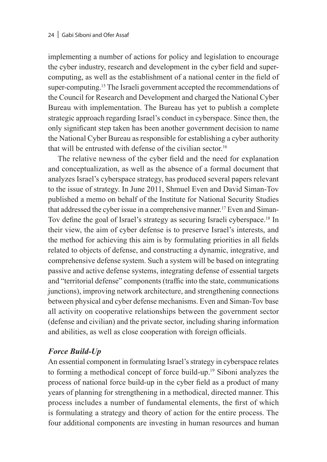implementing a number of actions for policy and legislation to encourage the cyber industry, research and development in the cyber field and supercomputing, as well as the establishment of a national center in the field of super-computing.<sup>15</sup> The Israeli government accepted the recommendations of the Council for Research and Development and charged the National Cyber Bureau with implementation. The Bureau has yet to publish a complete strategic approach regarding Israel's conduct in cyberspace. Since then, the only significant step taken has been another government decision to name the National Cyber Bureau as responsible for establishing a cyber authority that will be entrusted with defense of the civilian sector.<sup>16</sup>

The relative newness of the cyber field and the need for explanation and conceptualization, as well as the absence of a formal document that analyzes Israel's cyberspace strategy, has produced several papers relevant to the issue of strategy. In June 2011, Shmuel Even and David Siman-Tov published a memo on behalf of the Institute for National Security Studies that addressed the cyber issue in a comprehensive manner.<sup>17</sup> Even and Siman-Tov define the goal of Israel's strategy as securing Israeli cyberspace.18 In their view, the aim of cyber defense is to preserve Israel's interests, and the method for achieving this aim is by formulating priorities in all fields related to objects of defense, and constructing a dynamic, integrative, and comprehensive defense system. Such a system will be based on integrating passive and active defense systems, integrating defense of essential targets and "territorial defense" components (traffic into the state, communications junctions), improving network architecture, and strengthening connections between physical and cyber defense mechanisms. Even and Siman-Tov base all activity on cooperative relationships between the government sector (defense and civilian) and the private sector, including sharing information and abilities, as well as close cooperation with foreign officials.

#### *Force Build-Up*

An essential component in formulating Israel's strategy in cyberspace relates to forming a methodical concept of force build-up.19 Siboni analyzes the process of national force build-up in the cyber field as a product of many years of planning for strengthening in a methodical, directed manner. This process includes a number of fundamental elements, the first of which is formulating a strategy and theory of action for the entire process. The four additional components are investing in human resources and human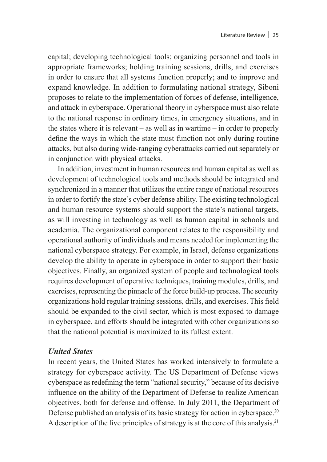capital; developing technological tools; organizing personnel and tools in appropriate frameworks; holding training sessions, drills, and exercises in order to ensure that all systems function properly; and to improve and expand knowledge. In addition to formulating national strategy, Siboni proposes to relate to the implementation of forces of defense, intelligence, and attack in cyberspace. Operational theory in cyberspace must also relate to the national response in ordinary times, in emergency situations, and in the states where it is relevant – as well as in wartime – in order to properly define the ways in which the state must function not only during routine attacks, but also during wide-ranging cyberattacks carried out separately or in conjunction with physical attacks.

In addition, investment in human resources and human capital as well as development of technological tools and methods should be integrated and synchronized in a manner that utilizes the entire range of national resources in order to fortify the state's cyber defense ability. The existing technological and human resource systems should support the state's national targets, as will investing in technology as well as human capital in schools and academia. The organizational component relates to the responsibility and operational authority of individuals and means needed for implementing the national cyberspace strategy. For example, in Israel, defense organizations develop the ability to operate in cyberspace in order to support their basic objectives. Finally, an organized system of people and technological tools requires development of operative techniques, training modules, drills, and exercises, representing the pinnacle of the force build-up process. The security organizations hold regular training sessions, drills, and exercises. This field should be expanded to the civil sector, which is most exposed to damage in cyberspace, and efforts should be integrated with other organizations so that the national potential is maximized to its fullest extent.

#### *United States*

In recent years, the United States has worked intensively to formulate a strategy for cyberspace activity. The US Department of Defense views cyberspace as redefining the term "national security," because of its decisive influence on the ability of the Department of Defense to realize American objectives, both for defense and offense. In July 2011, the Department of Defense published an analysis of its basic strategy for action in cyberspace.<sup>20</sup> A description of the five principles of strategy is at the core of this analysis.21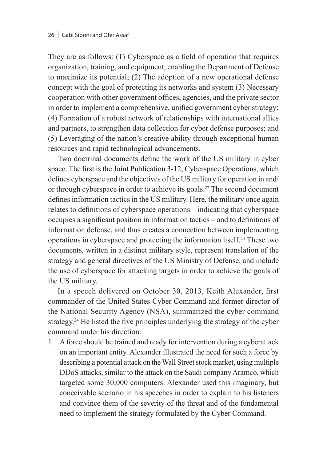They are as follows: (1) Cyberspace as a field of operation that requires organization, training, and equipment, enabling the Department of Defense to maximize its potential; (2) The adoption of a new operational defense concept with the goal of protecting its networks and system (3) Necessary cooperation with other government offices, agencies, and the private sector in order to implement a comprehensive, unified government cyber strategy; (4) Formation of a robust network of relationships with international allies and partners, to strengthen data collection for cyber defense purposes; and (5) Leveraging of the nation's creative ability through exceptional human resources and rapid technological advancements.

Two doctrinal documents define the work of the US military in cyber space. The first is the Joint Publication 3-12, Cyberspace Operations, which defines cyberspace and the objectives of the US military for operation in and/ or through cyberspace in order to achieve its goals.<sup>22</sup> The second document defines information tactics in the US military. Here, the military once again relates to definitions of cyberspace operations – indicating that cyberspace occupies a significant position in information tactics – and to definitions of information defense, and thus creates a connection between implementing operations in cyberspace and protecting the information itself.23 These two documents, written in a distinct military style, represent translation of the strategy and general directives of the US Ministry of Defense, and include the use of cyberspace for attacking targets in order to achieve the goals of the US military.

In a speech delivered on October 30, 2013, Keith Alexander, first commander of the United States Cyber Command and former director of the National Security Agency (NSA), summarized the cyber command strategy.24 He listed the five principles underlying the strategy of the cyber command under his direction:

1. A force should be trained and ready for intervention during a cyberattack on an important entity. Alexander illustrated the need for such a force by describing a potential attack on the Wall Street stock market, using multiple DDoS attacks, similar to the attack on the Saudi company Aramco, which targeted some 30,000 computers. Alexander used this imaginary, but conceivable scenario in his speeches in order to explain to his listeners and convince them of the severity of the threat and of the fundamental need to implement the strategy formulated by the Cyber Command.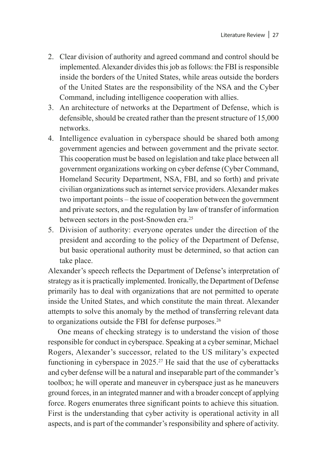- 2. Clear division of authority and agreed command and control should be implemented. Alexander divides this job as follows: the FBI is responsible inside the borders of the United States, while areas outside the borders of the United States are the responsibility of the NSA and the Cyber Command, including intelligence cooperation with allies.
- 3. An architecture of networks at the Department of Defense, which is defensible, should be created rather than the present structure of 15,000 networks.
- 4. Intelligence evaluation in cyberspace should be shared both among government agencies and between government and the private sector. This cooperation must be based on legislation and take place between all government organizations working on cyber defense (Cyber Command, Homeland Security Department, NSA, FBI, and so forth) and private civilian organizations such as internet service providers. Alexander makes two important points – the issue of cooperation between the government and private sectors, and the regulation by law of transfer of information between sectors in the post-Snowden era.<sup>25</sup>
- 5. Division of authority: everyone operates under the direction of the president and according to the policy of the Department of Defense, but basic operational authority must be determined, so that action can take place.

Alexander's speech reflects the Department of Defense's interpretation of strategy as it is practically implemented. Ironically, the Department of Defense primarily has to deal with organizations that are not permitted to operate inside the United States, and which constitute the main threat. Alexander attempts to solve this anomaly by the method of transferring relevant data to organizations outside the FBI for defense purposes.<sup>26</sup>

One means of checking strategy is to understand the vision of those responsible for conduct in cyberspace. Speaking at a cyber seminar, Michael Rogers, Alexander's successor, related to the US military's expected functioning in cyberspace in  $2025$ .<sup>27</sup> He said that the use of cyberattacks and cyber defense will be a natural and inseparable part of the commander's toolbox; he will operate and maneuver in cyberspace just as he maneuvers ground forces, in an integrated manner and with a broader concept of applying force. Rogers enumerates three significant points to achieve this situation. First is the understanding that cyber activity is operational activity in all aspects, and is part of the commander's responsibility and sphere of activity.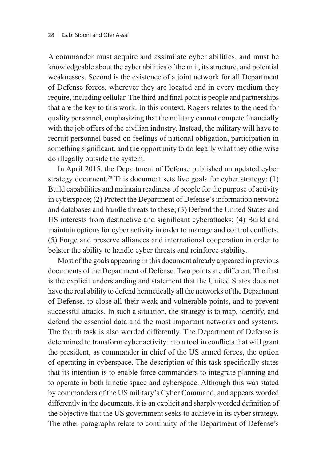A commander must acquire and assimilate cyber abilities, and must be knowledgeable about the cyber abilities of the unit, its structure, and potential weaknesses. Second is the existence of a joint network for all Department of Defense forces, wherever they are located and in every medium they require, including cellular. The third and final point is people and partnerships that are the key to this work. In this context, Rogers relates to the need for quality personnel, emphasizing that the military cannot compete financially with the job offers of the civilian industry. Instead, the military will have to recruit personnel based on feelings of national obligation, participation in something significant, and the opportunity to do legally what they otherwise do illegally outside the system.

In April 2015, the Department of Defense published an updated cyber strategy document.<sup>28</sup> This document sets five goals for cyber strategy: (1) Build capabilities and maintain readiness of people for the purpose of activity in cyberspace; (2) Protect the Department of Defense's information network and databases and handle threats to these; (3) Defend the United States and US interests from destructive and significant cyberattacks; (4) Build and maintain options for cyber activity in order to manage and control conflicts; (5) Forge and preserve alliances and international cooperation in order to bolster the ability to handle cyber threats and reinforce stability.

Most of the goals appearing in this document already appeared in previous documents of the Department of Defense. Two points are different. The first is the explicit understanding and statement that the United States does not have the real ability to defend hermetically all the networks of the Department of Defense, to close all their weak and vulnerable points, and to prevent successful attacks. In such a situation, the strategy is to map, identify, and defend the essential data and the most important networks and systems. The fourth task is also worded differently. The Department of Defense is determined to transform cyber activity into a tool in conflicts that will grant the president, as commander in chief of the US armed forces, the option of operating in cyberspace. The description of this task specifically states that its intention is to enable force commanders to integrate planning and to operate in both kinetic space and cyberspace. Although this was stated by commanders of the US military's Cyber Command, and appears worded differently in the documents, it is an explicit and sharply worded definition of the objective that the US government seeks to achieve in its cyber strategy. The other paragraphs relate to continuity of the Department of Defense's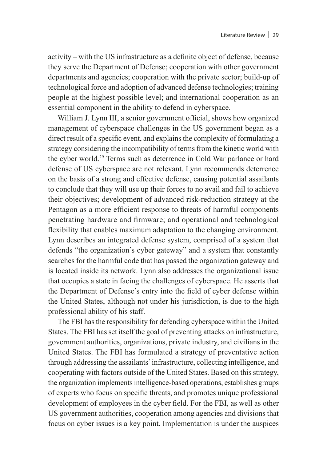activity – with the US infrastructure as a definite object of defense, because they serve the Department of Defense; cooperation with other government departments and agencies; cooperation with the private sector; build-up of technological force and adoption of advanced defense technologies; training people at the highest possible level; and international cooperation as an essential component in the ability to defend in cyberspace.

William J. Lynn III, a senior government official, shows how organized management of cyberspace challenges in the US government began as a direct result of a specific event, and explains the complexity of formulating a strategy considering the incompatibility of terms from the kinetic world with the cyber world.29 Terms such as deterrence in Cold War parlance or hard defense of US cyberspace are not relevant. Lynn recommends deterrence on the basis of a strong and effective defense, causing potential assailants to conclude that they will use up their forces to no avail and fail to achieve their objectives; development of advanced risk-reduction strategy at the Pentagon as a more efficient response to threats of harmful components penetrating hardware and firmware; and operational and technological flexibility that enables maximum adaptation to the changing environment. Lynn describes an integrated defense system, comprised of a system that defends "the organization's cyber gateway" and a system that constantly searches for the harmful code that has passed the organization gateway and is located inside its network. Lynn also addresses the organizational issue that occupies a state in facing the challenges of cyberspace. He asserts that the Department of Defense's entry into the field of cyber defense within the United States, although not under his jurisdiction, is due to the high professional ability of his staff.

The FBI has the responsibility for defending cyberspace within the United States. The FBI has set itself the goal of preventing attacks on infrastructure, government authorities, organizations, private industry, and civilians in the United States. The FBI has formulated a strategy of preventative action through addressing the assailants' infrastructure, collecting intelligence, and cooperating with factors outside of the United States. Based on this strategy, the organization implements intelligence-based operations, establishes groups of experts who focus on specific threats, and promotes unique professional development of employees in the cyber field. For the FBI, as well as other US government authorities, cooperation among agencies and divisions that focus on cyber issues is a key point. Implementation is under the auspices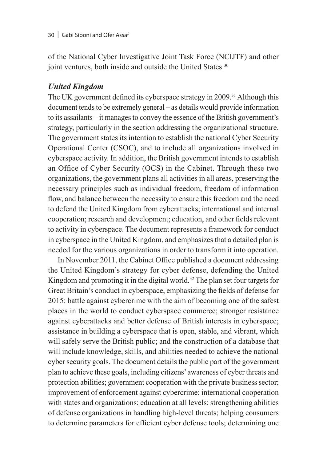of the National Cyber Investigative Joint Task Force (NCIJTF) and other joint ventures, both inside and outside the United States.<sup>30</sup>

#### *United Kingdom*

The UK government defined its cyberspace strategy in 2009.<sup>31</sup> Although this document tends to be extremely general – as details would provide information to its assailants – it manages to convey the essence of the British government's strategy, particularly in the section addressing the organizational structure. The government states its intention to establish the national Cyber Security Operational Center (CSOC), and to include all organizations involved in cyberspace activity. In addition, the British government intends to establish an Office of Cyber Security (OCS) in the Cabinet. Through these two organizations, the government plans all activities in all areas, preserving the necessary principles such as individual freedom, freedom of information flow, and balance between the necessity to ensure this freedom and the need to defend the United Kingdom from cyberattacks; international and internal cooperation; research and development; education, and other fields relevant to activity in cyberspace. The document represents a framework for conduct in cyberspace in the United Kingdom, and emphasizes that a detailed plan is needed for the various organizations in order to transform it into operation.

In November 2011, the Cabinet Office published a document addressing the United Kingdom's strategy for cyber defense, defending the United Kingdom and promoting it in the digital world.<sup>32</sup> The plan set four targets for Great Britain's conduct in cyberspace, emphasizing the fields of defense for 2015: battle against cybercrime with the aim of becoming one of the safest places in the world to conduct cyberspace commerce; stronger resistance against cyberattacks and better defense of British interests in cyberspace; assistance in building a cyberspace that is open, stable, and vibrant, which will safely serve the British public; and the construction of a database that will include knowledge, skills, and abilities needed to achieve the national cyber security goals. The document details the public part of the government plan to achieve these goals, including citizens' awareness of cyber threats and protection abilities; government cooperation with the private business sector; improvement of enforcement against cybercrime; international cooperation with states and organizations; education at all levels; strengthening abilities of defense organizations in handling high-level threats; helping consumers to determine parameters for efficient cyber defense tools; determining one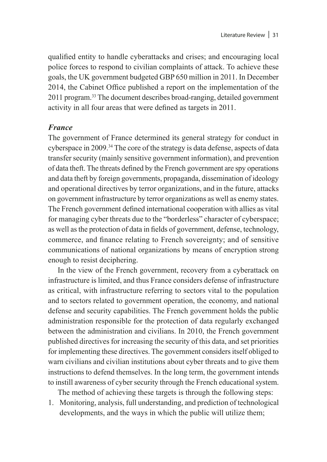qualified entity to handle cyberattacks and crises; and encouraging local police forces to respond to civilian complaints of attack. To achieve these goals, the UK government budgeted GBP 650 million in 2011. In December 2014, the Cabinet Office published a report on the implementation of the 2011 program.33 The document describes broad-ranging, detailed government activity in all four areas that were defined as targets in 2011.

#### *France*

The government of France determined its general strategy for conduct in cyberspace in 2009.<sup>34</sup> The core of the strategy is data defense, aspects of data transfer security (mainly sensitive government information), and prevention of data theft. The threats defined by the French government are spy operations and data theft by foreign governments, propaganda, dissemination of ideology and operational directives by terror organizations, and in the future, attacks on government infrastructure by terror organizations as well as enemy states. The French government defined international cooperation with allies as vital for managing cyber threats due to the "borderless" character of cyberspace; as well as the protection of data in fields of government, defense, technology, commerce, and finance relating to French sovereignty; and of sensitive communications of national organizations by means of encryption strong enough to resist deciphering.

In the view of the French government, recovery from a cyberattack on infrastructure is limited, and thus France considers defense of infrastructure as critical, with infrastructure referring to sectors vital to the population and to sectors related to government operation, the economy, and national defense and security capabilities. The French government holds the public administration responsible for the protection of data regularly exchanged between the administration and civilians. In 2010, the French government published directives for increasing the security of this data, and set priorities for implementing these directives. The government considers itself obliged to warn civilians and civilian institutions about cyber threats and to give them instructions to defend themselves. In the long term, the government intends to instill awareness of cyber security through the French educational system.

The method of achieving these targets is through the following steps:

1. Monitoring, analysis, full understanding, and prediction of technological developments, and the ways in which the public will utilize them;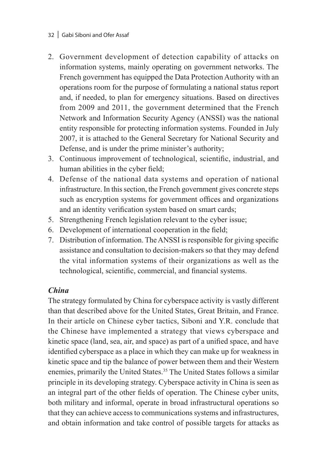#### 32 | Gabi Siboni and Ofer Assaf

- 2. Government development of detection capability of attacks on information systems, mainly operating on government networks. The French government has equipped the Data Protection Authority with an operations room for the purpose of formulating a national status report and, if needed, to plan for emergency situations. Based on directives from 2009 and 2011, the government determined that the French Network and Information Security Agency (ANSSI) was the national entity responsible for protecting information systems. Founded in July 2007, it is attached to the General Secretary for National Security and Defense, and is under the prime minister's authority;
- 3. Continuous improvement of technological, scientific, industrial, and human abilities in the cyber field;
- 4. Defense of the national data systems and operation of national infrastructure. In this section, the French government gives concrete steps such as encryption systems for government offices and organizations and an identity verification system based on smart cards;
- 5. Strengthening French legislation relevant to the cyber issue;
- 6. Development of international cooperation in the field;
- 7. Distribution of information. The ANSSI is responsible for giving specific assistance and consultation to decision-makers so that they may defend the vital information systems of their organizations as well as the technological, scientific, commercial, and financial systems.

#### *China*

The strategy formulated by China for cyberspace activity is vastly different than that described above for the United States, Great Britain, and France. In their article on Chinese cyber tactics, Siboni and Y.R. conclude that the Chinese have implemented a strategy that views cyberspace and kinetic space (land, sea, air, and space) as part of a unified space, and have identified cyberspace as a place in which they can make up for weakness in kinetic space and tip the balance of power between them and their Western enemies, primarily the United States.<sup>35</sup> The United States follows a similar principle in its developing strategy. Cyberspace activity in China is seen as an integral part of the other fields of operation. The Chinese cyber units, both military and informal, operate in broad infrastructural operations so that they can achieve access to communications systems and infrastructures, and obtain information and take control of possible targets for attacks as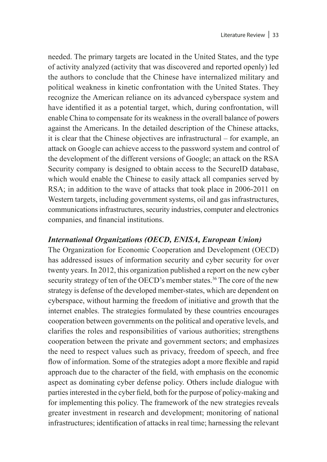needed. The primary targets are located in the United States, and the type of activity analyzed (activity that was discovered and reported openly) led the authors to conclude that the Chinese have internalized military and political weakness in kinetic confrontation with the United States. They recognize the American reliance on its advanced cyberspace system and have identified it as a potential target, which, during confrontation, will enable China to compensate for its weakness in the overall balance of powers against the Americans. In the detailed description of the Chinese attacks, it is clear that the Chinese objectives are infrastructural – for example, an attack on Google can achieve access to the password system and control of the development of the different versions of Google; an attack on the RSA Security company is designed to obtain access to the SecureID database, which would enable the Chinese to easily attack all companies served by RSA; in addition to the wave of attacks that took place in 2006-2011 on Western targets, including government systems, oil and gas infrastructures, communications infrastructures, security industries, computer and electronics companies, and financial institutions.

#### *International Organizations (OECD, ENISA, European Union)*

The Organization for Economic Cooperation and Development (OECD) has addressed issues of information security and cyber security for over twenty years. In 2012, this organization published a report on the new cyber security strategy of ten of the OECD's member states.<sup>36</sup> The core of the new strategy is defense of the developed member-states, which are dependent on cyberspace, without harming the freedom of initiative and growth that the internet enables. The strategies formulated by these countries encourages cooperation between governments on the political and operative levels, and clarifies the roles and responsibilities of various authorities; strengthens cooperation between the private and government sectors; and emphasizes the need to respect values such as privacy, freedom of speech, and free flow of information. Some of the strategies adopt a more flexible and rapid approach due to the character of the field, with emphasis on the economic aspect as dominating cyber defense policy. Others include dialogue with parties interested in the cyber field, both for the purpose of policy-making and for implementing this policy. The framework of the new strategies reveals greater investment in research and development; monitoring of national infrastructures; identification of attacks in real time; harnessing the relevant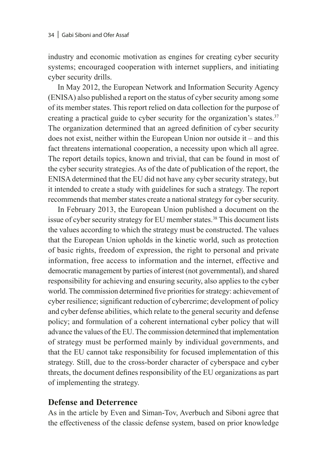industry and economic motivation as engines for creating cyber security systems; encouraged cooperation with internet suppliers, and initiating cyber security drills.

In May 2012, the European Network and Information Security Agency (ENISA) also published a report on the status of cyber security among some of its member states. This report relied on data collection for the purpose of creating a practical guide to cyber security for the organization's states.<sup>37</sup> The organization determined that an agreed definition of cyber security does not exist, neither within the European Union nor outside it – and this fact threatens international cooperation, a necessity upon which all agree. The report details topics, known and trivial, that can be found in most of the cyber security strategies. As of the date of publication of the report, the ENISA determined that the EU did not have any cyber security strategy, but it intended to create a study with guidelines for such a strategy. The report recommends that member states create a national strategy for cyber security.

In February 2013, the European Union published a document on the issue of cyber security strategy for EU member states.<sup>38</sup> This document lists the values according to which the strategy must be constructed. The values that the European Union upholds in the kinetic world, such as protection of basic rights, freedom of expression, the right to personal and private information, free access to information and the internet, effective and democratic management by parties of interest (not governmental), and shared responsibility for achieving and ensuring security, also applies to the cyber world. The commission determined five priorities for strategy: achievement of cyber resilience; significant reduction of cybercrime; development of policy and cyber defense abilities, which relate to the general security and defense policy; and formulation of a coherent international cyber policy that will advance the values of the EU. The commission determined that implementation of strategy must be performed mainly by individual governments, and that the EU cannot take responsibility for focused implementation of this strategy. Still, due to the cross-border character of cyberspace and cyber threats, the document defines responsibility of the EU organizations as part of implementing the strategy.

#### **Defense and Deterrence**

As in the article by Even and Siman-Tov, Averbuch and Siboni agree that the effectiveness of the classic defense system, based on prior knowledge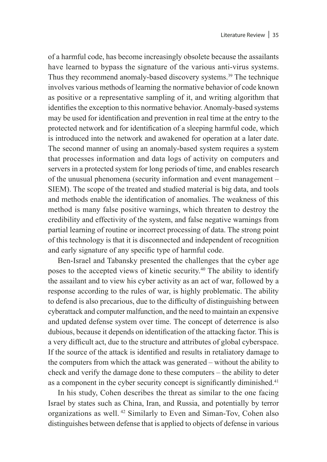of a harmful code, has become increasingly obsolete because the assailants have learned to bypass the signature of the various anti-virus systems. Thus they recommend anomaly-based discovery systems.<sup>39</sup> The technique involves various methods of learning the normative behavior of code known as positive or a representative sampling of it, and writing algorithm that identifies the exception to this normative behavior. Anomaly-based systems may be used for identification and prevention in real time at the entry to the protected network and for identification of a sleeping harmful code, which is introduced into the network and awakened for operation at a later date. The second manner of using an anomaly-based system requires a system that processes information and data logs of activity on computers and servers in a protected system for long periods of time, and enables research of the unusual phenomena (security information and event management – SIEM). The scope of the treated and studied material is big data, and tools and methods enable the identification of anomalies. The weakness of this method is many false positive warnings, which threaten to destroy the credibility and effectivity of the system, and false negative warnings from partial learning of routine or incorrect processing of data. The strong point of this technology is that it is disconnected and independent of recognition and early signature of any specific type of harmful code.

Ben-Israel and Tabansky presented the challenges that the cyber age poses to the accepted views of kinetic security.40 The ability to identify the assailant and to view his cyber activity as an act of war, followed by a response according to the rules of war, is highly problematic. The ability to defend is also precarious, due to the difficulty of distinguishing between cyberattack and computer malfunction, and the need to maintain an expensive and updated defense system over time. The concept of deterrence is also dubious, because it depends on identification of the attacking factor. This is a very difficult act, due to the structure and attributes of global cyberspace. If the source of the attack is identified and results in retaliatory damage to the computers from which the attack was generated – without the ability to check and verify the damage done to these computers – the ability to deter as a component in the cyber security concept is significantly diminished.<sup>41</sup>

In his study, Cohen describes the threat as similar to the one facing Israel by states such as China, Iran, and Russia, and potentially by terror organizations as well. 42 Similarly to Even and Siman-Tov, Cohen also distinguishes between defense that is applied to objects of defense in various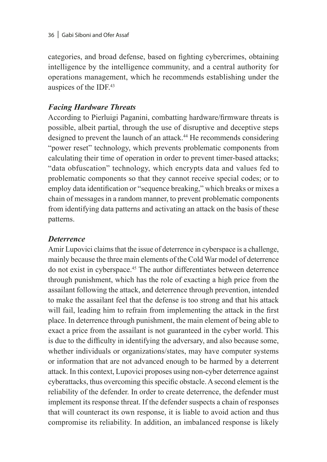categories, and broad defense, based on fighting cybercrimes, obtaining intelligence by the intelligence community, and a central authority for operations management, which he recommends establishing under the auspices of the IDF.43

# *Facing Hardware Threats*

According to Pierluigi Paganini, combatting hardware/firmware threats is possible, albeit partial, through the use of disruptive and deceptive steps designed to prevent the launch of an attack.<sup>44</sup> He recommends considering "power reset" technology, which prevents problematic components from calculating their time of operation in order to prevent timer-based attacks; "data obfuscation" technology, which encrypts data and values fed to problematic components so that they cannot receive special codes; or to employ data identification or "sequence breaking," which breaks or mixes a chain of messages in a random manner, to prevent problematic components from identifying data patterns and activating an attack on the basis of these patterns.

# *Deterrence*

Amir Lupovici claims that the issue of deterrence in cyberspace is a challenge, mainly because the three main elements of the Cold War model of deterrence do not exist in cyberspace.45 The author differentiates between deterrence through punishment, which has the role of exacting a high price from the assailant following the attack, and deterrence through prevention, intended to make the assailant feel that the defense is too strong and that his attack will fail, leading him to refrain from implementing the attack in the first place. In deterrence through punishment, the main element of being able to exact a price from the assailant is not guaranteed in the cyber world. This is due to the difficulty in identifying the adversary, and also because some, whether individuals or organizations/states, may have computer systems or information that are not advanced enough to be harmed by a deterrent attack. In this context, Lupovici proposes using non-cyber deterrence against cyberattacks, thus overcoming this specific obstacle. A second element is the reliability of the defender. In order to create deterrence, the defender must implement its response threat. If the defender suspects a chain of responses that will counteract its own response, it is liable to avoid action and thus compromise its reliability. In addition, an imbalanced response is likely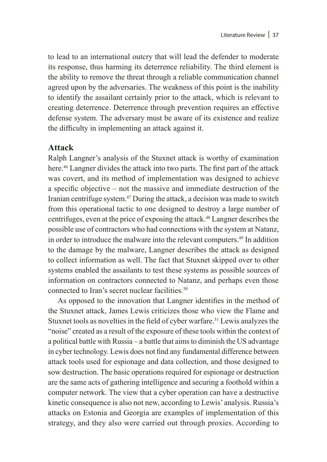to lead to an international outcry that will lead the defender to moderate its response, thus harming its deterrence reliability. The third element is the ability to remove the threat through a reliable communication channel agreed upon by the adversaries. The weakness of this point is the inability to identify the assailant certainly prior to the attack, which is relevant to creating deterrence. Deterrence through prevention requires an effective defense system. The adversary must be aware of its existence and realize the difficulty in implementing an attack against it.

## **Attack**

Ralph Langner's analysis of the Stuxnet attack is worthy of examination here.<sup>46</sup> Langner divides the attack into two parts. The first part of the attack was covert, and its method of implementation was designed to achieve a specific objective – not the massive and immediate destruction of the Iranian centrifuge system.47 During the attack, a decision was made to switch from this operational tactic to one designed to destroy a large number of centrifuges, even at the price of exposing the attack.48 Langner describes the possible use of contractors who had connections with the system at Natanz, in order to introduce the malware into the relevant computers.49 In addition to the damage by the malware, Langner describes the attack as designed to collect information as well. The fact that Stuxnet skipped over to other systems enabled the assailants to test these systems as possible sources of information on contractors connected to Natanz, and perhaps even those connected to Iran's secret nuclear facilities.<sup>50</sup>

As opposed to the innovation that Langner identifies in the method of the Stuxnet attack, James Lewis criticizes those who view the Flame and Stuxnet tools as novelties in the field of cyber warfare.<sup>51</sup> Lewis analyzes the "noise" created as a result of the exposure of these tools within the context of a political battle with Russia – a battle that aims to diminish the US advantage in cyber technology. Lewis does not find any fundamental difference between attack tools used for espionage and data collection, and those designed to sow destruction. The basic operations required for espionage or destruction are the same acts of gathering intelligence and securing a foothold within a computer network. The view that a cyber operation can have a destructive kinetic consequence is also not new, according to Lewis' analysis. Russia's attacks on Estonia and Georgia are examples of implementation of this strategy, and they also were carried out through proxies. According to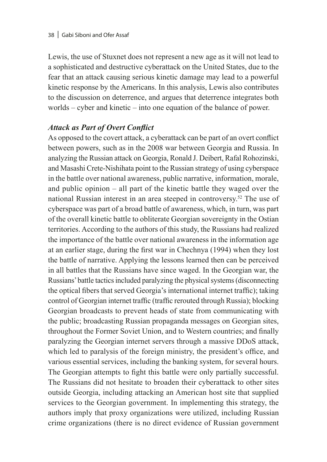Lewis, the use of Stuxnet does not represent a new age as it will not lead to a sophisticated and destructive cyberattack on the United States, due to the fear that an attack causing serious kinetic damage may lead to a powerful kinetic response by the Americans. In this analysis, Lewis also contributes to the discussion on deterrence, and argues that deterrence integrates both worlds – cyber and kinetic – into one equation of the balance of power.

# *Attack as Part of Overt Conflict*

As opposed to the covert attack, a cyberattack can be part of an overt conflict between powers, such as in the 2008 war between Georgia and Russia. In analyzing the Russian attack on Georgia, Ronald J. Deibert, Rafal Rohozinski, and Masashi Crete-Nishihata point to the Russian strategy of using cyberspace in the battle over national awareness, public narrative, information, morale, and public opinion – all part of the kinetic battle they waged over the national Russian interest in an area steeped in controversy.52 The use of cyberspace was part of a broad battle of awareness, which, in turn, was part of the overall kinetic battle to obliterate Georgian sovereignty in the Ostian territories. According to the authors of this study, the Russians had realized the importance of the battle over national awareness in the information age at an earlier stage, during the first war in Chechnya (1994) when they lost the battle of narrative. Applying the lessons learned then can be perceived in all battles that the Russians have since waged. In the Georgian war, the Russians' battle tactics included paralyzing the physical systems (disconnecting the optical fibers that served Georgia's international internet traffic); taking control of Georgian internet traffic (traffic rerouted through Russia); blocking Georgian broadcasts to prevent heads of state from communicating with the public; broadcasting Russian propaganda messages on Georgian sites, throughout the Former Soviet Union, and to Western countries; and finally paralyzing the Georgian internet servers through a massive DDoS attack, which led to paralysis of the foreign ministry, the president's office, and various essential services, including the banking system, for several hours. The Georgian attempts to fight this battle were only partially successful. The Russians did not hesitate to broaden their cyberattack to other sites outside Georgia, including attacking an American host site that supplied services to the Georgian government. In implementing this strategy, the authors imply that proxy organizations were utilized, including Russian crime organizations (there is no direct evidence of Russian government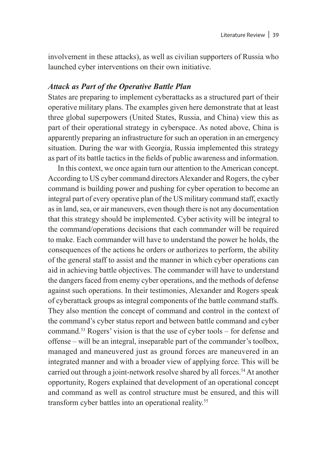involvement in these attacks), as well as civilian supporters of Russia who launched cyber interventions on their own initiative.

#### *Attack as Part of the Operative Battle Plan*

States are preparing to implement cyberattacks as a structured part of their operative military plans. The examples given here demonstrate that at least three global superpowers (United States, Russia, and China) view this as part of their operational strategy in cyberspace. As noted above, China is apparently preparing an infrastructure for such an operation in an emergency situation. During the war with Georgia, Russia implemented this strategy as part of its battle tactics in the fields of public awareness and information.

In this context, we once again turn our attention to the American concept. According to US cyber command directors Alexander and Rogers, the cyber command is building power and pushing for cyber operation to become an integral part of every operative plan of the US military command staff, exactly as in land, sea, or air maneuvers, even though there is not any documentation that this strategy should be implemented. Cyber activity will be integral to the command/operations decisions that each commander will be required to make. Each commander will have to understand the power he holds, the consequences of the actions he orders or authorizes to perform, the ability of the general staff to assist and the manner in which cyber operations can aid in achieving battle objectives. The commander will have to understand the dangers faced from enemy cyber operations, and the methods of defense against such operations. In their testimonies, Alexander and Rogers speak of cyberattack groups as integral components of the battle command staffs. They also mention the concept of command and control in the context of the command's cyber status report and between battle command and cyber command.53 Rogers' vision is that the use of cyber tools – for defense and offense – will be an integral, inseparable part of the commander's toolbox, managed and maneuvered just as ground forces are maneuvered in an integrated manner and with a broader view of applying force. This will be carried out through a joint-network resolve shared by all forces.<sup>54</sup> At another opportunity, Rogers explained that development of an operational concept and command as well as control structure must be ensured, and this will transform cyber battles into an operational reality.<sup>55</sup>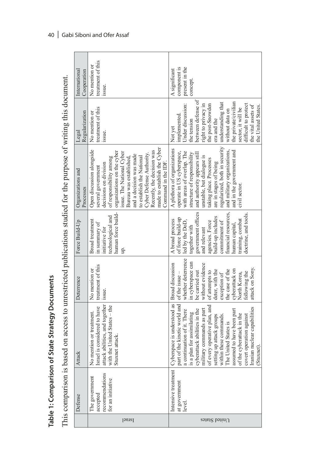| State Strategy Documents<br><b>Table 1: Comparison of</b> | This comparison is based on access to unrestricted publications studied for the purpose of writing this document. | Deterrence<br>Attack<br>Defense | No mention or<br>issue.<br>attack abilities, and together<br>with the United States - the<br>Israel is considered to have<br>No mention or treatment.<br>Stuxnet attack.<br>recommendations<br>The government<br>for an initiative<br>accepted<br>Israel                                                                                                         | attack on Sony.<br>cyberattack on<br>the case of the<br>deter, with the<br>be carried out<br>of attempts to<br>following the<br>of the issue -<br>North Korea,<br>exception of<br>Cyberspace is understood as<br>part of the kinetic world and<br>of every operative plan, and<br>Iranian nuclear capabilities<br>military commands as part<br>cyberattack abilities in the<br>assumed to have been part<br>a continuation of it. There<br>plan for assimilating<br>of the cyberattack in the<br>covert operation against<br>within these commands.<br>setting up attack groups<br>The United States is<br>(Stuxnet)<br>is a<br>Intensive treatment<br>at government<br>level<br>$\Omega$ Differs States |
|-----------------------------------------------------------|-------------------------------------------------------------------------------------------------------------------|---------------------------------|------------------------------------------------------------------------------------------------------------------------------------------------------------------------------------------------------------------------------------------------------------------------------------------------------------------------------------------------------------------|----------------------------------------------------------------------------------------------------------------------------------------------------------------------------------------------------------------------------------------------------------------------------------------------------------------------------------------------------------------------------------------------------------------------------------------------------------------------------------------------------------------------------------------------------------------------------------------------------------------------------------------------------------------------------------------------------------|
|                                                           |                                                                                                                   |                                 | treatment of this                                                                                                                                                                                                                                                                                                                                                | whether deterrence<br>in cyberspace can<br>without evidence<br><b>Broad</b> discussion                                                                                                                                                                                                                                                                                                                                                                                                                                                                                                                                                                                                                   |
|                                                           |                                                                                                                   | Force Build-Up                  | human force build-<br>technological and<br>Broad treatment<br>in summary of<br>initiative for<br>ųp.                                                                                                                                                                                                                                                             | government offices<br>financial resources,<br>doctrine, and tools.<br>build-up includes<br>of force build-up<br>training, combat<br>A broad process<br>led by the DoD,<br>commitment of<br>agencies. Force<br>human capital,<br>together with<br>and relevant                                                                                                                                                                                                                                                                                                                                                                                                                                            |
|                                                           |                                                                                                                   | Organizations and<br>Processes  | made to establish the Cyber<br>Open discussion alongside<br>Recently, the decision was<br>organizations on the cyber<br>issue. The National Cyber<br>Cyber Defense Authority.<br>and a decision was made<br>to establish the National<br>Bureau was established,<br>of responsibility among<br>decisions on division<br>Command in the IDF<br>several government | regularized, both in security<br>A plethora of organizations<br>and military organizations,<br>and in the government and<br>with areas of overlap. The<br>operate in US cyberspace,<br>structure of responsibility<br>and authority appears still<br>unstable, but dialogue is<br>taking place. Processes<br>are in stages of being<br>civil sector.                                                                                                                                                                                                                                                                                                                                                     |
|                                                           |                                                                                                                   | Regularization<br>Legal         | treatment of this<br>No mention or<br>issue.                                                                                                                                                                                                                                                                                                                     | between defense of<br>the private/civilian<br>understanding that<br>right to privacy in<br>the post-Snowden<br>difficult to protect<br>Under discussion:<br>the vital assets of<br>the United States.<br>sector, it will be<br>without data on<br>implemented.<br>era and the<br>the tension<br>Not yet                                                                                                                                                                                                                                                                                                                                                                                                  |
|                                                           |                                                                                                                   | International<br>Cooperation    | treatment of this<br>No mention or<br>issue.                                                                                                                                                                                                                                                                                                                     | present in the<br>component is<br>A significant<br>concept                                                                                                                                                                                                                                                                                                                                                                                                                                                                                                                                                                                                                                               |
|                                                           |                                                                                                                   |                                 |                                                                                                                                                                                                                                                                                                                                                                  |                                                                                                                                                                                                                                                                                                                                                                                                                                                                                                                                                                                                                                                                                                          |

Table 1: Comparison of State Strategy Documents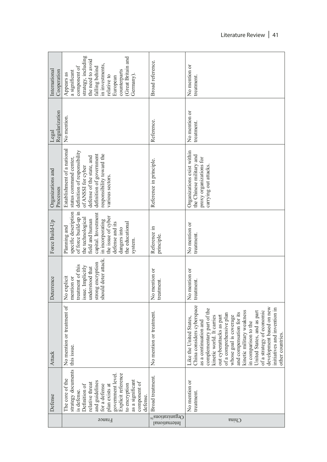| International<br>Cooperation   | strategy, including<br>Great Britain and<br>the need to avoid<br>in investments,<br>falling behind<br>component of<br>counterparts<br>a significant<br>Appears as<br>Germany).<br>relative to<br>European                                                | Broad reference.                                         | No mention or<br>treatment                                                                                                                                                                                                                                                                                                                                                                                                                               |
|--------------------------------|----------------------------------------------------------------------------------------------------------------------------------------------------------------------------------------------------------------------------------------------------------|----------------------------------------------------------|----------------------------------------------------------------------------------------------------------------------------------------------------------------------------------------------------------------------------------------------------------------------------------------------------------------------------------------------------------------------------------------------------------------------------------------------------------|
| Regularization<br>Legal        | No mention                                                                                                                                                                                                                                               | Reference.                                               | No mention or<br>treatment.                                                                                                                                                                                                                                                                                                                                                                                                                              |
| Organizations and<br>Processes | Establishment of a national<br>definition of responsibility<br>definition of government<br>responsibility toward the<br>defense of the state, and<br>status command center,<br>of ANSSI for cyber<br>various sectors.                                    | Reference in principle.                                  | Organizations exist within<br>the Chinese military and<br>proxy organizations for<br>carrying out attacks.                                                                                                                                                                                                                                                                                                                                               |
| Force Build-Up                 | of force build-up in<br>specific description<br>capital. Investment<br>the issue of cyber<br>the technological<br>field and human<br>in incorporating<br>defense and its<br>the educational<br>Planning and<br>dangers into<br>system                    | Reference in<br>principle                                | No mention or<br>treatment.                                                                                                                                                                                                                                                                                                                                                                                                                              |
| Deterrence                     | should deter attack.<br>strong encryption<br>treatment of this<br>issue. Implicitly<br>understood that<br>No explicit<br>mention or                                                                                                                      | No mention or<br>treatment                               | No mention or<br>treatment.                                                                                                                                                                                                                                                                                                                                                                                                                              |
| Attack                         | No mention or treatment of<br>this issue.                                                                                                                                                                                                                | No mention or treatment.                                 | China considers cyberspace<br>development based on new<br>complementary part of the<br>initiatives and invention in<br>of a strategy of economic<br>kinetic military weakness<br>United States, and as part<br>compensation for its<br>of a comprehensive plan<br>kinetic world. It carries<br>whose goal is coverage<br>out cyberattacks as part<br>Like the United States,<br>as a continuation and<br>in comparison to the<br>other countries.<br>and |
| Defense                        | strategy documents<br>Explicit reference<br>government level<br>The core of the<br>as a significant<br>and guidelines<br>component of<br>relative threat<br>to encryption<br>Definition of<br>for a defense<br>plan exists at<br>is defense.<br>defense. | Broad treatment.                                         | No mention or<br>treatment                                                                                                                                                                                                                                                                                                                                                                                                                               |
|                                | France                                                                                                                                                                                                                                                   | <sup>02</sup> anoitissimg <sup>36</sup><br>International | China                                                                                                                                                                                                                                                                                                                                                                                                                                                    |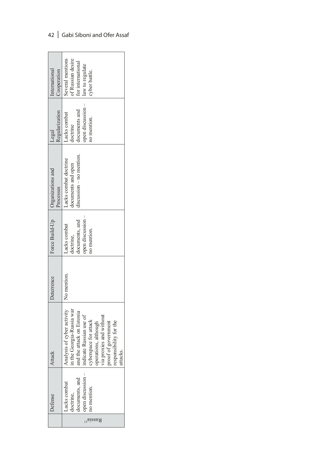|                                    |                  | <b>ttacl</b>                                   | Deterrence  | Force Build-Up   Organizations and |                          | Legal            | International     |
|------------------------------------|------------------|------------------------------------------------|-------------|------------------------------------|--------------------------|------------------|-------------------|
|                                    |                  |                                                |             |                                    | Processes                | Regularization   | Cooperation       |
|                                    | acks combat      | vsis of cyber activity<br>Analy                | No mention. | acks combat                        | acks combat doctrine     | acks combat      | Several mentions  |
|                                    | octrine,         | in the Georgia-Russia war                      |             | doctrine,                          | documents and open       | loctrine         | of Russian desire |
|                                    | cuments, and     | and the attack on Estonia                      |             | locuments, and                     | discussion - no mention. | ocuments and     | for international |
|                                    | pen discussion - | indicate Russian use of                        |             | open discussion -                  |                          | pen discussion - | law to regulate   |
|                                    | mention.         | cyberspace for attack                          |             | no mention.                        |                          | no mention.      | cyber battle.     |
| $\mathcal{L}$ s <sub>iszia</sub> s |                  | operations, although                           |             |                                    |                          |                  |                   |
|                                    |                  |                                                |             |                                    |                          |                  |                   |
|                                    |                  | via proxies and without<br>proof of government |             |                                    |                          |                  |                   |
|                                    |                  | responsibility for the                         |             |                                    |                          |                  |                   |
|                                    |                  | ttacks                                         |             |                                    |                          |                  |                   |

# 42 | Gabi Siboni and Ofer Assaf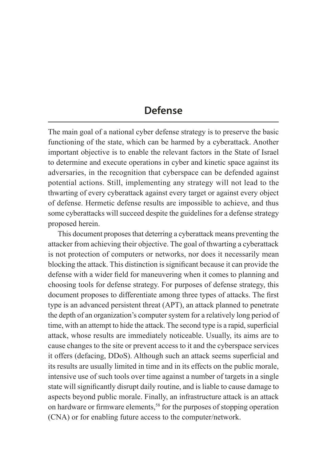# **Defense**

The main goal of a national cyber defense strategy is to preserve the basic functioning of the state, which can be harmed by a cyberattack. Another important objective is to enable the relevant factors in the State of Israel to determine and execute operations in cyber and kinetic space against its adversaries, in the recognition that cyberspace can be defended against potential actions. Still, implementing any strategy will not lead to the thwarting of every cyberattack against every target or against every object of defense. Hermetic defense results are impossible to achieve, and thus some cyberattacks will succeed despite the guidelines for a defense strategy proposed herein.

This document proposes that deterring a cyberattack means preventing the attacker from achieving their objective. The goal of thwarting a cyberattack is not protection of computers or networks, nor does it necessarily mean blocking the attack. This distinction is significant because it can provide the defense with a wider field for maneuvering when it comes to planning and choosing tools for defense strategy. For purposes of defense strategy, this document proposes to differentiate among three types of attacks. The first type is an advanced persistent threat (APT), an attack planned to penetrate the depth of an organization's computer system for a relatively long period of time, with an attempt to hide the attack. The second type is a rapid, superficial attack, whose results are immediately noticeable. Usually, its aims are to cause changes to the site or prevent access to it and the cyberspace services it offers (defacing, DDoS). Although such an attack seems superficial and its results are usually limited in time and in its effects on the public morale, intensive use of such tools over time against a number of targets in a single state will significantly disrupt daily routine, and is liable to cause damage to aspects beyond public morale. Finally, an infrastructure attack is an attack on hardware or firmware elements,<sup>58</sup> for the purposes of stopping operation (CNA) or for enabling future access to the computer/network.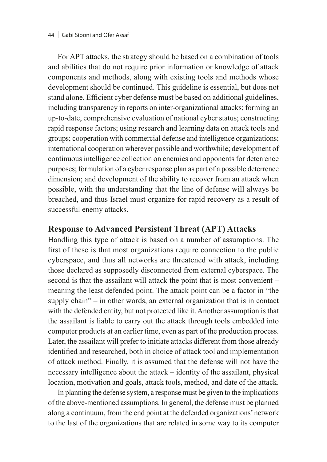#### 44 Gabi Siboni and Ofer Assaf

For APT attacks, the strategy should be based on a combination of tools and abilities that do not require prior information or knowledge of attack components and methods, along with existing tools and methods whose development should be continued. This guideline is essential, but does not stand alone. Efficient cyber defense must be based on additional guidelines, including transparency in reports on inter-organizational attacks; forming an up-to-date, comprehensive evaluation of national cyber status; constructing rapid response factors; using research and learning data on attack tools and groups; cooperation with commercial defense and intelligence organizations; international cooperation wherever possible and worthwhile; development of continuous intelligence collection on enemies and opponents for deterrence purposes; formulation of a cyber response plan as part of a possible deterrence dimension; and development of the ability to recover from an attack when possible, with the understanding that the line of defense will always be breached, and thus Israel must organize for rapid recovery as a result of successful enemy attacks.

#### **Response to Advanced Persistent Threat (APT) Attacks**

Handling this type of attack is based on a number of assumptions. The first of these is that most organizations require connection to the public cyberspace, and thus all networks are threatened with attack, including those declared as supposedly disconnected from external cyberspace. The second is that the assailant will attack the point that is most convenient – meaning the least defended point. The attack point can be a factor in "the supply chain" – in other words, an external organization that is in contact with the defended entity, but not protected like it. Another assumption is that the assailant is liable to carry out the attack through tools embedded into computer products at an earlier time, even as part of the production process. Later, the assailant will prefer to initiate attacks different from those already identified and researched, both in choice of attack tool and implementation of attack method. Finally, it is assumed that the defense will not have the necessary intelligence about the attack – identity of the assailant, physical location, motivation and goals, attack tools, method, and date of the attack.

In planning the defense system, a response must be given to the implications of the above-mentioned assumptions. In general, the defense must be planned along a continuum, from the end point at the defended organizations' network to the last of the organizations that are related in some way to its computer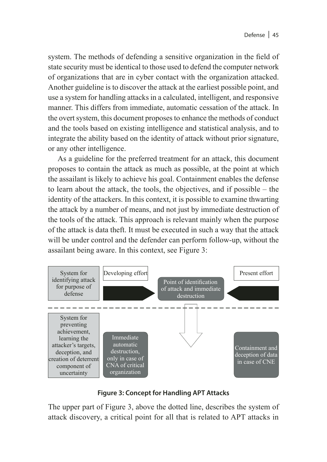system. The methods of defending a sensitive organization in the field of state security must be identical to those used to defend the computer network of organizations that are in cyber contact with the organization attacked. Another guideline is to discover the attack at the earliest possible point, and use a system for handling attacks in a calculated, intelligent, and responsive manner. This differs from immediate, automatic cessation of the attack. In the overt system, this document proposes to enhance the methods of conduct and the tools based on existing intelligence and statistical analysis, and to integrate the ability based on the identity of attack without prior signature, or any other intelligence.

As a guideline for the preferred treatment for an attack, this document proposes to contain the attack as much as possible, at the point at which the assailant is likely to achieve his goal. Containment enables the defense to learn about the attack, the tools, the objectives, and if possible – the identity of the attackers. In this context, it is possible to examine thwarting the attack by a number of means, and not just by immediate destruction of the tools of the attack. This approach is relevant mainly when the purpose of the attack is data theft. It must be executed in such a way that the attack will be under control and the defender can perform follow-up, without the assailant being aware. In this context, see Figure 3:



**Figure 3: Concept for Handling APT Attacks**

The upper part of Figure 3, above the dotted line, describes the system of attack discovery, a critical point for all that is related to APT attacks in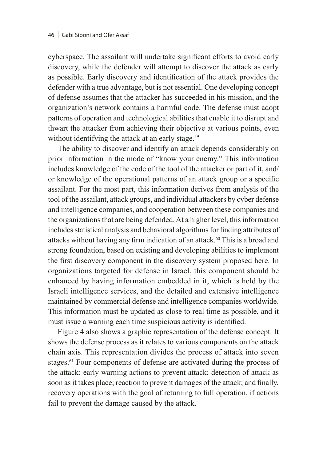cyberspace. The assailant will undertake significant efforts to avoid early discovery, while the defender will attempt to discover the attack as early as possible. Early discovery and identification of the attack provides the defender with a true advantage, but is not essential. One developing concept of defense assumes that the attacker has succeeded in his mission, and the organization's network contains a harmful code. The defense must adopt patterns of operation and technological abilities that enable it to disrupt and thwart the attacker from achieving their objective at various points, even without identifying the attack at an early stage.<sup>59</sup>

The ability to discover and identify an attack depends considerably on prior information in the mode of "know your enemy." This information includes knowledge of the code of the tool of the attacker or part of it, and/ or knowledge of the operational patterns of an attack group or a specific assailant. For the most part, this information derives from analysis of the tool of the assailant, attack groups, and individual attackers by cyber defense and intelligence companies, and cooperation between these companies and the organizations that are being defended. At a higher level, this information includes statistical analysis and behavioral algorithms for finding attributes of attacks without having any firm indication of an attack.60 This is a broad and strong foundation, based on existing and developing abilities to implement the first discovery component in the discovery system proposed here. In organizations targeted for defense in Israel, this component should be enhanced by having information embedded in it, which is held by the Israeli intelligence services, and the detailed and extensive intelligence maintained by commercial defense and intelligence companies worldwide. This information must be updated as close to real time as possible, and it must issue a warning each time suspicious activity is identified.

Figure 4 also shows a graphic representation of the defense concept. It shows the defense process as it relates to various components on the attack chain axis. This representation divides the process of attack into seven stages.<sup>61</sup> Four components of defense are activated during the process of the attack: early warning actions to prevent attack; detection of attack as soon as it takes place; reaction to prevent damages of the attack; and finally, recovery operations with the goal of returning to full operation, if actions fail to prevent the damage caused by the attack.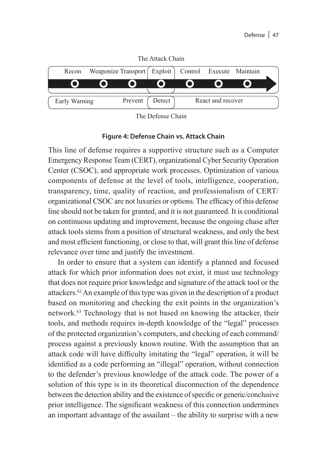

The Defense Chain

#### **Figure 4: Defense Chain vs. Attack Chain**

This line of defense requires a supportive structure such as a Computer Emergency Response Team (CERT), organizational Cyber Security Operation Center (CSOC), and appropriate work processes. Optimization of various components of defense at the level of tools, intelligence, cooperation, transparency, time, quality of reaction, and professionalism of CERT/ organizational CSOC are not luxuries or options. The efficacy of this defense line should not be taken for granted, and it is not guaranteed. It is conditional on continuous updating and improvement, because the ongoing chase after attack tools stems from a position of structural weakness, and only the best and most efficient functioning, or close to that, will grant this line of defense relevance over time and justify the investment.

In order to ensure that a system can identify a planned and focused attack for which prior information does not exist, it must use technology that does not require prior knowledge and signature of the attack tool or the attackers.62 An example of this type was given in the description of a product based on monitoring and checking the exit points in the organization's network.63 Technology that is not based on knowing the attacker, their tools, and methods requires in-depth knowledge of the "legal" processes of the protected organization's computers, and checking of each command/ process against a previously known routine. With the assumption that an attack code will have difficulty imitating the "legal" operation, it will be identified as a code performing an "illegal" operation, without connection to the defender's previous knowledge of the attack code. The power of a solution of this type is in its theoretical disconnection of the dependence between the detection ability and the existence of specific or generic/conclusive prior intelligence. The significant weakness of this connection undermines an important advantage of the assailant – the ability to surprise with a new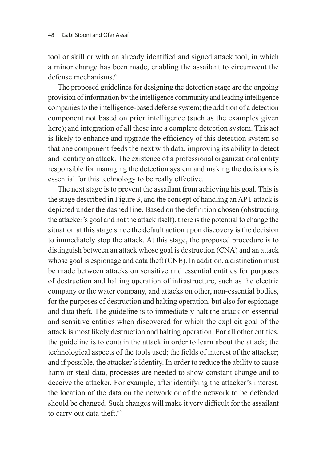tool or skill or with an already identified and signed attack tool, in which a minor change has been made, enabling the assailant to circumvent the defense mechanisms<sup>64</sup>

The proposed guidelines for designing the detection stage are the ongoing provision of information by the intelligence community and leading intelligence companies to the intelligence-based defense system; the addition of a detection component not based on prior intelligence (such as the examples given here); and integration of all these into a complete detection system. This act is likely to enhance and upgrade the efficiency of this detection system so that one component feeds the next with data, improving its ability to detect and identify an attack. The existence of a professional organizational entity responsible for managing the detection system and making the decisions is essential for this technology to be really effective.

The next stage is to prevent the assailant from achieving his goal. This is the stage described in Figure 3, and the concept of handling an APT attack is depicted under the dashed line. Based on the definition chosen (obstructing the attacker's goal and not the attack itself), there is the potential to change the situation at this stage since the default action upon discovery is the decision to immediately stop the attack. At this stage, the proposed procedure is to distinguish between an attack whose goal is destruction (CNA) and an attack whose goal is espionage and data theft (CNE). In addition, a distinction must be made between attacks on sensitive and essential entities for purposes of destruction and halting operation of infrastructure, such as the electric company or the water company, and attacks on other, non-essential bodies, for the purposes of destruction and halting operation, but also for espionage and data theft. The guideline is to immediately halt the attack on essential and sensitive entities when discovered for which the explicit goal of the attack is most likely destruction and halting operation. For all other entities, the guideline is to contain the attack in order to learn about the attack; the technological aspects of the tools used; the fields of interest of the attacker; and if possible, the attacker's identity. In order to reduce the ability to cause harm or steal data, processes are needed to show constant change and to deceive the attacker. For example, after identifying the attacker's interest, the location of the data on the network or of the network to be defended should be changed. Such changes will make it very difficult for the assailant to carry out data theft.<sup>65</sup>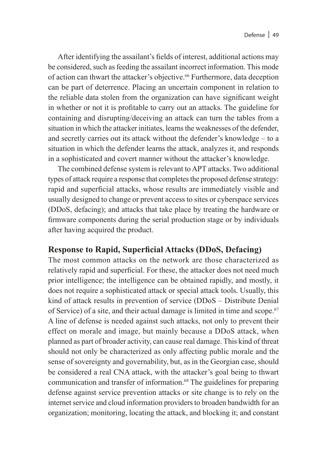After identifying the assailant's fields of interest, additional actions may be considered, such as feeding the assailant incorrect information. This mode of action can thwart the attacker's objective.<sup>66</sup> Furthermore, data deception can be part of deterrence. Placing an uncertain component in relation to the reliable data stolen from the organization can have significant weight in whether or not it is profitable to carry out an attacks. The guideline for containing and disrupting/deceiving an attack can turn the tables from a situation in which the attacker initiates, learns the weaknesses of the defender, and secretly carries out its attack without the defender's knowledge – to a situation in which the defender learns the attack, analyzes it, and responds in a sophisticated and covert manner without the attacker's knowledge.

The combined defense system is relevant to APT attacks. Two additional types of attack require a response that completes the proposed defense strategy: rapid and superficial attacks, whose results are immediately visible and usually designed to change or prevent access to sites or cyberspace services (DDoS, defacing); and attacks that take place by treating the hardware or firmware components during the serial production stage or by individuals after having acquired the product.

## **Response to Rapid, Superficial Attacks (DDoS, Defacing)**

The most common attacks on the network are those characterized as relatively rapid and superficial. For these, the attacker does not need much prior intelligence; the intelligence can be obtained rapidly, and mostly, it does not require a sophisticated attack or special attack tools. Usually, this kind of attack results in prevention of service (DDoS – Distribute Denial of Service) of a site, and their actual damage is limited in time and scope.67 A line of defense is needed against such attacks, not only to prevent their effect on morale and image, but mainly because a DDoS attack, when planned as part of broader activity, can cause real damage. This kind of threat should not only be characterized as only affecting public morale and the sense of sovereignty and governability, but, as in the Georgian case, should be considered a real CNA attack, with the attacker's goal being to thwart communication and transfer of information.<sup>68</sup> The guidelines for preparing defense against service prevention attacks or site change is to rely on the internet service and cloud information providers to broaden bandwidth for an organization; monitoring, locating the attack, and blocking it; and constant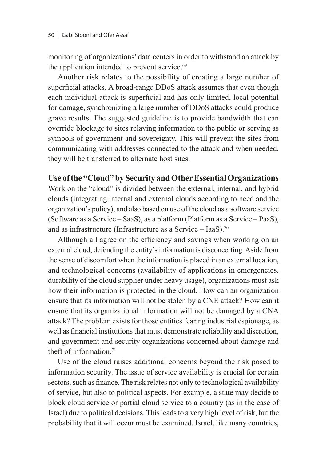monitoring of organizations' data centers in order to withstand an attack by the application intended to prevent service.<sup>69</sup>

Another risk relates to the possibility of creating a large number of superficial attacks. A broad-range DDoS attack assumes that even though each individual attack is superficial and has only limited, local potential for damage, synchronizing a large number of DDoS attacks could produce grave results. The suggested guideline is to provide bandwidth that can override blockage to sites relaying information to the public or serving as symbols of government and sovereignty. This will prevent the sites from communicating with addresses connected to the attack and when needed, they will be transferred to alternate host sites.

# **Use of the "Cloud" by Security and Other Essential Organizations**

Work on the "cloud" is divided between the external, internal, and hybrid clouds (integrating internal and external clouds according to need and the organization's policy), and also based on use of the cloud as a software service (Software as a Service – SaaS), as a platform (Platform as a Service – PaaS), and as infrastructure (Infrastructure as a Service – IaaS).<sup>70</sup>

Although all agree on the efficiency and savings when working on an external cloud, defending the entity's information is disconcerting. Aside from the sense of discomfort when the information is placed in an external location, and technological concerns (availability of applications in emergencies, durability of the cloud supplier under heavy usage), organizations must ask how their information is protected in the cloud. How can an organization ensure that its information will not be stolen by a CNE attack? How can it ensure that its organizational information will not be damaged by a CNA attack? The problem exists for those entities fearing industrial espionage, as well as financial institutions that must demonstrate reliability and discretion, and government and security organizations concerned about damage and theft of information.<sup>71</sup>

Use of the cloud raises additional concerns beyond the risk posed to information security. The issue of service availability is crucial for certain sectors, such as finance. The risk relates not only to technological availability of service, but also to political aspects. For example, a state may decide to block cloud service or partial cloud service to a country (as in the case of Israel) due to political decisions. This leads to a very high level of risk, but the probability that it will occur must be examined. Israel, like many countries,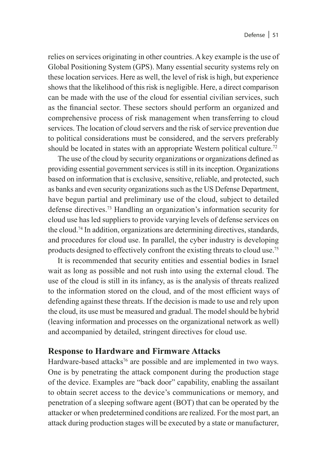relies on services originating in other countries. A key example is the use of Global Positioning System (GPS). Many essential security systems rely on these location services. Here as well, the level of risk is high, but experience shows that the likelihood of this risk is negligible. Here, a direct comparison can be made with the use of the cloud for essential civilian services, such as the financial sector. These sectors should perform an organized and comprehensive process of risk management when transferring to cloud services. The location of cloud servers and the risk of service prevention due to political considerations must be considered, and the servers preferably should be located in states with an appropriate Western political culture.<sup>72</sup>

The use of the cloud by security organizations or organizations defined as providing essential government services is still in its inception. Organizations based on information that is exclusive, sensitive, reliable, and protected, such as banks and even security organizations such as the US Defense Department, have begun partial and preliminary use of the cloud, subject to detailed defense directives.73 Handling an organization's information security for cloud use has led suppliers to provide varying levels of defense services on the cloud.74 In addition, organizations are determining directives, standards, and procedures for cloud use. In parallel, the cyber industry is developing products designed to effectively confront the existing threats to cloud use.75

It is recommended that security entities and essential bodies in Israel wait as long as possible and not rush into using the external cloud. The use of the cloud is still in its infancy, as is the analysis of threats realized to the information stored on the cloud, and of the most efficient ways of defending against these threats. If the decision is made to use and rely upon the cloud, its use must be measured and gradual. The model should be hybrid (leaving information and processes on the organizational network as well) and accompanied by detailed, stringent directives for cloud use.

## **Response to Hardware and Firmware Attacks**

Hardware-based attacks<sup>76</sup> are possible and are implemented in two ways. One is by penetrating the attack component during the production stage of the device. Examples are "back door" capability, enabling the assailant to obtain secret access to the device's communications or memory, and penetration of a sleeping software agent (BOT) that can be operated by the attacker or when predetermined conditions are realized. For the most part, an attack during production stages will be executed by a state or manufacturer,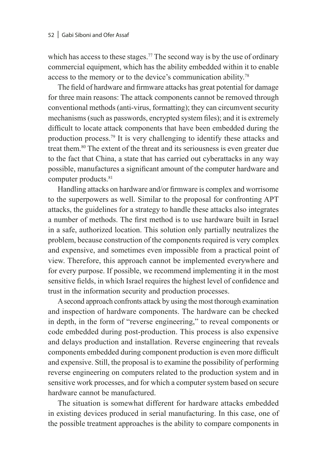which has access to these stages.<sup>77</sup> The second way is by the use of ordinary commercial equipment, which has the ability embedded within it to enable access to the memory or to the device's communication ability.78

The field of hardware and firmware attacks has great potential for damage for three main reasons: The attack components cannot be removed through conventional methods (anti-virus, formatting); they can circumvent security mechanisms (such as passwords, encrypted system files); and it is extremely difficult to locate attack components that have been embedded during the production process.79 It is very challenging to identify these attacks and treat them.80 The extent of the threat and its seriousness is even greater due to the fact that China, a state that has carried out cyberattacks in any way possible, manufactures a significant amount of the computer hardware and computer products.<sup>81</sup>

Handling attacks on hardware and/or firmware is complex and worrisome to the superpowers as well. Similar to the proposal for confronting APT attacks, the guidelines for a strategy to handle these attacks also integrates a number of methods. The first method is to use hardware built in Israel in a safe, authorized location. This solution only partially neutralizes the problem, because construction of the components required is very complex and expensive, and sometimes even impossible from a practical point of view. Therefore, this approach cannot be implemented everywhere and for every purpose. If possible, we recommend implementing it in the most sensitive fields, in which Israel requires the highest level of confidence and trust in the information security and production processes.

A second approach confronts attack by using the most thorough examination and inspection of hardware components. The hardware can be checked in depth, in the form of "reverse engineering," to reveal components or code embedded during post-production. This process is also expensive and delays production and installation. Reverse engineering that reveals components embedded during component production is even more difficult and expensive. Still, the proposal is to examine the possibility of performing reverse engineering on computers related to the production system and in sensitive work processes, and for which a computer system based on secure hardware cannot be manufactured.

The situation is somewhat different for hardware attacks embedded in existing devices produced in serial manufacturing. In this case, one of the possible treatment approaches is the ability to compare components in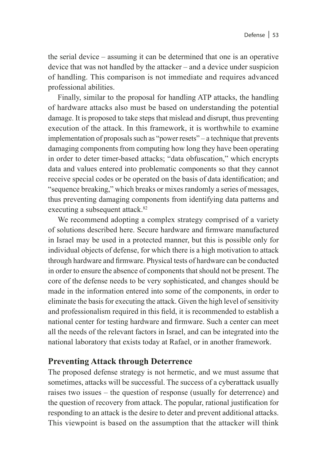the serial device – assuming it can be determined that one is an operative device that was not handled by the attacker – and a device under suspicion of handling. This comparison is not immediate and requires advanced professional abilities.

Finally, similar to the proposal for handling ATP attacks, the handling of hardware attacks also must be based on understanding the potential damage. It is proposed to take steps that mislead and disrupt, thus preventing execution of the attack. In this framework, it is worthwhile to examine implementation of proposals such as "power resets" – a technique that prevents damaging components from computing how long they have been operating in order to deter timer-based attacks; "data obfuscation," which encrypts data and values entered into problematic components so that they cannot receive special codes or be operated on the basis of data identification; and "sequence breaking," which breaks or mixes randomly a series of messages, thus preventing damaging components from identifying data patterns and executing a subsequent attack.<sup>82</sup>

We recommend adopting a complex strategy comprised of a variety of solutions described here. Secure hardware and firmware manufactured in Israel may be used in a protected manner, but this is possible only for individual objects of defense, for which there is a high motivation to attack through hardware and firmware. Physical tests of hardware can be conducted in order to ensure the absence of components that should not be present. The core of the defense needs to be very sophisticated, and changes should be made in the information entered into some of the components, in order to eliminate the basis for executing the attack. Given the high level of sensitivity and professionalism required in this field, it is recommended to establish a national center for testing hardware and firmware. Such a center can meet all the needs of the relevant factors in Israel, and can be integrated into the national laboratory that exists today at Rafael, or in another framework.

# **Preventing Attack through Deterrence**

The proposed defense strategy is not hermetic, and we must assume that sometimes, attacks will be successful. The success of a cyberattack usually raises two issues – the question of response (usually for deterrence) and the question of recovery from attack. The popular, rational justification for responding to an attack is the desire to deter and prevent additional attacks. This viewpoint is based on the assumption that the attacker will think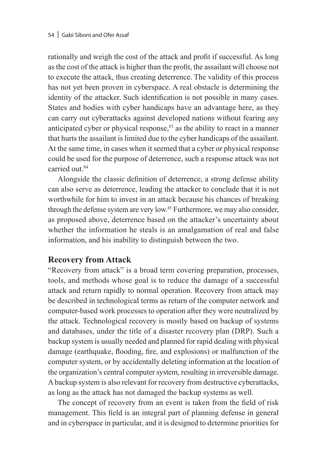rationally and weigh the cost of the attack and profit if successful. As long as the cost of the attack is higher than the profit, the assailant will choose not to execute the attack, thus creating deterrence. The validity of this process has not yet been proven in cyberspace. A real obstacle is determining the identity of the attacker. Such identification is not possible in many cases. States and bodies with cyber handicaps have an advantage here, as they can carry out cyberattacks against developed nations without fearing any anticipated cyber or physical response,<sup>83</sup> as the ability to react in a manner that hurts the assailant is limited due to the cyber handicaps of the assailant. At the same time, in cases when it seemed that a cyber or physical response could be used for the purpose of deterrence, such a response attack was not carried out 84

Alongside the classic definition of deterrence, a strong defense ability can also serve as deterrence, leading the attacker to conclude that it is not worthwhile for him to invest in an attack because his chances of breaking through the defense system are very low.85 Furthermore, we may also consider, as proposed above, deterrence based on the attacker's uncertainty about whether the information he steals is an amalgamation of real and false information, and his inability to distinguish between the two.

# **Recovery from Attack**

"Recovery from attack" is a broad term covering preparation, processes, tools, and methods whose goal is to reduce the damage of a successful attack and return rapidly to normal operation. Recovery from attack may be described in technological terms as return of the computer network and computer-based work processes to operation after they were neutralized by the attack. Technological recovery is mostly based on backup of systems and databases, under the title of a disaster recovery plan (DRP). Such a backup system is usually needed and planned for rapid dealing with physical damage (earthquake, flooding, fire, and explosions) or malfunction of the computer system, or by accidentally deleting information at the location of the organization's central computer system, resulting in irreversible damage. A backup system is also relevant for recovery from destructive cyberattacks, as long as the attack has not damaged the backup systems as well.

The concept of recovery from an event is taken from the field of risk management. This field is an integral part of planning defense in general and in cyberspace in particular, and it is designed to determine priorities for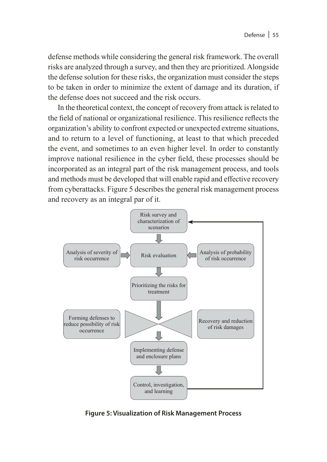defense methods while considering the general risk framework. The overall risks are analyzed through a survey, and then they are prioritized. Alongside the defense solution for these risks, the organization must consider the steps to be taken in order to minimize the extent of damage and its duration, if the defense does not succeed and the risk occurs.

In the theoretical context, the concept of recovery from attack is related to the field of national or organizational resilience. This resilience reflects the organization's ability to confront expected or unexpected extreme situations, and to return to a level of functioning, at least to that which preceded the event, and sometimes to an even higher level. In order to constantly improve national resilience in the cyber field, these processes should be incorporated as an integral part of the risk management process, and tools and methods must be developed that will enable rapid and effective recovery from cyberattacks. Figure 5 describes the general risk management process and recovery as an integral par of it.



**Figure 5: Visualization of Risk Management Process**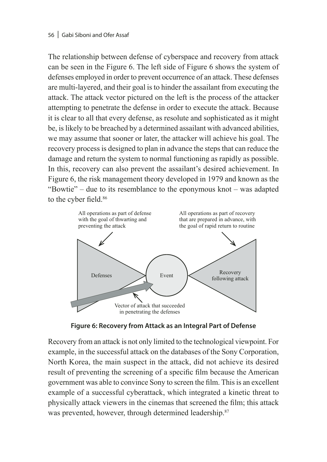The relationship between defense of cyberspace and recovery from attack can be seen in the Figure 6. The left side of Figure 6 shows the system of defenses employed in order to prevent occurrence of an attack. These defenses are multi-layered, and their goal is to hinder the assailant from executing the attack. The attack vector pictured on the left is the process of the attacker attempting to penetrate the defense in order to execute the attack. Because it is clear to all that every defense, as resolute and sophisticated as it might be, is likely to be breached by a determined assailant with advanced abilities, we may assume that sooner or later, the attacker will achieve his goal. The recovery process is designed to plan in advance the steps that can reduce the damage and return the system to normal functioning as rapidly as possible. In this, recovery can also prevent the assailant's desired achievement. In Figure 6, the risk management theory developed in 1979 and known as the "Bowtie" – due to its resemblance to the eponymous knot – was adapted to the cyber field.<sup>86</sup>



**Figure 6: Recovery from Attack as an Integral Part of Defense**

Recovery from an attack is not only limited to the technological viewpoint. For example, in the successful attack on the databases of the Sony Corporation, North Korea, the main suspect in the attack, did not achieve its desired result of preventing the screening of a specific film because the American government was able to convince Sony to screen the film. This is an excellent example of a successful cyberattack, which integrated a kinetic threat to physically attack viewers in the cinemas that screened the film; this attack was prevented, however, through determined leadership.<sup>87</sup>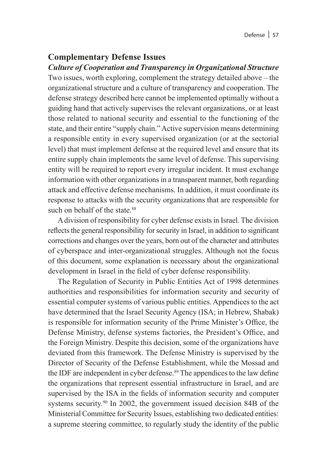#### **Complementary Defense Issues**

*Culture of Cooperation and Transparency in Organizational Structure* 

Two issues, worth exploring, complement the strategy detailed above – the organizational structure and a culture of transparency and cooperation. The defense strategy described here cannot be implemented optimally without a guiding hand that actively supervises the relevant organizations, or at least those related to national security and essential to the functioning of the state, and their entire "supply chain." Active supervision means determining a responsible entity in every supervised organization (or at the sectorial level) that must implement defense at the required level and ensure that its entire supply chain implements the same level of defense. This supervising entity will be required to report every irregular incident. It must exchange information with other organizations in a transparent manner, both regarding attack and effective defense mechanisms. In addition, it must coordinate its response to attacks with the security organizations that are responsible for such on behalf of the state. $88$ 

A division of responsibility for cyber defense exists in Israel. The division reflects the general responsibility for security in Israel, in addition to significant corrections and changes over the years, born out of the character and attributes of cyberspace and inter-organizational struggles. Although not the focus of this document, some explanation is necessary about the organizational development in Israel in the field of cyber defense responsibility.

The Regulation of Security in Public Entities Act of 1998 determines authorities and responsibilities for information security and security of essential computer systems of various public entities. Appendices to the act have determined that the Israel Security Agency (ISA; in Hebrew, Shabak) is responsible for information security of the Prime Minister's Office, the Defense Ministry, defense systems factories, the President's Office, and the Foreign Ministry. Despite this decision, some of the organizations have deviated from this framework. The Defense Ministry is supervised by the Director of Security of the Defense Establishment, while the Mossad and the IDF are independent in cyber defense.<sup>89</sup> The appendices to the law define the organizations that represent essential infrastructure in Israel, and are supervised by the ISA in the fields of information security and computer systems security.<sup>90</sup> In 2002, the government issued decision 84B of the Ministerial Committee for Security Issues, establishing two dedicated entities: a supreme steering committee, to regularly study the identity of the public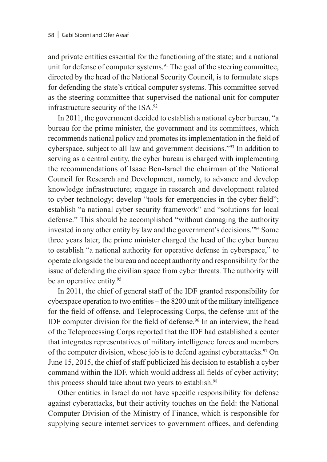and private entities essential for the functioning of the state; and a national unit for defense of computer systems.<sup>91</sup> The goal of the steering committee, directed by the head of the National Security Council, is to formulate steps for defending the state's critical computer systems. This committee served as the steering committee that supervised the national unit for computer infrastructure security of the ISA.92

In 2011, the government decided to establish a national cyber bureau, "a bureau for the prime minister, the government and its committees, which recommends national policy and promotes its implementation in the field of cyberspace, subject to all law and government decisions."93 In addition to serving as a central entity, the cyber bureau is charged with implementing the recommendations of Isaac Ben-Israel the chairman of the National Council for Research and Development, namely, to advance and develop knowledge infrastructure; engage in research and development related to cyber technology; develop "tools for emergencies in the cyber field"; establish "a national cyber security framework" and "solutions for local defense." This should be accomplished "without damaging the authority invested in any other entity by law and the government's decisions."94 Some three years later, the prime minister charged the head of the cyber bureau to establish "a national authority for operative defense in cyberspace," to operate alongside the bureau and accept authority and responsibility for the issue of defending the civilian space from cyber threats. The authority will be an operative entity.<sup>95</sup>

In 2011, the chief of general staff of the IDF granted responsibility for cyberspace operation to two entities – the 8200 unit of the military intelligence for the field of offense, and Teleprocessing Corps, the defense unit of the IDF computer division for the field of defense.96 In an interview, the head of the Teleprocessing Corps reported that the IDF had established a center that integrates representatives of military intelligence forces and members of the computer division, whose job is to defend against cyberattacks.<sup>97</sup> On June 15, 2015, the chief of staff publicized his decision to establish a cyber command within the IDF, which would address all fields of cyber activity; this process should take about two years to establish.<sup>98</sup>

Other entities in Israel do not have specific responsibility for defense against cyberattacks, but their activity touches on the field: the National Computer Division of the Ministry of Finance, which is responsible for supplying secure internet services to government offices, and defending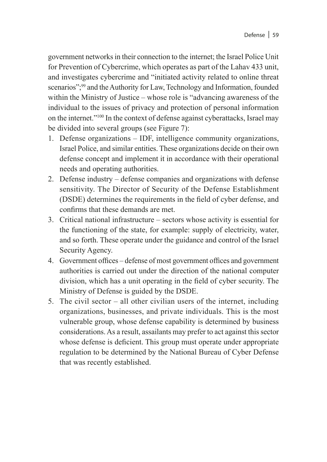government networks in their connection to the internet; the Israel Police Unit for Prevention of Cybercrime, which operates as part of the Lahav 433 unit, and investigates cybercrime and "initiated activity related to online threat scenarios";<sup>99</sup> and the Authority for Law, Technology and Information, founded within the Ministry of Justice – whose role is "advancing awareness of the individual to the issues of privacy and protection of personal information on the internet."100 In the context of defense against cyberattacks, Israel may be divided into several groups (see Figure 7):

- 1. Defense organizations IDF, intelligence community organizations, Israel Police, and similar entities. These organizations decide on their own defense concept and implement it in accordance with their operational needs and operating authorities.
- 2. Defense industry defense companies and organizations with defense sensitivity. The Director of Security of the Defense Establishment (DSDE) determines the requirements in the field of cyber defense, and confirms that these demands are met.
- 3. Critical national infrastructure sectors whose activity is essential for the functioning of the state, for example: supply of electricity, water, and so forth. These operate under the guidance and control of the Israel Security Agency.
- 4. Government offices defense of most government offices and government authorities is carried out under the direction of the national computer division, which has a unit operating in the field of cyber security. The Ministry of Defense is guided by the DSDE.
- 5. The civil sector all other civilian users of the internet, including organizations, businesses, and private individuals. This is the most vulnerable group, whose defense capability is determined by business considerations. As a result, assailants may prefer to act against this sector whose defense is deficient. This group must operate under appropriate regulation to be determined by the National Bureau of Cyber Defense that was recently established.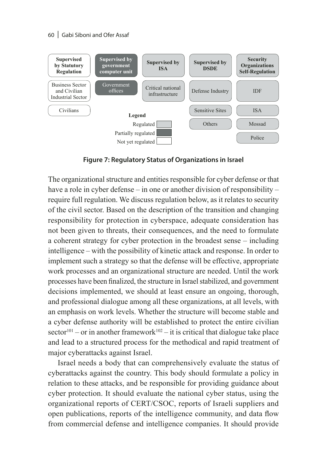60 Gabi Siboni and Ofer Assaf



**Figure 7: Regulatory Status of Organizations in Israel**

The organizational structure and entities responsible for cyber defense or that have a role in cyber defense – in one or another division of responsibility – require full regulation. We discuss regulation below, as it relates to security of the civil sector. Based on the description of the transition and changing responsibility for protection in cyberspace, adequate consideration has not been given to threats, their consequences, and the need to formulate a coherent strategy for cyber protection in the broadest sense – including intelligence – with the possibility of kinetic attack and response. In order to implement such a strategy so that the defense will be effective, appropriate work processes and an organizational structure are needed. Until the work processes have been finalized, the structure in Israel stabilized, and government decisions implemented, we should at least ensure an ongoing, thorough, and professional dialogue among all these organizations, at all levels, with an emphasis on work levels. Whether the structure will become stable and a cyber defense authority will be established to protect the entire civilian  $sector^{101}$  – or in another framework<sup>102</sup> – it is critical that dialogue take place and lead to a structured process for the methodical and rapid treatment of major cyberattacks against Israel.

Israel needs a body that can comprehensively evaluate the status of cyberattacks against the country. This body should formulate a policy in relation to these attacks, and be responsible for providing guidance about cyber protection. It should evaluate the national cyber status, using the organizational reports of CERT/CSOC, reports of Israeli suppliers and open publications, reports of the intelligence community, and data flow from commercial defense and intelligence companies. It should provide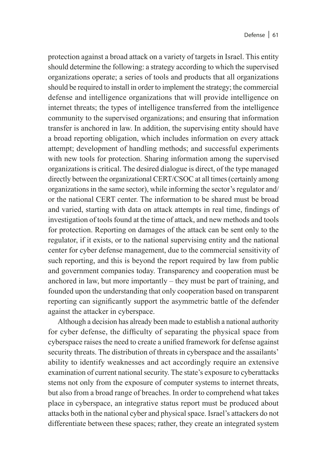protection against a broad attack on a variety of targets in Israel. This entity should determine the following: a strategy according to which the supervised organizations operate; a series of tools and products that all organizations should be required to install in order to implement the strategy; the commercial defense and intelligence organizations that will provide intelligence on internet threats; the types of intelligence transferred from the intelligence community to the supervised organizations; and ensuring that information transfer is anchored in law. In addition, the supervising entity should have a broad reporting obligation, which includes information on every attack attempt; development of handling methods; and successful experiments with new tools for protection. Sharing information among the supervised organizations is critical. The desired dialogue is direct, of the type managed directly between the organizational CERT/CSOC at all times (certainly among organizations in the same sector), while informing the sector's regulator and/ or the national CERT center. The information to be shared must be broad and varied, starting with data on attack attempts in real time, findings of investigation of tools found at the time of attack, and new methods and tools for protection. Reporting on damages of the attack can be sent only to the regulator, if it exists, or to the national supervising entity and the national center for cyber defense management, due to the commercial sensitivity of such reporting, and this is beyond the report required by law from public and government companies today. Transparency and cooperation must be anchored in law, but more importantly – they must be part of training, and founded upon the understanding that only cooperation based on transparent reporting can significantly support the asymmetric battle of the defender against the attacker in cyberspace.

Although a decision has already been made to establish a national authority for cyber defense, the difficulty of separating the physical space from cyberspace raises the need to create a unified framework for defense against security threats. The distribution of threats in cyberspace and the assailants' ability to identify weaknesses and act accordingly require an extensive examination of current national security. The state's exposure to cyberattacks stems not only from the exposure of computer systems to internet threats, but also from a broad range of breaches. In order to comprehend what takes place in cyberspace, an integrative status report must be produced about attacks both in the national cyber and physical space. Israel's attackers do not differentiate between these spaces; rather, they create an integrated system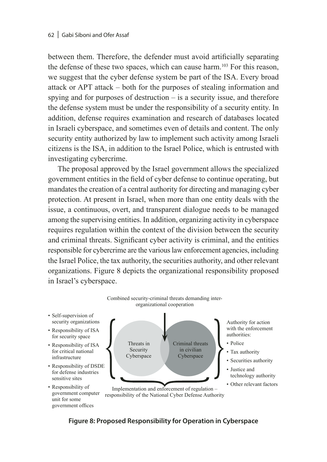between them. Therefore, the defender must avoid artificially separating the defense of these two spaces, which can cause harm.103 For this reason, we suggest that the cyber defense system be part of the ISA. Every broad attack or APT attack – both for the purposes of stealing information and spying and for purposes of destruction  $-$  is a security issue, and therefore the defense system must be under the responsibility of a security entity. In addition, defense requires examination and research of databases located in Israeli cyberspace, and sometimes even of details and content. The only security entity authorized by law to implement such activity among Israeli citizens is the ISA, in addition to the Israel Police, which is entrusted with investigating cybercrime.

The proposal approved by the Israel government allows the specialized government entities in the field of cyber defense to continue operating, but mandates the creation of a central authority for directing and managing cyber protection. At present in Israel, when more than one entity deals with the issue, a continuous, overt, and transparent dialogue needs to be managed among the supervising entities. In addition, organizing activity in cyberspace requires regulation within the context of the division between the security and criminal threats. Significant cyber activity is criminal, and the entities responsible for cybercrime are the various law enforcement agencies, including the Israel Police, the tax authority, the securities authority, and other relevant organizations. Figure 8 depicts the organizational responsibility proposed in Israel's cyberspace.



**Figure 8: Proposed Responsibility for Operation in Cyberspace**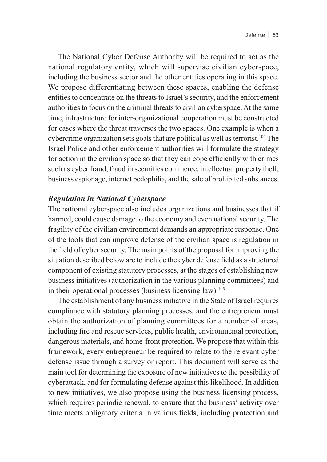The National Cyber Defense Authority will be required to act as the national regulatory entity, which will supervise civilian cyberspace, including the business sector and the other entities operating in this space. We propose differentiating between these spaces, enabling the defense entities to concentrate on the threats to Israel's security, and the enforcement authorities to focus on the criminal threats to civilian cyberspace. At the same time, infrastructure for inter-organizational cooperation must be constructed for cases where the threat traverses the two spaces. One example is when a cybercrime organization sets goals that are political as well as terrorist.<sup>104</sup> The Israel Police and other enforcement authorities will formulate the strategy for action in the civilian space so that they can cope efficiently with crimes such as cyber fraud, fraud in securities commerce, intellectual property theft, business espionage, internet pedophilia, and the sale of prohibited substances.

#### *Regulation in National Cyberspace*

The national cyberspace also includes organizations and businesses that if harmed, could cause damage to the economy and even national security. The fragility of the civilian environment demands an appropriate response. One of the tools that can improve defense of the civilian space is regulation in the field of cyber security. The main points of the proposal for improving the situation described below are to include the cyber defense field as a structured component of existing statutory processes, at the stages of establishing new business initiatives (authorization in the various planning committees) and in their operational processes (business licensing law).<sup>105</sup>

The establishment of any business initiative in the State of Israel requires compliance with statutory planning processes, and the entrepreneur must obtain the authorization of planning committees for a number of areas, including fire and rescue services, public health, environmental protection, dangerous materials, and home-front protection. We propose that within this framework, every entrepreneur be required to relate to the relevant cyber defense issue through a survey or report. This document will serve as the main tool for determining the exposure of new initiatives to the possibility of cyberattack, and for formulating defense against this likelihood. In addition to new initiatives, we also propose using the business licensing process, which requires periodic renewal, to ensure that the business' activity over time meets obligatory criteria in various fields, including protection and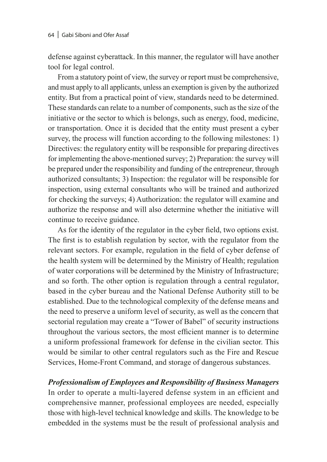defense against cyberattack. In this manner, the regulator will have another tool for legal control.

From a statutory point of view, the survey or report must be comprehensive, and must apply to all applicants, unless an exemption is given by the authorized entity. But from a practical point of view, standards need to be determined. These standards can relate to a number of components, such as the size of the initiative or the sector to which is belongs, such as energy, food, medicine, or transportation. Once it is decided that the entity must present a cyber survey, the process will function according to the following milestones: 1) Directives: the regulatory entity will be responsible for preparing directives for implementing the above-mentioned survey; 2) Preparation: the survey will be prepared under the responsibility and funding of the entrepreneur, through authorized consultants; 3) Inspection: the regulator will be responsible for inspection, using external consultants who will be trained and authorized for checking the surveys; 4) Authorization: the regulator will examine and authorize the response and will also determine whether the initiative will continue to receive guidance.

As for the identity of the regulator in the cyber field, two options exist. The first is to establish regulation by sector, with the regulator from the relevant sectors. For example, regulation in the field of cyber defense of the health system will be determined by the Ministry of Health; regulation of water corporations will be determined by the Ministry of Infrastructure; and so forth. The other option is regulation through a central regulator, based in the cyber bureau and the National Defense Authority still to be established. Due to the technological complexity of the defense means and the need to preserve a uniform level of security, as well as the concern that sectorial regulation may create a "Tower of Babel" of security instructions throughout the various sectors, the most efficient manner is to determine a uniform professional framework for defense in the civilian sector. This would be similar to other central regulators such as the Fire and Rescue Services, Home-Front Command, and storage of dangerous substances.

#### *Professionalism of Employees and Responsibility of Business Managers*

In order to operate a multi-layered defense system in an efficient and comprehensive manner, professional employees are needed, especially those with high-level technical knowledge and skills. The knowledge to be embedded in the systems must be the result of professional analysis and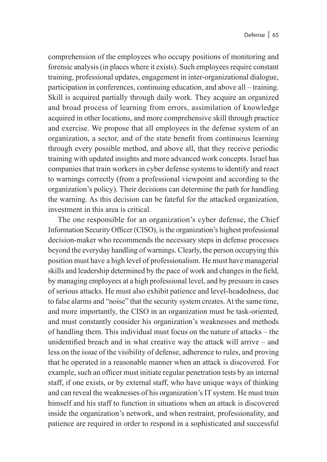comprehension of the employees who occupy positions of monitoring and forensic analysis (in places where it exists). Such employees require constant training, professional updates, engagement in inter-organizational dialogue, participation in conferences, continuing education, and above all – training. Skill is acquired partially through daily work. They acquire an organized and broad process of learning from errors, assimilation of knowledge acquired in other locations, and more comprehensive skill through practice and exercise. We propose that all employees in the defense system of an organization, a sector, and of the state benefit from continuous learning through every possible method, and above all, that they receive periodic training with updated insights and more advanced work concepts. Israel has companies that train workers in cyber defense systems to identify and react to warnings correctly (from a professional viewpoint and according to the organization's policy). Their decisions can determine the path for handling the warning. As this decision can be fateful for the attacked organization, investment in this area is critical.

The one responsible for an organization's cyber defense, the Chief Information Security Officer (CISO), is the organization's highest professional decision-maker who recommends the necessary steps in defense processes beyond the everyday handling of warnings. Clearly, the person occupying this position must have a high level of professionalism. He must have managerial skills and leadership determined by the pace of work and changes in the field, by managing employees at a high professional level, and by pressure in cases of serious attacks. He must also exhibit patience and level-headedness, due to false alarms and "noise" that the security system creates. At the same time, and more importantly, the CISO in an organization must be task-oriented, and must constantly consider his organization's weaknesses and methods of handling them. This individual must focus on the nature of attacks – the unidentified breach and in what creative way the attack will arrive – and less on the issue of the visibility of defense, adherence to rules, and proving that he operated in a reasonable manner when an attack is discovered. For example, such an officer must initiate regular penetration tests by an internal staff, if one exists, or by external staff, who have unique ways of thinking and can reveal the weaknesses of his organization's IT system. He must train himself and his staff to function in situations when an attack is discovered inside the organization's network, and when restraint, professionality, and patience are required in order to respond in a sophisticated and successful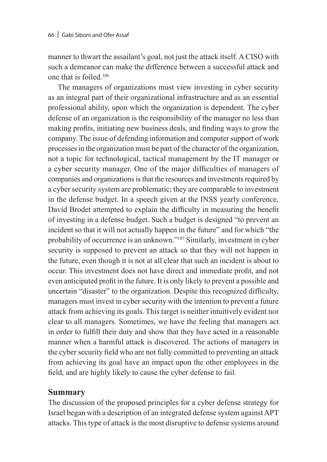manner to thwart the assailant's goal, not just the attack itself. A CISO with such a demeanor can make the difference between a successful attack and one that is foiled.106

The managers of organizations must view investing in cyber security as an integral part of their organizational infrastructure and as an essential professional ability, upon which the organization is dependent. The cyber defense of an organization is the responsibility of the manager no less than making profits, initiating new business deals, and finding ways to grow the company. The issue of defending information and computer support of work processes in the organization must be part of the character of the organization, not a topic for technological, tactical management by the IT manager or a cyber security manager. One of the major difficulties of managers of companies and organizations is that the resources and investments required by a cyber security system are problematic; they are comparable to investment in the defense budget. In a speech given at the INSS yearly conference, David Brodet attempted to explain the difficulty in measuring the benefit of investing in a defense budget. Such a budget is designed "to prevent an incident so that it will not actually happen in the future" and for which "the probability of occurrence is an unknown."107 Similarly, investment in cyber security is supposed to prevent an attack so that they will not happen in the future, even though it is not at all clear that such an incident is about to occur. This investment does not have direct and immediate profit, and not even anticipated profit in the future. It is only likely to prevent a possible and uncertain "disaster" to the organization. Despite this recognized difficulty, managers must invest in cyber security with the intention to prevent a future attack from achieving its goals. This target is neither intuitively evident nor clear to all managers. Sometimes, we have the feeling that managers act in order to fulfill their duty and show that they have acted in a reasonable manner when a harmful attack is discovered. The actions of managers in the cyber security field who are not fully committed to preventing an attack from achieving its goal have an impact upon the other employees in the field, and are highly likely to cause the cyber defense to fail.

#### **Summary**

The discussion of the proposed principles for a cyber defense strategy for Israel began with a description of an integrated defense system against APT attacks. This type of attack is the most disruptive to defense systems around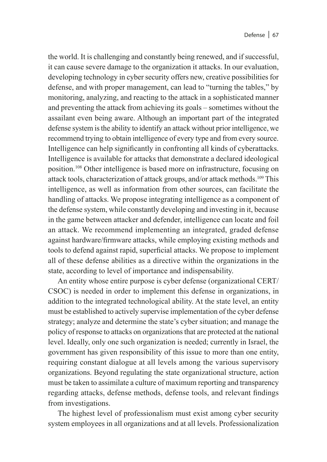the world. It is challenging and constantly being renewed, and if successful, it can cause severe damage to the organization it attacks. In our evaluation, developing technology in cyber security offers new, creative possibilities for defense, and with proper management, can lead to "turning the tables," by monitoring, analyzing, and reacting to the attack in a sophisticated manner and preventing the attack from achieving its goals – sometimes without the assailant even being aware. Although an important part of the integrated defense system is the ability to identify an attack without prior intelligence, we recommend trying to obtain intelligence of every type and from every source. Intelligence can help significantly in confronting all kinds of cyberattacks. Intelligence is available for attacks that demonstrate a declared ideological position.108 Other intelligence is based more on infrastructure, focusing on attack tools, characterization of attack groups, and/or attack methods.109 This intelligence, as well as information from other sources, can facilitate the handling of attacks. We propose integrating intelligence as a component of the defense system, while constantly developing and investing in it, because in the game between attacker and defender, intelligence can locate and foil an attack. We recommend implementing an integrated, graded defense against hardware/firmware attacks, while employing existing methods and tools to defend against rapid, superficial attacks. We propose to implement all of these defense abilities as a directive within the organizations in the state, according to level of importance and indispensability.

An entity whose entire purpose is cyber defense (organizational CERT/ CSOC) is needed in order to implement this defense in organizations, in addition to the integrated technological ability. At the state level, an entity must be established to actively supervise implementation of the cyber defense strategy; analyze and determine the state's cyber situation; and manage the policy of response to attacks on organizations that are protected at the national level. Ideally, only one such organization is needed; currently in Israel, the government has given responsibility of this issue to more than one entity, requiring constant dialogue at all levels among the various supervisory organizations. Beyond regulating the state organizational structure, action must be taken to assimilate a culture of maximum reporting and transparency regarding attacks, defense methods, defense tools, and relevant findings from investigations.

The highest level of professionalism must exist among cyber security system employees in all organizations and at all levels. Professionalization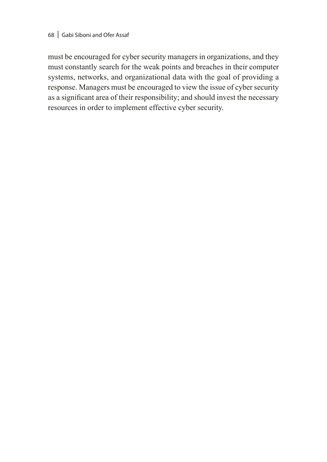#### 68 | Gabi Siboni and Ofer Assaf

must be encouraged for cyber security managers in organizations, and they must constantly search for the weak points and breaches in their computer systems, networks, and organizational data with the goal of providing a response. Managers must be encouraged to view the issue of cyber security as a significant area of their responsibility; and should invest the necessary resources in order to implement effective cyber security.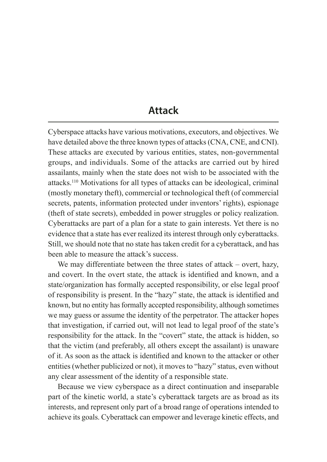# **Attack**

Cyberspace attacks have various motivations, executors, and objectives. We have detailed above the three known types of attacks (CNA, CNE, and CNI). These attacks are executed by various entities, states, non-governmental groups, and individuals. Some of the attacks are carried out by hired assailants, mainly when the state does not wish to be associated with the attacks.110 Motivations for all types of attacks can be ideological, criminal (mostly monetary theft), commercial or technological theft (of commercial secrets, patents, information protected under inventors' rights), espionage (theft of state secrets), embedded in power struggles or policy realization. Cyberattacks are part of a plan for a state to gain interests. Yet there is no evidence that a state has ever realized its interest through only cyberattacks. Still, we should note that no state has taken credit for a cyberattack, and has been able to measure the attack's success.

We may differentiate between the three states of attack – overt, hazy, and covert. In the overt state, the attack is identified and known, and a state/organization has formally accepted responsibility, or else legal proof of responsibility is present. In the "hazy" state, the attack is identified and known, but no entity has formally accepted responsibility, although sometimes we may guess or assume the identity of the perpetrator. The attacker hopes that investigation, if carried out, will not lead to legal proof of the state's responsibility for the attack. In the "covert" state, the attack is hidden, so that the victim (and preferably, all others except the assailant) is unaware of it. As soon as the attack is identified and known to the attacker or other entities (whether publicized or not), it moves to "hazy" status, even without any clear assessment of the identity of a responsible state.

Because we view cyberspace as a direct continuation and inseparable part of the kinetic world, a state's cyberattack targets are as broad as its interests, and represent only part of a broad range of operations intended to achieve its goals. Cyberattack can empower and leverage kinetic effects, and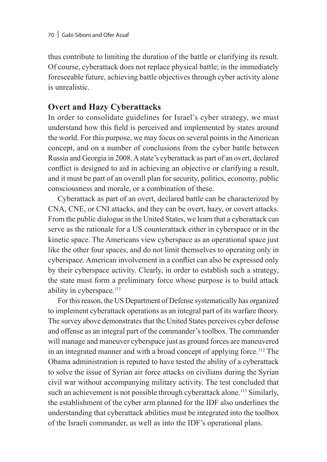thus contribute to limiting the duration of the battle or clarifying its result. Of course, cyberattack does not replace physical battle; in the immediately foreseeable future, achieving battle objectives through cyber activity alone is unrealistic.

# **Overt and Hazy Cyberattacks**

In order to consolidate guidelines for Israel's cyber strategy, we must understand how this field is perceived and implemented by states around the world. For this purpose, we may focus on several points in the American concept, and on a number of conclusions from the cyber battle between Russia and Georgia in 2008. A state's cyberattack as part of an overt, declared conflict is designed to aid in achieving an objective or clarifying a result, and it must be part of an overall plan for security, politics, economy, public consciousness and morale, or a combination of these.

Cyberattack as part of an overt, declared battle can be characterized by CNA, CNE, or CNI attacks, and they can be overt, hazy, or covert attacks. From the public dialogue in the United States, we learn that a cyberattack can serve as the rationale for a US counterattack either in cyberspace or in the kinetic space. The Americans view cyberspace as an operational space just like the other four spaces, and do not limit themselves to operating only in cyberspace. American involvement in a conflict can also be expressed only by their cyberspace activity. Clearly, in order to establish such a strategy, the state must form a preliminary force whose purpose is to build attack ability in cyberspace.<sup>111</sup>

For this reason, the US Department of Defense systematically has organized to implement cyberattack operations as an integral part of its warfare theory. The survey above demonstrates that the United States perceives cyber defense and offense as an integral part of the commander's toolbox. The commander will manage and maneuver cyberspace just as ground forces are maneuvered in an integrated manner and with a broad concept of applying force.112 The Obama administration is reputed to have tested the ability of a cyberattack to solve the issue of Syrian air force attacks on civilians during the Syrian civil war without accompanying military activity. The test concluded that such an achievement is not possible through cyberattack alone.<sup>113</sup> Similarly, the establishment of the cyber arm planned for the IDF also underlines the understanding that cyberattack abilities must be integrated into the toolbox of the Israeli commander, as well as into the IDF's operational plans.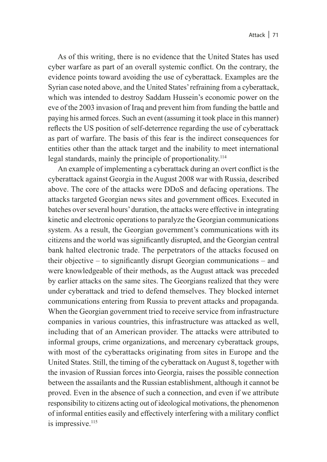As of this writing, there is no evidence that the United States has used cyber warfare as part of an overall systemic conflict. On the contrary, the evidence points toward avoiding the use of cyberattack. Examples are the Syrian case noted above, and the United States' refraining from a cyberattack, which was intended to destroy Saddam Hussein's economic power on the eve of the 2003 invasion of Iraq and prevent him from funding the battle and paying his armed forces. Such an event (assuming it took place in this manner) reflects the US position of self-deterrence regarding the use of cyberattack as part of warfare. The basis of this fear is the indirect consequences for entities other than the attack target and the inability to meet international legal standards, mainly the principle of proportionality.114

An example of implementing a cyberattack during an overt conflict is the cyberattack against Georgia in the August 2008 war with Russia, described above. The core of the attacks were DDoS and defacing operations. The attacks targeted Georgian news sites and government offices. Executed in batches over several hours' duration, the attacks were effective in integrating kinetic and electronic operations to paralyze the Georgian communications system. As a result, the Georgian government's communications with its citizens and the world was significantly disrupted, and the Georgian central bank halted electronic trade. The perpetrators of the attacks focused on their objective – to significantly disrupt Georgian communications – and were knowledgeable of their methods, as the August attack was preceded by earlier attacks on the same sites. The Georgians realized that they were under cyberattack and tried to defend themselves. They blocked internet communications entering from Russia to prevent attacks and propaganda. When the Georgian government tried to receive service from infrastructure companies in various countries, this infrastructure was attacked as well, including that of an American provider. The attacks were attributed to informal groups, crime organizations, and mercenary cyberattack groups, with most of the cyberattacks originating from sites in Europe and the United States. Still, the timing of the cyberattack on August 8, together with the invasion of Russian forces into Georgia, raises the possible connection between the assailants and the Russian establishment, although it cannot be proved. Even in the absence of such a connection, and even if we attribute responsibility to citizens acting out of ideological motivations, the phenomenon of informal entities easily and effectively interfering with a military conflict is impressive.<sup>115</sup>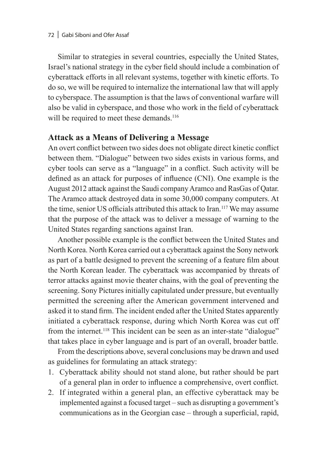Similar to strategies in several countries, especially the United States, Israel's national strategy in the cyber field should include a combination of cyberattack efforts in all relevant systems, together with kinetic efforts. To do so, we will be required to internalize the international law that will apply to cyberspace. The assumption is that the laws of conventional warfare will also be valid in cyberspace, and those who work in the field of cyberattack will be required to meet these demands.<sup>116</sup>

## **Attack as a Means of Delivering a Message**

An overt conflict between two sides does not obligate direct kinetic conflict between them. "Dialogue" between two sides exists in various forms, and cyber tools can serve as a "language" in a conflict. Such activity will be defined as an attack for purposes of influence (CNI). One example is the August 2012 attack against the Saudi company Aramco and RasGas of Qatar. The Aramco attack destroyed data in some 30,000 company computers. At the time, senior US officials attributed this attack to Iran.<sup>117</sup> We may assume that the purpose of the attack was to deliver a message of warning to the United States regarding sanctions against Iran.

Another possible example is the conflict between the United States and North Korea. North Korea carried out a cyberattack against the Sony network as part of a battle designed to prevent the screening of a feature film about the North Korean leader. The cyberattack was accompanied by threats of terror attacks against movie theater chains, with the goal of preventing the screening. Sony Pictures initially capitulated under pressure, but eventually permitted the screening after the American government intervened and asked it to stand firm. The incident ended after the United States apparently initiated a cyberattack response, during which North Korea was cut off from the internet.118 This incident can be seen as an inter-state "dialogue" that takes place in cyber language and is part of an overall, broader battle.

From the descriptions above, several conclusions may be drawn and used as guidelines for formulating an attack strategy:

- 1. Cyberattack ability should not stand alone, but rather should be part of a general plan in order to influence a comprehensive, overt conflict.
- 2. If integrated within a general plan, an effective cyberattack may be implemented against a focused target – such as disrupting a government's communications as in the Georgian case – through a superficial, rapid,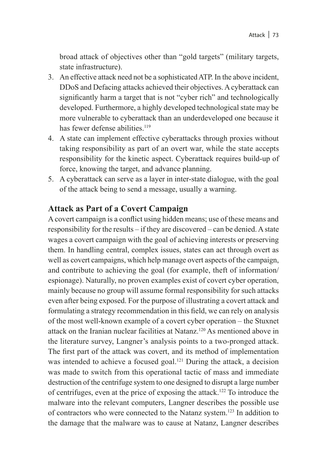broad attack of objectives other than "gold targets" (military targets, state infrastructure).

- 3. An effective attack need not be a sophisticated ATP. In the above incident, DDoS and Defacing attacks achieved their objectives. A cyberattack can significantly harm a target that is not "cyber rich" and technologically developed. Furthermore, a highly developed technological state may be more vulnerable to cyberattack than an underdeveloped one because it has fewer defense abilities.<sup>119</sup>
- 4. A state can implement effective cyberattacks through proxies without taking responsibility as part of an overt war, while the state accepts responsibility for the kinetic aspect. Cyberattack requires build-up of force, knowing the target, and advance planning.
- 5. A cyberattack can serve as a layer in inter-state dialogue, with the goal of the attack being to send a message, usually a warning.

## **Attack as Part of a Covert Campaign**

A covert campaign is a conflict using hidden means; use of these means and responsibility for the results – if they are discovered – can be denied. A state wages a covert campaign with the goal of achieving interests or preserving them. In handling central, complex issues, states can act through overt as well as covert campaigns, which help manage overt aspects of the campaign, and contribute to achieving the goal (for example, theft of information/ espionage). Naturally, no proven examples exist of covert cyber operation, mainly because no group will assume formal responsibility for such attacks even after being exposed. For the purpose of illustrating a covert attack and formulating a strategy recommendation in this field, we can rely on analysis of the most well-known example of a covert cyber operation – the Stuxnet attack on the Iranian nuclear facilities at Natanz.120 As mentioned above in the literature survey, Langner's analysis points to a two-pronged attack. The first part of the attack was covert, and its method of implementation was intended to achieve a focused goal.<sup>121</sup> During the attack, a decision was made to switch from this operational tactic of mass and immediate destruction of the centrifuge system to one designed to disrupt a large number of centrifuges, even at the price of exposing the attack.122 To introduce the malware into the relevant computers, Langner describes the possible use of contractors who were connected to the Natanz system.123 In addition to the damage that the malware was to cause at Natanz, Langner describes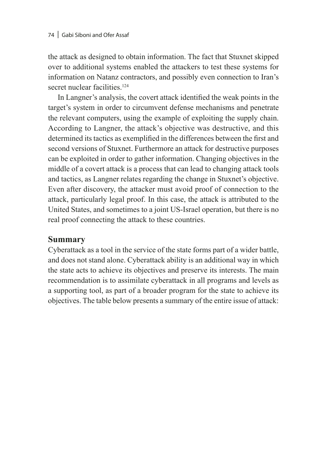the attack as designed to obtain information. The fact that Stuxnet skipped over to additional systems enabled the attackers to test these systems for information on Natanz contractors, and possibly even connection to Iran's secret nuclear facilities.<sup>124</sup>

In Langner's analysis, the covert attack identified the weak points in the target's system in order to circumvent defense mechanisms and penetrate the relevant computers, using the example of exploiting the supply chain. According to Langner, the attack's objective was destructive, and this determined its tactics as exemplified in the differences between the first and second versions of Stuxnet. Furthermore an attack for destructive purposes can be exploited in order to gather information. Changing objectives in the middle of a covert attack is a process that can lead to changing attack tools and tactics, as Langner relates regarding the change in Stuxnet's objective. Even after discovery, the attacker must avoid proof of connection to the attack, particularly legal proof. In this case, the attack is attributed to the United States, and sometimes to a joint US-Israel operation, but there is no real proof connecting the attack to these countries.

## **Summary**

Cyberattack as a tool in the service of the state forms part of a wider battle, and does not stand alone. Cyberattack ability is an additional way in which the state acts to achieve its objectives and preserve its interests. The main recommendation is to assimilate cyberattack in all programs and levels as a supporting tool, as part of a broader program for the state to achieve its objectives. The table below presents a summary of the entire issue of attack: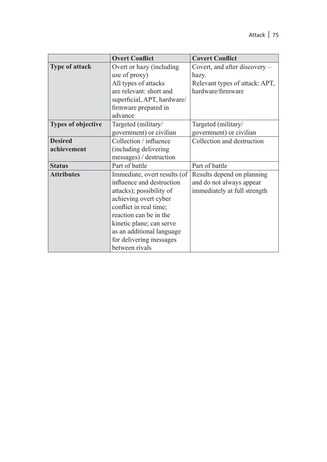|                           | <b>Overt Conflict</b>        | <b>Covert Conflict</b>         |
|---------------------------|------------------------------|--------------------------------|
| <b>Type of attack</b>     | Overt or hazy (including     | Covert, and after discovery –  |
|                           | use of proxy)                | hazy.                          |
|                           | All types of attacks         | Relevant types of attack: APT, |
|                           | are relevant: short and      | hardware/firmware              |
|                           | superficial, APT, hardware/  |                                |
|                           | firmware prepared in         |                                |
|                           | advance                      |                                |
| <b>Types of objective</b> | Targeted (military/          | Targeted (military/            |
|                           | government) or civilian      | government) or civilian        |
| <b>Desired</b>            | Collection / influence       | Collection and destruction     |
| achievement               | (including delivering)       |                                |
|                           | messages) / destruction      |                                |
| <b>Status</b>             | Part of battle               | Part of battle                 |
| <b>Attributes</b>         | Immediate, overt results (of | Results depend on planning     |
|                           | influence and destruction    | and do not always appear       |
|                           | attacks); possibility of     | immediately at full strength   |
|                           | achieving overt cyber        |                                |
|                           | conflict in real time;       |                                |
|                           | reaction can be in the       |                                |
|                           | kinetic plane; can serve     |                                |
|                           | as an additional language    |                                |
|                           | for delivering messages      |                                |
|                           | between rivals               |                                |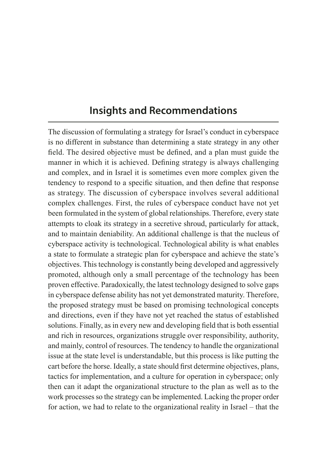# **Insights and Recommendations**

The discussion of formulating a strategy for Israel's conduct in cyberspace is no different in substance than determining a state strategy in any other field. The desired objective must be defined, and a plan must guide the manner in which it is achieved. Defining strategy is always challenging and complex, and in Israel it is sometimes even more complex given the tendency to respond to a specific situation, and then define that response as strategy. The discussion of cyberspace involves several additional complex challenges. First, the rules of cyberspace conduct have not yet been formulated in the system of global relationships. Therefore, every state attempts to cloak its strategy in a secretive shroud, particularly for attack, and to maintain deniability. An additional challenge is that the nucleus of cyberspace activity is technological. Technological ability is what enables a state to formulate a strategic plan for cyberspace and achieve the state's objectives. This technology is constantly being developed and aggressively promoted, although only a small percentage of the technology has been proven effective. Paradoxically, the latest technology designed to solve gaps in cyberspace defense ability has not yet demonstrated maturity. Therefore, the proposed strategy must be based on promising technological concepts and directions, even if they have not yet reached the status of established solutions. Finally, as in every new and developing field that is both essential and rich in resources, organizations struggle over responsibility, authority, and mainly, control of resources. The tendency to handle the organizational issue at the state level is understandable, but this process is like putting the cart before the horse. Ideally, a state should first determine objectives, plans, tactics for implementation, and a culture for operation in cyberspace; only then can it adapt the organizational structure to the plan as well as to the work processes so the strategy can be implemented. Lacking the proper order for action, we had to relate to the organizational reality in Israel – that the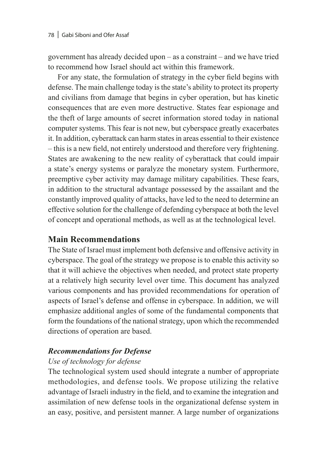government has already decided upon – as a constraint – and we have tried to recommend how Israel should act within this framework.

For any state, the formulation of strategy in the cyber field begins with defense. The main challenge today is the state's ability to protect its property and civilians from damage that begins in cyber operation, but has kinetic consequences that are even more destructive. States fear espionage and the theft of large amounts of secret information stored today in national computer systems. This fear is not new, but cyberspace greatly exacerbates it. In addition, cyberattack can harm states in areas essential to their existence – this is a new field, not entirely understood and therefore very frightening. States are awakening to the new reality of cyberattack that could impair a state's energy systems or paralyze the monetary system. Furthermore, preemptive cyber activity may damage military capabilities. These fears, in addition to the structural advantage possessed by the assailant and the constantly improved quality of attacks, have led to the need to determine an effective solution for the challenge of defending cyberspace at both the level of concept and operational methods, as well as at the technological level.

## **Main Recommendations**

The State of Israel must implement both defensive and offensive activity in cyberspace. The goal of the strategy we propose is to enable this activity so that it will achieve the objectives when needed, and protect state property at a relatively high security level over time. This document has analyzed various components and has provided recommendations for operation of aspects of Israel's defense and offense in cyberspace. In addition, we will emphasize additional angles of some of the fundamental components that form the foundations of the national strategy, upon which the recommended directions of operation are based.

## *Recommendations for Defense*

## *Use of technology for defense*

The technological system used should integrate a number of appropriate methodologies, and defense tools. We propose utilizing the relative advantage of Israeli industry in the field, and to examine the integration and assimilation of new defense tools in the organizational defense system in an easy, positive, and persistent manner. A large number of organizations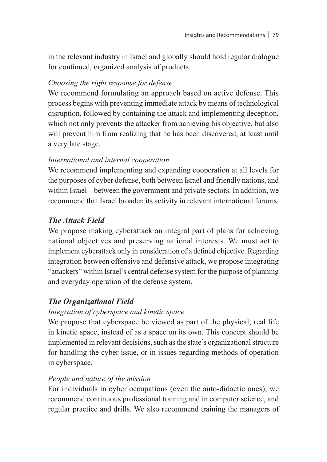in the relevant industry in Israel and globally should hold regular dialogue for continued, organized analysis of products.

#### *Choosing the right response for defense*

We recommend formulating an approach based on active defense. This process begins with preventing immediate attack by means of technological disruption, followed by containing the attack and implementing deception, which not only prevents the attacker from achieving his objective, but also will prevent him from realizing that he has been discovered, at least until a very late stage.

#### *International and internal cooperation*

We recommend implementing and expanding cooperation at all levels for the purposes of cyber defense, both between Israel and friendly nations, and within Israel – between the government and private sectors. In addition, we recommend that Israel broaden its activity in relevant international forums.

## *The Attack Field*

We propose making cyberattack an integral part of plans for achieving national objectives and preserving national interests. We must act to implement cyberattack only in consideration of a defined objective. Regarding integration between offensive and defensive attack, we propose integrating "attackers" within Israel's central defense system for the purpose of planning and everyday operation of the defense system.

## *The Organizational Field*

## *Integration of cyberspace and kinetic space*

We propose that cyberspace be viewed as part of the physical, real life in kinetic space, instead of as a space on its own. This concept should be implemented in relevant decisions, such as the state's organizational structure for handling the cyber issue, or in issues regarding methods of operation in cyberspace.

## *People and nature of the mission*

For individuals in cyber occupations (even the auto-didactic ones), we recommend continuous professional training and in computer science, and regular practice and drills. We also recommend training the managers of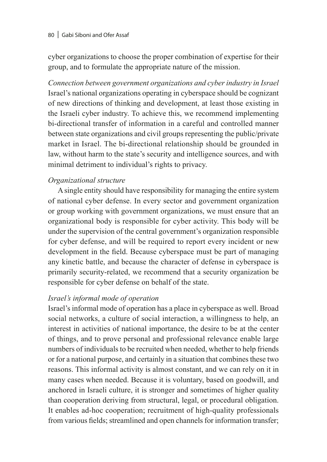#### 80 | Gabi Siboni and Ofer Assaf

cyber organizations to choose the proper combination of expertise for their group, and to formulate the appropriate nature of the mission.

*Connection between government organizations and cyber industry in Israel* Israel's national organizations operating in cyberspace should be cognizant of new directions of thinking and development, at least those existing in the Israeli cyber industry. To achieve this, we recommend implementing bi-directional transfer of information in a careful and controlled manner between state organizations and civil groups representing the public/private market in Israel. The bi-directional relationship should be grounded in law, without harm to the state's security and intelligence sources, and with minimal detriment to individual's rights to privacy.

#### *Organizational structure*

A single entity should have responsibility for managing the entire system of national cyber defense. In every sector and government organization or group working with government organizations, we must ensure that an organizational body is responsible for cyber activity. This body will be under the supervision of the central government's organization responsible for cyber defense, and will be required to report every incident or new development in the field. Because cyberspace must be part of managing any kinetic battle, and because the character of defense in cyberspace is primarily security-related, we recommend that a security organization be responsible for cyber defense on behalf of the state.

#### *Israel's informal mode of operation*

Israel's informal mode of operation has a place in cyberspace as well. Broad social networks, a culture of social interaction, a willingness to help, an interest in activities of national importance, the desire to be at the center of things, and to prove personal and professional relevance enable large numbers of individuals to be recruited when needed, whether to help friends or for a national purpose, and certainly in a situation that combines these two reasons. This informal activity is almost constant, and we can rely on it in many cases when needed. Because it is voluntary, based on goodwill, and anchored in Israeli culture, it is stronger and sometimes of higher quality than cooperation deriving from structural, legal, or procedural obligation. It enables ad-hoc cooperation; recruitment of high-quality professionals from various fields; streamlined and open channels for information transfer;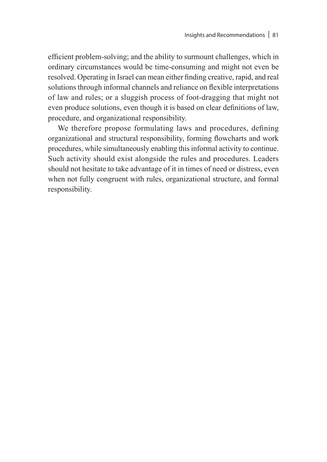efficient problem-solving; and the ability to surmount challenges, which in ordinary circumstances would be time-consuming and might not even be resolved. Operating in Israel can mean either finding creative, rapid, and real solutions through informal channels and reliance on flexible interpretations of law and rules; or a sluggish process of foot-dragging that might not even produce solutions, even though it is based on clear definitions of law, procedure, and organizational responsibility.

We therefore propose formulating laws and procedures, defining organizational and structural responsibility, forming flowcharts and work procedures, while simultaneously enabling this informal activity to continue. Such activity should exist alongside the rules and procedures. Leaders should not hesitate to take advantage of it in times of need or distress, even when not fully congruent with rules, organizational structure, and formal responsibility.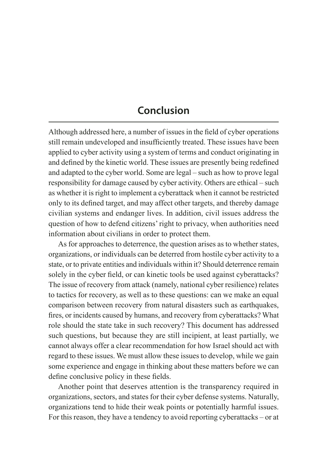# **Conclusion**

Although addressed here, a number of issues in the field of cyber operations still remain undeveloped and insufficiently treated. These issues have been applied to cyber activity using a system of terms and conduct originating in and defined by the kinetic world. These issues are presently being redefined and adapted to the cyber world. Some are legal – such as how to prove legal responsibility for damage caused by cyber activity. Others are ethical – such as whether it is right to implement a cyberattack when it cannot be restricted only to its defined target, and may affect other targets, and thereby damage civilian systems and endanger lives. In addition, civil issues address the question of how to defend citizens' right to privacy, when authorities need information about civilians in order to protect them.

As for approaches to deterrence, the question arises as to whether states, organizations, or individuals can be deterred from hostile cyber activity to a state, or to private entities and individuals within it? Should deterrence remain solely in the cyber field, or can kinetic tools be used against cyberattacks? The issue of recovery from attack (namely, national cyber resilience) relates to tactics for recovery, as well as to these questions: can we make an equal comparison between recovery from natural disasters such as earthquakes, fires, or incidents caused by humans, and recovery from cyberattacks? What role should the state take in such recovery? This document has addressed such questions, but because they are still incipient, at least partially, we cannot always offer a clear recommendation for how Israel should act with regard to these issues. We must allow these issues to develop, while we gain some experience and engage in thinking about these matters before we can define conclusive policy in these fields.

Another point that deserves attention is the transparency required in organizations, sectors, and states for their cyber defense systems. Naturally, organizations tend to hide their weak points or potentially harmful issues. For this reason, they have a tendency to avoid reporting cyberattacks – or at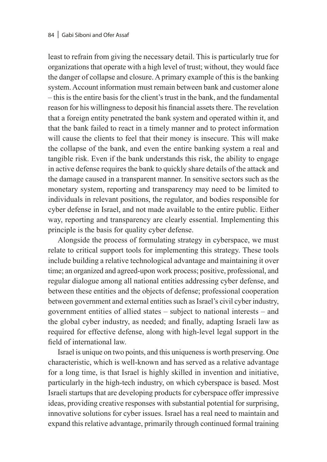least to refrain from giving the necessary detail. This is particularly true for organizations that operate with a high level of trust; without, they would face the danger of collapse and closure. A primary example of this is the banking system. Account information must remain between bank and customer alone – this is the entire basis for the client's trust in the bank, and the fundamental reason for his willingness to deposit his financial assets there. The revelation that a foreign entity penetrated the bank system and operated within it, and that the bank failed to react in a timely manner and to protect information will cause the clients to feel that their money is insecure. This will make the collapse of the bank, and even the entire banking system a real and tangible risk. Even if the bank understands this risk, the ability to engage in active defense requires the bank to quickly share details of the attack and the damage caused in a transparent manner. In sensitive sectors such as the monetary system, reporting and transparency may need to be limited to individuals in relevant positions, the regulator, and bodies responsible for cyber defense in Israel, and not made available to the entire public. Either way, reporting and transparency are clearly essential. Implementing this principle is the basis for quality cyber defense.

Alongside the process of formulating strategy in cyberspace, we must relate to critical support tools for implementing this strategy. These tools include building a relative technological advantage and maintaining it over time; an organized and agreed-upon work process; positive, professional, and regular dialogue among all national entities addressing cyber defense, and between these entities and the objects of defense; professional cooperation between government and external entities such as Israel's civil cyber industry, government entities of allied states – subject to national interests – and the global cyber industry, as needed; and finally, adapting Israeli law as required for effective defense, along with high-level legal support in the field of international law.

Israel is unique on two points, and this uniqueness is worth preserving. One characteristic, which is well-known and has served as a relative advantage for a long time, is that Israel is highly skilled in invention and initiative, particularly in the high-tech industry, on which cyberspace is based. Most Israeli startups that are developing products for cyberspace offer impressive ideas, providing creative responses with substantial potential for surprising, innovative solutions for cyber issues. Israel has a real need to maintain and expand this relative advantage, primarily through continued formal training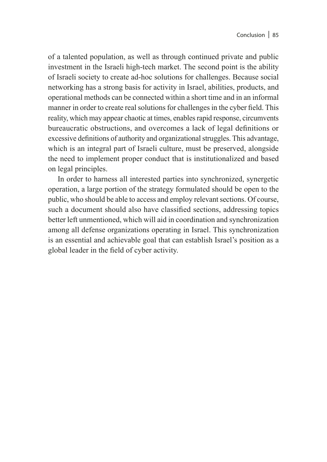of a talented population, as well as through continued private and public investment in the Israeli high-tech market. The second point is the ability of Israeli society to create ad-hoc solutions for challenges. Because social networking has a strong basis for activity in Israel, abilities, products, and operational methods can be connected within a short time and in an informal manner in order to create real solutions for challenges in the cyber field. This reality, which may appear chaotic at times, enables rapid response, circumvents bureaucratic obstructions, and overcomes a lack of legal definitions or excessive definitions of authority and organizational struggles. This advantage, which is an integral part of Israeli culture, must be preserved, alongside the need to implement proper conduct that is institutionalized and based on legal principles.

In order to harness all interested parties into synchronized, synergetic operation, a large portion of the strategy formulated should be open to the public, who should be able to access and employ relevant sections. Of course, such a document should also have classified sections, addressing topics better left unmentioned, which will aid in coordination and synchronization among all defense organizations operating in Israel. This synchronization is an essential and achievable goal that can establish Israel's position as a global leader in the field of cyber activity.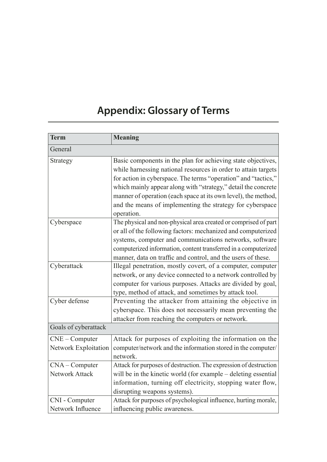# **Appendix: Glossary of Terms**

| <b>Term</b>                              | <b>Meaning</b>                                                                                                                                                                                                                                                                                                                                                                                                  |
|------------------------------------------|-----------------------------------------------------------------------------------------------------------------------------------------------------------------------------------------------------------------------------------------------------------------------------------------------------------------------------------------------------------------------------------------------------------------|
| General                                  |                                                                                                                                                                                                                                                                                                                                                                                                                 |
| Strategy                                 | Basic components in the plan for achieving state objectives,<br>while harnessing national resources in order to attain targets<br>for action in cyberspace. The terms "operation" and "tactics,"<br>which mainly appear along with "strategy," detail the concrete<br>manner of operation (each space at its own level), the method,<br>and the means of implementing the strategy for cyberspace<br>operation. |
| Cyberspace                               | The physical and non-physical area created or comprised of part<br>or all of the following factors: mechanized and computerized<br>systems, computer and communications networks, software<br>computerized information, content transferred in a computerized<br>manner, data on traffic and control, and the users of these.                                                                                   |
| Cyberattack                              | Illegal penetration, mostly covert, of a computer, computer<br>network, or any device connected to a network controlled by<br>computer for various purposes. Attacks are divided by goal,<br>type, method of attack, and sometimes by attack tool.                                                                                                                                                              |
| Cyber defense                            | Preventing the attacker from attaining the objective in<br>cyberspace. This does not necessarily mean preventing the<br>attacker from reaching the computers or network.                                                                                                                                                                                                                                        |
| Goals of cyberattack                     |                                                                                                                                                                                                                                                                                                                                                                                                                 |
| $CNE - Computer$<br>Network Exploitation | Attack for purposes of exploiting the information on the<br>computer/network and the information stored in the computer/<br>network.                                                                                                                                                                                                                                                                            |
| $CNA$ – Computer<br>Network Attack       | Attack for purposes of destruction. The expression of destruction<br>will be in the kinetic world (for example – deleting essential<br>information, turning off electricity, stopping water flow,<br>disrupting weapons systems).                                                                                                                                                                               |
| CNI - Computer<br>Network Influence      | Attack for purposes of psychological influence, hurting morale,<br>influencing public awareness.                                                                                                                                                                                                                                                                                                                |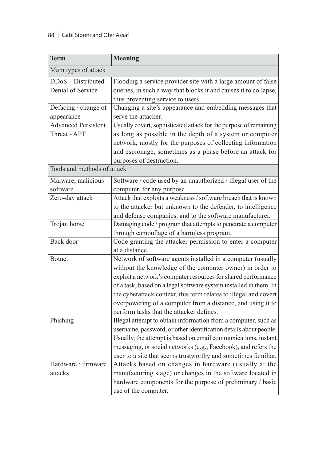#### 88 | Gabi Siboni and Ofer Assaf

| <b>Term</b>                                | <b>Meaning</b>                                                                                                                                                                                                                                                                                                                                                                                                                               |  |
|--------------------------------------------|----------------------------------------------------------------------------------------------------------------------------------------------------------------------------------------------------------------------------------------------------------------------------------------------------------------------------------------------------------------------------------------------------------------------------------------------|--|
| Main types of attack                       |                                                                                                                                                                                                                                                                                                                                                                                                                                              |  |
| DDoS - Distributed<br>Denial of Service    | Flooding a service provider site with a large amount of false<br>queries, in such a way that blocks it and causes it to collapse,<br>thus preventing service to users.                                                                                                                                                                                                                                                                       |  |
| Defacing / change of<br>appearance         | Changing a site's appearance and embedding messages that<br>serve the attacker.                                                                                                                                                                                                                                                                                                                                                              |  |
| <b>Advanced Persistent</b><br>Threat - APT | Usually covert, sophisticated attack for the purpose of remaining<br>as long as possible in the depth of a system or computer<br>network, mostly for the purposes of collecting information<br>and espionage, sometimes as a phase before an attack for<br>purposes of destruction.                                                                                                                                                          |  |
| Tools and methods of attack                |                                                                                                                                                                                                                                                                                                                                                                                                                                              |  |
| Malware, malicious<br>software             | Software / code used by an unauthorized / illegal user of the<br>computer, for any purpose.                                                                                                                                                                                                                                                                                                                                                  |  |
| Zero-day attack                            | Attack that exploits a weakness / software breach that is known<br>to the attacker but unknown to the defender, to intelligence<br>and defense companies, and to the software manufacturer.                                                                                                                                                                                                                                                  |  |
| Trojan horse                               | Damaging code / program that attempts to penetrate a computer<br>through camouflage of a harmless program.                                                                                                                                                                                                                                                                                                                                   |  |
| Back door                                  | Code granting the attacker permission to enter a computer<br>at a distance.                                                                                                                                                                                                                                                                                                                                                                  |  |
| <b>Botnet</b>                              | Network of software agents installed in a computer (usually<br>without the knowledge of the computer owner) in order to<br>exploit a network's computer resources for shared performance<br>of a task, based on a legal software system installed in them. In<br>the cyberattack context, this term relates to illegal and covert<br>overpowering of a computer from a distance, and using it to<br>perform tasks that the attacker defines. |  |
| Phishing                                   | Illegal attempt to obtain information from a computer, such as<br>username, password, or other identification details about people.<br>Usually, the attempt is based on email communications, instant<br>messaging, or social networks (e.g., Facebook), and refers the<br>user to a site that seems trustworthy and sometimes familiar.                                                                                                     |  |
| Hardware / firmware<br>attacks             | Attacks based on changes in hardware (usually at the<br>manufacturing stage) or changes in the software located in<br>hardware components for the purpose of preliminary / basic<br>use of the computer.                                                                                                                                                                                                                                     |  |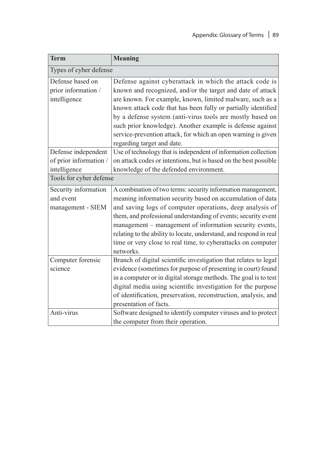| <b>Term</b>                                                                              | <b>Meaning</b>                                                                                                                                                                                                                                                                                                                                                                                                                                                               |  |
|------------------------------------------------------------------------------------------|------------------------------------------------------------------------------------------------------------------------------------------------------------------------------------------------------------------------------------------------------------------------------------------------------------------------------------------------------------------------------------------------------------------------------------------------------------------------------|--|
| Types of cyber defense                                                                   |                                                                                                                                                                                                                                                                                                                                                                                                                                                                              |  |
| Defense based on<br>prior information /<br>intelligence                                  | Defense against cyberattack in which the attack code is<br>known and recognized, and/or the target and date of attack<br>are known. For example, known, limited malware, such as a<br>known attack code that has been fully or partially identified<br>by a defense system (anti-virus tools are mostly based on<br>such prior knowledge). Another example is defense against<br>service-prevention attack, for which an open warning is given<br>regarding target and date. |  |
| Defense independent<br>of prior information /<br>intelligence<br>Tools for cyber defense | Use of technology that is independent of information collection<br>on attack codes or intentions, but is based on the best possible<br>knowledge of the defended environment.                                                                                                                                                                                                                                                                                                |  |
| Security information<br>and event<br>management - SIEM                                   | A combination of two terms: security information management,<br>meaning information security based on accumulation of data<br>and saving logs of computer operations, deep analysis of<br>them, and professional understanding of events; security event<br>management – management of information security events,<br>relating to the ability to locate, understand, and respond in real<br>time or very close to real time, to cyberattacks on computer<br>networks.       |  |
| Computer forensic<br>science                                                             | Branch of digital scientific investigation that relates to legal<br>evidence (sometimes for purpose of presenting in court) found<br>in a computer or in digital storage methods. The goal is to test<br>digital media using scientific investigation for the purpose<br>of identification, preservation, reconstruction, analysis, and<br>presentation of facts.                                                                                                            |  |
| Anti-virus                                                                               | Software designed to identify computer viruses and to protect<br>the computer from their operation.                                                                                                                                                                                                                                                                                                                                                                          |  |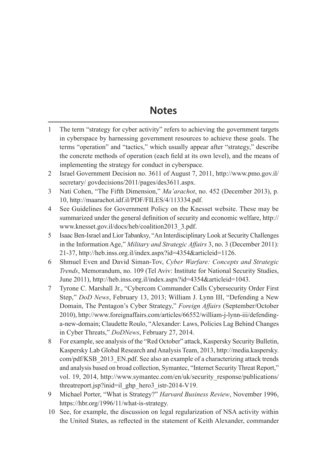## **Notes**

- 1 The term "strategy for cyber activity" refers to achieving the government targets in cyberspace by harnessing government resources to achieve these goals. The terms "operation" and "tactics," which usually appear after "strategy," describe the concrete methods of operation (each field at its own level), and the means of implementing the strategy for conduct in cyberspace.
- 2 Israel Government Decision no. 3611 of August 7, 2011, http://www.pmo.gov.il/ secretary/govdecisions/2011/pages/des3611.aspx.
- 3 Nati Cohen, "The Fifth Dimension," *Ma'arachot*, no. 452 (December 2013), p. 10, http://maarachot.idf.il/PDF/FILES/4/113334.pdf.
- 4 See Guidelines for Government Policy on the Knesset website. These may be summarized under the general definition of security and economic welfare, http:// www.knesset.gov.il/docs/heb/coalition2013\_3.pdf.
- 5 Isaac Ben-Israel and Lior Tabanksy, "An Interdisciplinary Look at Security Challenges in the Information Age," *Military and Strategic Affairs* 3, no. 3 (December 2011): 21-37, http://heb.inss.org.il/index.aspx?id=4354&articleid=1126.
- 6 Shmuel Even and David Siman-Tov, *Cyber Warfare: Concepts and Strategic Trends*, Memorandum, no. 109 (Tel Aviv: Institute for National Security Studies, June 2011), http://heb.inss.org.il/index.aspx?id=4354&articleid=1043.
- 7 Tyrone C. Marshall Jr., "Cybercom Commander Calls Cybersecurity Order First Step," *DoD News*, February 13, 2013; William J. Lynn III, "Defending a New Domain, The Pentagon's Cyber Strategy," *Foreign Affairs* (September/October 2010), http://www.foreignaffairs.com/articles/66552/william-j-lynn-iii/defendinga-new-domain; Claudette Roulo, "Alexander: Laws, Policies Lag Behind Changes in Cyber Threats," *DoDNews*, February 27, 2014.
- 8 For example, see analysis of the "Red October" attack, Kaspersky Security Bulletin, Kaspersky Lab Global Research and Analysis Team, 2013, http://media.kaspersky. com/pdf/KSB\_2013\_EN.pdf. See also an example of a characterizing attack trends and analysis based on broad collection, Symantec, "Internet Security Threat Report," vol. 19, 2014, http://www.symantec.com/en/uk/security\_response/publications/ threatreport.jsp?inid=il\_ghp\_hero3\_istr-2014-V19.
- 9 Michael Porter, "What is Strategy?" *Harvard Business Review*, November 1996, https://hbr.org/1996/11/what-is-strategy.
- 10 See, for example, the discussion on legal regularization of NSA activity within the United States, as reflected in the statement of Keith Alexander, commander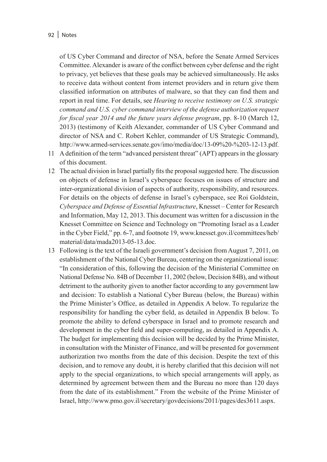of US Cyber Command and director of NSA, before the Senate Armed Services Committee. Alexander is aware of the conflict between cyber defense and the right to privacy, yet believes that these goals may be achieved simultaneously. He asks to receive data without content from internet providers and in return give them classified information on attributes of malware, so that they can find them and report in real time. For details, see *Hearing to receive testimony on U.S. strategic command and U.S. cyber command interview of the defense authorization request for fiscal year 2014 and the future years defense program*, pp. 8-10 (March 12, 2013) (testimony of Keith Alexander, commander of US Cyber Command and director of NSA and C. Robert Kehler, commander of US Strategic Command), http://www.armed-services.senate.gov/imo/media/doc/13-09%20-%203-12-13.pdf.

- 11 A definition of the term "advanced persistent threat" (APT) appears in the glossary of this document.
- 12 The actual division in Israel partially fits the proposal suggested here. The discussion on objects of defense in Israel's cyberspace focuses on issues of structure and inter-organizational division of aspects of authority, responsibility, and resources. For details on the objects of defense in Israel's cyberspace, see Roi Goldstein, *Cyberspace and Defense of Essential Infrastructure*, Knesset – Center for Research and Information, May 12, 2013. This document was written for a discussion in the Knesset Committee on Science and Technology on "Promoting Israel as a Leader in the Cyber Field," pp. 6-7, and footnote 19, www.knesset.gov.il/committees/heb/ material/data/mada2013-05-13.doc.
- 13 Following is the text of the Israeli government's decision from August 7, 2011, on establishment of the National Cyber Bureau, centering on the organizational issue: "In consideration of this, following the decision of the Ministerial Committee on National Defense No. 84B of December 11, 2002 (below, Decision 84B), and without detriment to the authority given to another factor according to any government law and decision: To establish a National Cyber Bureau (below, the Bureau) within the Prime Minister's Office, as detailed in Appendix A below. To regularize the responsibility for handling the cyber field, as detailed in Appendix B below. To promote the ability to defend cyberspace in Israel and to promote research and development in the cyber field and super-computing, as detailed in Appendix A. The budget for implementing this decision will be decided by the Prime Minister, in consultation with the Minister of Finance, and will be presented for government authorization two months from the date of this decision. Despite the text of this decision, and to remove any doubt, it is hereby clarified that this decision will not apply to the special organizations, to which special arrangements will apply, as determined by agreement between them and the Bureau no more than 120 days from the date of its establishment." From the website of the Prime Minister of Israel, http://www.pmo.gov.il/secretary/govdecisions/2011/pages/des3611.aspx.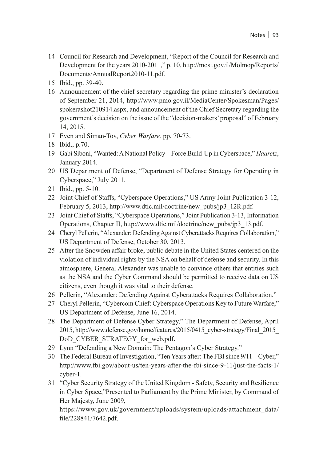- 14 Council for Research and Development, "Report of the Council for Research and Development for the years 2010-2011," p. 10, http://most.gov.il/Molmop/Reports/ Documents/AnnualReport2010-11.pdf.
- 15 Ibid., pp. 39-40.
- 16 Announcement of the chief secretary regarding the prime minister's declaration of September 21, 2014, http://www.pmo.gov.il/MediaCenter/Spokesman/Pages/ spokerashot210914.aspx, and announcement of the Chief Secretary regarding the government's decision on the issue of the "decision-makers' proposal" of February 14, 2015.
- 17 Even and Siman-Tov, *Cyber Warfare,* pp. 70-73.
- 18 Ibid., p.70.
- 19 Gabi Siboni, "Wanted: A National Policy Force Build-Up in Cyberspace," *Haaretz*, January 2014.
- 20 US Department of Defense, "Department of Defense Strategy for Operating in Cyberspace," July 2011.
- 21 Ibid., pp. 5-10.
- 22 Joint Chief of Staffs, "Cyberspace Operations," US Army Joint Publication 3-12, February 5, 2013, http://www.dtic.mil/doctrine/new\_pubs/jp3\_12R.pdf.
- 23 Joint Chief of Staffs, "Cyberspace Operations," Joint Publication 3-13, Information Operations, Chapter II, http://www.dtic.mil/doctrine/new\_pubs/jp3\_13.pdf.
- 24 Cheryl Pellerin, "Alexander: Defending Against Cyberattacks Requires Collaboration," US Department of Defense, October 30, 2013.
- 25 After the Snowden affair broke, public debate in the United States centered on the violation of individual rights by the NSA on behalf of defense and security. In this atmosphere, General Alexander was unable to convince others that entities such as the NSA and the Cyber Command should be permitted to receive data on US citizens, even though it was vital to their defense.
- 26 Pellerin, "Alexander: Defending Against Cyberattacks Requires Collaboration."
- 27 Cheryl Pellerin, "Cybercom Chief: Cyberspace Operations Key to Future Warfare," US Department of Defense, June 16, 2014.
- 28 The Department of Defense Cyber Strategy," The Department of Defense, April 2015, http://www.defense.gov/home/features/2015/0415\_cyber-strategy/Final\_2015\_ DoD\_CYBER\_STRATEGY\_for\_web.pdf.
- 29 Lynn "Defending a New Domain: The Pentagon's Cyber Strategy."
- 30 The Federal Bureau of Investigation, "Ten Years after: The FBI since 9/11 Cyber," http://www.fbi.gov/about-us/ten-years-after-the-fbi-since-9-11/just-the-facts-1/ cyber-1.
- 31 "Cyber Security Strategy of the United Kingdom Safety, Security and Resilience in Cyber Space,"Presented to Parliament by the Prime Minister, by Command of Her Majesty, June 2009,

https://www.gov.uk/government/uploads/system/uploads/attachment\_data/ file/228841/7642.pdf.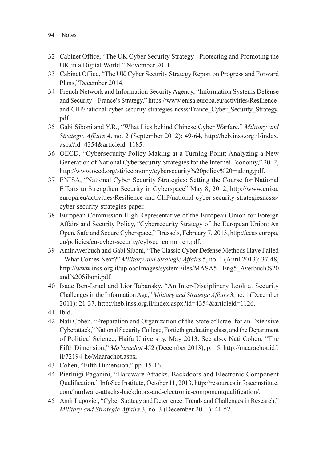- 32 Cabinet Office, "The UK Cyber Security Strategy Protecting and Promoting the UK in a Digital World," November 2011.
- 33 Cabinet Office, "The UK Cyber Security Strategy Report on Progress and Forward Plans,"December 2014.
- 34 French Network and Information Security Agency, "Information Systems Defense and Security – France's Strategy," https://www.enisa.europa.eu/activities/Resilienceand-CIIP/national-cyber-security-strategies-ncsss/France\_Cyber\_Security\_Strategy. pdf.
- 35 Gabi Siboni and Y.R., "What Lies behind Chinese Cyber Warfare," *Military and Strategic Affairs* 4, no. 2 (September 2012): 49-64, http://heb.inss.org.il/index. aspx?id=4354&articleid=1185.
- 36 OECD, "Cybersecurity Policy Making at a Turning Point: Analyzing a New Generation of National Cybersecurity Strategies for the Internet Economy," 2012, http://www.oecd.org/sti/ieconomy/cybersecurity%20policy%20making.pdf.
- 37 ENISA, "National Cyber Security Strategies: Setting the Course for National Efforts to Strengthen Security in Cyberspace" May 8, 2012, http://www.enisa. europa.eu/activities/Resilience-and-CIIP/national-cyber-security-strategiesncsss/ cyber-security-strategies-paper.
- 38 European Commission High Representative of the European Union for Foreign Affairs and Security Policy, "Cybersecurity Strategy of the European Union: An Open, Safe and Secure Cyberspace," Brussels, February 7, 2013, http://eeas.europa. eu/policies/eu-cyber-security/cybsec\_comm\_en.pdf.
- 39 Amir Averbuch and Gabi Siboni, "The Classic Cyber Defense Methods Have Failed – What Comes Next?" *Military and Strategic Affairs* 5, no. 1 (April 2013): 37-48, http://www.inss.org.il/uploadImages/systemFiles/MASA5-1Eng5\_Averbuch%20 and%20Siboni.pdf.
- 40 Isaac Ben-Israel and Lior Tabansky, "An Inter-Disciplinary Look at Security Challenges in the Information Age," *Military and Strategic Affairs* 3, no. 1 (December 2011): 21-37, http://heb.inss.org.il/index.aspx?id=4354&articleid=1126.
- 41 Ibid.
- 42 Nati Cohen, "Preparation and Organization of the State of Israel for an Extensive Cyberattack," National Security College, Fortieth graduating class, and the Department of Political Science, Haifa University, May 2013. See also, Nati Cohen, "The Fifth Dimension," *Ma'arachot* 452 (December 2013), p. 15, http://maarachot.idf. il/72194-he/Maarachot.aspx.
- 43 Cohen, "Fifth Dimension," pp. 15-16.
- 44 Pierluigi Paganini, "Hardware Attacks, Backdoors and Electronic Component Qualification," InfoSec Institute, October 11, 2013, http://resources.infosecinstitute. com/hardware-attacks-backdoors-and-electronic-componentqualification/.
- 45 Amir Lupovici, "Cyber Strategy and Deterrence: Trends and Challenges in Research," *Military and Strategic Affairs* 3, no. 3 (December 2011): 41-52.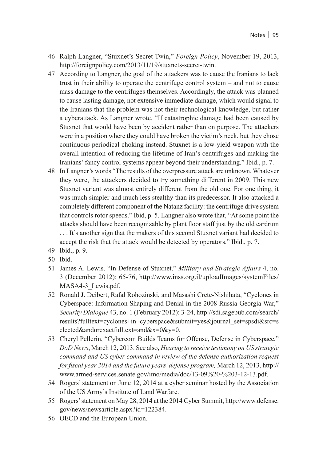- 46 Ralph Langner, "Stuxnet's Secret Twin," *Foreign Policy*, November 19, 2013, http://foreignpolicy.com/2013/11/19/stuxnets-secret-twin.
- 47 According to Langner, the goal of the attackers was to cause the Iranians to lack trust in their ability to operate the centrifuge control system – and not to cause mass damage to the centrifuges themselves. Accordingly, the attack was planned to cause lasting damage, not extensive immediate damage, which would signal to the Iranians that the problem was not their technological knowledge, but rather a cyberattack. As Langner wrote, "If catastrophic damage had been caused by Stuxnet that would have been by accident rather than on purpose. The attackers were in a position where they could have broken the victim's neck, but they chose continuous periodical choking instead. Stuxnet is a low-yield weapon with the overall intention of reducing the lifetime of Iran's centrifuges and making the Iranians' fancy control systems appear beyond their understanding." Ibid., p. 7.
- 48 In Langner's words "The results of the overpressure attack are unknown. Whatever they were, the attackers decided to try something different in 2009. This new Stuxnet variant was almost entirely different from the old one. For one thing, it was much simpler and much less stealthy than its predecessor. It also attacked a completely different component of the Natanz facility: the centrifuge drive system that controls rotor speeds." Ibid, p. 5. Langner also wrote that, "At some point the attacks should have been recognizable by plant floor staff just by the old eardrum . . . It's another sign that the makers of this second Stuxnet variant had decided to accept the risk that the attack would be detected by operators." Ibid., p. 7.
- 49 Ibid., p. 9.
- 50 Ibid.
- 51 James A. Lewis, "In Defense of Stuxnet," *Military and Strategic Affairs* 4, no. 3 (December 2012): 65-76, http://www.inss.org.il/uploadImages/systemFiles/ MASA4-3 Lewis.pdf.
- 52 Ronald J. Deibert, Rafal Rohozinski, and Masashi Crete-Nishihata, "Cyclones in Cyberspace: Information Shaping and Denial in the 2008 Russia-Georgia War," *Security Dialogue* 43, no. 1 (February 2012): 3-24, http://sdi.sagepub.com/search/ results?fulltext=cyclones+in+cyberspace&submit=yes&journal\_set=spsdi&src=s elected&andorexactfulltext=and&x=0&y=0.
- 53 Cheryl Pellerin, "Cybercom Builds Teams for Offense, Defense in Cyberspace," *DoD News*, March 12, 2013. See also, *Hearing to receive testimony on US strategic command and US cyber command in review of the defense authorization request for fiscal year 2014 and the future years' defense program,* March 12, 2013, http:// www.armed-services.senate.gov/imo/media/doc/13-09%20-%203-12-13.pdf.
- 54 Rogers' statement on June 12, 2014 at a cyber seminar hosted by the Association of the US Army's Institute of Land Warfare.
- 55 Rogers' statement on May 28, 2014 at the 2014 Cyber Summit, http://www.defense. gov/news/newsarticle.aspx?id=122384.
- 56 OECD and the European Union.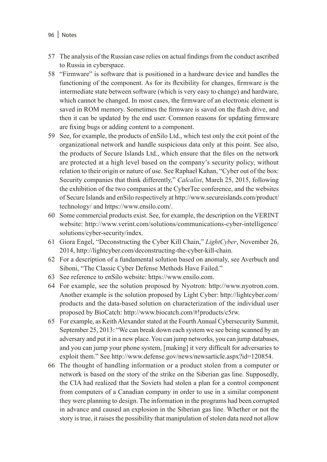- 96 | Notes
- 57 The analysis of the Russian case relies on actual findings from the conduct ascribed to Russia in cyberspace.
- 58 "Firmware" is software that is positioned in a hardware device and handles the functioning of the component. As for its flexibility for changes, firmware is the intermediate state between software (which is very easy to change) and hardware, which cannot be changed. In most cases, the firmware of an electronic element is saved in ROM memory. Sometimes the firmware is saved on the flash drive, and then it can be updated by the end user. Common reasons for updating firmware are fixing bugs or adding content to a component.
- 59 See, for example, the products of enSilo Ltd., which test only the exit point of the organizational network and handle suspicious data only at this point. See also, the products of Secure Islands Ltd., which ensure that the files on the network are protected at a high level based on the company's security policy, without relation to their origin or nature of use. See Raphael Kahan, "Cyber out of the box: Security companies that think differently," *Calcalist*, March 25, 2015, following the exhibition of the two companies at the CyberTec conference, and the websites of Secure Islands and enSilo respectively at http://www.secureislands.com/product/ technology/ and https://www.ensilo.com/.
- 60 Some commercial products exist. See, for example, the description on the VERINT website: http://www.verint.com/solutions/communications-cyber-intelligence/ solutions/cyber-security/index.
- 61 Giora Engel, "Deconstructing the Cyber Kill Chain," *LightCyber*, November 26, 2014, http://lightcyber.com/deconstructing-the-cyber-kill-chain.
- 62 For a description of a fundamental solution based on anomaly, see Averbuch and Siboni, "The Classic Cyber Defense Methods Have Failed."
- 63 See reference to enSilo website: https://www.ensilo.com.
- 64 For example, see the solution proposed by Nyotron: http://www.nyotron.com. Another example is the solution proposed by Light Cyber: http://lightcyber.com/ products and the data-based solution on characterization of the individual user proposed by BioCatch: http://www.biocatch.com/#!products/c5rw.
- 65 For example, as Keith Alexander stated at the Fourth Annual Cybersecurity Summit, September 25, 2013: "We can break down each system we see being scanned by an adversary and put it in a new place. You can jump networks, you can jump databases, and you can jump your phone system, [making] it very difficult for adversaries to exploit them." See http://www.defense.gov/news/newsarticle.aspx?id=120854.
- 66 The thought of handling information or a product stolen from a computer or network is based on the story of the strike on the Siberian gas line. Supposedly, the CIA had realized that the Soviets had stolen a plan for a control component from computers of a Canadian company in order to use in a similar component they were planning to design. The information in the programs had been corrupted in advance and caused an explosion in the Siberian gas line. Whether or not the story is true, it raises the possibility that manipulation of stolen data need not allow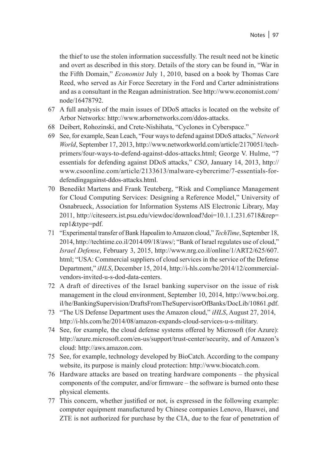the thief to use the stolen information successfully. The result need not be kinetic and overt as described in this story. Details of the story can be found in, "War in the Fifth Domain," *Economist* July 1, 2010, based on a book by Thomas Care Reed, who served as Air Force Secretary in the Ford and Carter administrations and as a consultant in the Reagan administration. See http://www.economist.com/ node/16478792.

- 67 A full analysis of the main issues of DDoS attacks is located on the website of Arbor Networks: http://www.arbornetworks.com/ddos-attacks.
- 68 Deibert, Rohozinski, and Crete-Nishihata, "Cyclones in Cyberspace."
- 69 See, for example, Sean Leach, "Four ways to defend against DDoS attacks," *Network World*, September 17, 2013, http://www.networkworld.com/article/2170051/techprimers/four-ways-to-defend-against-ddos-attacks.html; George V. Hulme, "7 essentials for defending against DDoS attacks," *CSO*, January 14, 2013, http:// www.csoonline.com/article/2133613/malware-cybercrime/7-essentials-fordefendingagainst-ddos-attacks.html.
- 70 Benedikt Martens and Frank Teuteberg, "Risk and Compliance Management for Cloud Computing Services: Designing a Reference Model," University of Osnabrueck, Association for Information Systems AIS Electronic Library, May 2011, http://citeseerx.ist.psu.edu/viewdoc/download?doi=10.1.1.231.6718&rep= rep1&type=pdf.
- 71 "Experimental transfer of Bank Hapoalim to Amazon cloud," *TechTime*, September 18, 2014, http://techtime.co.il/2014/09/18/aws/; "Bank of Israel regulates use of cloud," *Israel Defense*, February 3, 2015, http://www.nrg.co.il/online/1/ART2/625/607. html; "USA: Commercial suppliers of cloud services in the service of the Defense Department," *iHLS*, December 15, 2014, http://i-hls.com/he/2014/12/commercialvendors-invited-u-s-dod-data-centers.
- 72 A draft of directives of the Israel banking supervisor on the issue of risk management in the cloud environment, September 10, 2014, http://www.boi.org. il/he/BankingSupervision/DraftsFromTheSupervisorOfBanks/DocLib/10861.pdf.
- 73 "The US Defense Department uses the Amazon cloud," *iHLS*, August 27, 2014, http://i-hls.com/he/2014/08/amazon-expands-cloud-services-u-s-military.
- 74 See, for example, the cloud defense systems offered by Microsoft (for Azure): http://azure.microsoft.com/en-us/support/trust-center/security, and of Amazon's cloud: http://aws.amazon.com.
- 75 See, for example, technology developed by BioCatch. According to the company website, its purpose is mainly cloud protection: http://www.biocatch.com.
- 76 Hardware attacks are based on treating hardware components the physical components of the computer, and/or firmware – the software is burned onto these physical elements.
- 77 This concern, whether justified or not, is expressed in the following example: computer equipment manufactured by Chinese companies Lenovo, Huawei, and ZTE is not authorized for purchase by the CIA, due to the fear of penetration of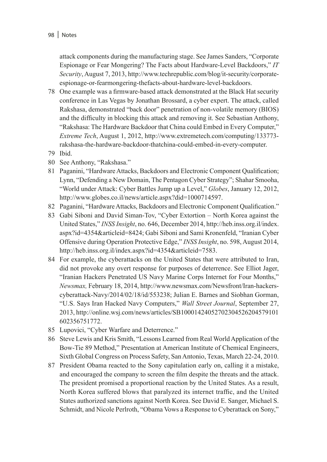attack components during the manufacturing stage. See James Sanders, "Corporate Espionage or Fear Mongering? The Facts about Hardware-Level Backdoors," *IT Security*, August 7, 2013, http://www.techrepublic.com/blog/it-security/corporateespionage-or-fearmongering-thefacts-about-hardware-level-backdoors.

- 78 One example was a firmware-based attack demonstrated at the Black Hat security conference in Las Vegas by Jonathan Brossard, a cyber expert. The attack, called Rakshasa, demonstrated "back door" penetration of non-volatile memory (BIOS) and the difficulty in blocking this attack and removing it. See Sebastian Anthony, "Rakshasa: The Hardware Backdoor that China could Embed in Every Computer," *Extreme Tech*, August 1, 2012, http://www.extremetech.com/computing/133773 rakshasa-the-hardware-backdoor-thatchina-could-embed-in-every-computer.
- 79 Ibid.
- 80 See Anthony, "Rakshasa."
- 81 Paganini, "Hardware Attacks, Backdoors and Electronic Component Qualification; Lynn, "Defending a New Domain, The Pentagon Cyber Strategy"; Shahar Smooha, "World under Attack: Cyber Battles Jump up a Level," *Globes*, January 12, 2012, http://www.globes.co.il/news/article.aspx?did=1000714597.
- 82 Paganini, "Hardware Attacks, Backdoors and Electronic Component Qualification."
- 83 Gabi Siboni and David Siman-Tov, "Cyber Extortion North Korea against the United States," *INSS Insight*, no. 646, December 2014, http://heb.inss.org.il/index. aspx?id=4354&articleid=8424; Gabi Siboni and Sami Kronenfeld, "Iranian Cyber Offensive during Operation Protective Edge," *INSS Insight*, no. 598, August 2014, http://heb.inss.org.il/index.aspx?id=4354&articleid=7583.
- 84 For example, the cyberattacks on the United States that were attributed to Iran, did not provoke any overt response for purposes of deterrence. See Elliot Jager, "Iranian Hackers Penetrated US Navy Marine Corps Internet for Four Months," *Newsmax,* February 18, 2014, http://www.newsmax.com/Newsfront/Iran-hackerscyberattack-Navy/2014/02/18/id/553238; Julian E. Barnes and Siobhan Gorman, "U.S. Says Iran Hacked Navy Computers," *Wall Street Journal*, September 27, 2013, http://online.wsj.com/news/articles/SB10001424052702304526204579101 602356751772.
- 85 Lupovici, "Cyber Warfare and Deterrence."
- 86 Steve Lewis and Kris Smith, "Lessons Learned from Real World Application of the Bow-Tie 89 Method," Presentation at American Institute of Chemical Engineers, Sixth Global Congress on Process Safety, San Antonio, Texas, March 22-24, 2010.
- 87 President Obama reacted to the Sony capitulation early on, calling it a mistake, and encouraged the company to screen the film despite the threats and the attack. The president promised a proportional reaction by the United States. As a result, North Korea suffered blows that paralyzed its internet traffic, and the United States authorized sanctions against North Korea. See David E. Sanger, Michael S. Schmidt, and Nicole Perlroth, "Obama Vows a Response to Cyberattack on Sony,"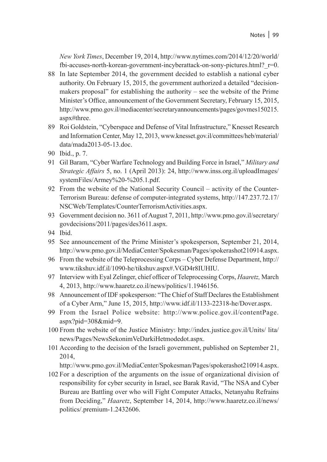*New York Times*, December 19, 2014, http://www.nytimes.com/2014/12/20/world/ fbi-accuses-north-korean-government-incyberattack-on-sony-pictures.html?\_r=0.

- 88 In late September 2014, the government decided to establish a national cyber authority. On February 15, 2015, the government authorized a detailed "decisionmakers proposal" for establishing the authority – see the website of the Prime Minister's Office, announcement of the Government Secretary, February 15, 2015, http://www.pmo.gov.il/mediacenter/secretaryannouncements/pages/govmes150215. aspx#three.
- 89 Roi Goldstein, "Cyberspace and Defense of Vital Infrastructure," Knesset Research and Information Center, May 12, 2013, www.knesset.gov.il/committees/heb/material/ data/mada2013-05-13.doc.
- 90 Ibid., p. 7.
- 91 Gil Baram, "Cyber Warfare Technology and Building Force in Israel," *Military and Strategic Affairs* 5, no. 1 (April 2013): 24, http://www.inss.org.il/uploadImages/ systemFiles/Armey%20-%205.1.pdf.
- 92 From the website of the National Security Council activity of the Counter-Terrorism Bureau: defense of computer-integrated systems, http://147.237.72.17/ NSCWeb/Templates/CounterTerrorismActivities.aspx.
- 93 Government decision no. 3611 of August 7, 2011, http://www.pmo.gov.il/secretary/ govdecisions/2011/pages/des3611.aspx.
- 94 Ibid.
- 95 See announcement of the Prime Minister's spokesperson, September 21, 2014, http://www.pmo.gov.il/MediaCenter/Spokesman/Pages/spokerashot210914.aspx.
- 96 From the website of the Teleprocessing Corps Cyber Defense Department, http:// www.tikshuv.idf.il/1090-he/tikshuv.aspx#.VGD4r8IUHIU.
- 97 Interview with Eyal Zelinger, chief officer of Teleprocessing Corps, *Haaretz,* March 4, 2013, http://www.haaretz.co.il/news/politics/1.1946156.
- 98 Announcement of IDF spokesperson: "The Chief of Staff Declares the Establishment of a Cyber Arm," June 15, 2015, http://www.idf.il/1133-22318-he/Dover.aspx.
- 99 From the Israel Police website: http://www.police.gov.il/contentPage. aspx?pid=308&mid=9.
- 100 From the website of the Justice Ministry: http://index.justice.gov.il/Units/ lita/ news/Pages/NewsSekonimVeDarkiHetmodedot.aspx.
- 101 According to the decision of the Israeli government, published on September 21, 2014,

http://www.pmo.gov.il/MediaCenter/Spokesman/Pages/spokerashot210914.aspx.

102 For a description of the arguments on the issue of organizational division of responsibility for cyber security in Israel, see Barak Ravid, "The NSA and Cyber Bureau are Battling over who will Fight Computer Attacks, Netanyahu Refrains from Deciding," *Haaretz*, September 14, 2014, http://www.haaretz.co.il/news/ politics/.premium-1.2432606.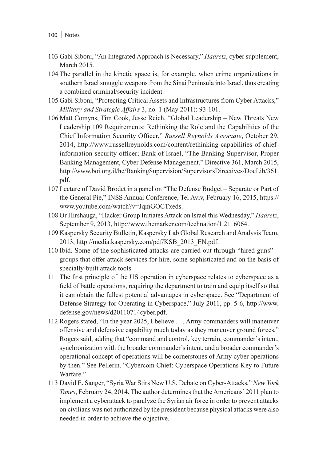- 103 Gabi Siboni, "An Integrated Approach is Necessary," *Haaretz*, cyber supplement, March 2015.
- 104 The parallel in the kinetic space is, for example, when crime organizations in southern Israel smuggle weapons from the Sinai Peninsula into Israel, thus creating a combined criminal/security incident.
- 105 Gabi Siboni, "Protecting Critical Assets and Infrastructures from Cyber Attacks," *Military and Strategic Affairs* 3, no. 1 (May 2011): 93-101.
- 106 Matt Comyns, Tim Cook, Jesse Reich, "Global Leadership New Threats New Leadership 109 Requirements: Rethinking the Role and the Capabilities of the Chief Information Security Officer," *Russell Reynolds Associate*, October 29, 2014, http://www.russellreynolds.com/content/rethinking-capabilities-of-chiefinformation-security-officer; Bank of Israel, "The Banking Supervisor, Proper Banking Management, Cyber Defense Management," Directive 361, March 2015, http://www.boi.org.il/he/BankingSupervision/SupervisorsDirectives/DocLib/361. pdf.
- 107 Lecture of David Brodet in a panel on "The Defense Budget Separate or Part of the General Pie," INSS Annual Conference, Tel Aviv, February 16, 2015, https:// www.youtube.com/watch?v=JqmGOCTxeds.
- 108 Or Hirshauga, "Hacker Group Initiates Attack on Israel this Wednesday," *Haaretz*, September 9, 2013, http://www.themarker.com/technation/1.2116064.
- 109 Kaspersky Security Bulletin, Kaspersky Lab Global Research and Analysis Team, 2013, http://media.kaspersky.com/pdf/KSB\_2013\_EN.pdf.
- 110 Ibid. Some of the sophisticated attacks are carried out through "hired guns" groups that offer attack services for hire, some sophisticated and on the basis of specially-built attack tools.
- 111 The first principle of the US operation in cyberspace relates to cyberspace as a field of battle operations, requiring the department to train and equip itself so that it can obtain the fullest potential advantages in cyberspace. See "Department of Defense Strategy for Operating in Cyberspace," July 2011, pp. 5-6, http://www. defense.gov/news/d20110714cyber.pdf.
- 112 Rogers stated, "In the year 2025, I believe . . . Army commanders will maneuver offensive and defensive capability much today as they maneuver ground forces," Rogers said, adding that "command and control, key terrain, commander's intent, synchronization with the broader commander's intent, and a broader commander's operational concept of operations will be cornerstones of Army cyber operations by then." See Pellerin, "Cybercom Chief: Cyberspace Operations Key to Future Warfare."
- 113 David E. Sanger, "Syria War Stirs New U.S. Debate on Cyber-Attacks," *New York Times*, February 24, 2014. The author determines that the Americans' 2011 plan to implement a cyberattack to paralyze the Syrian air force in order to prevent attacks on civilians was not authorized by the president because physical attacks were also needed in order to achieve the objective.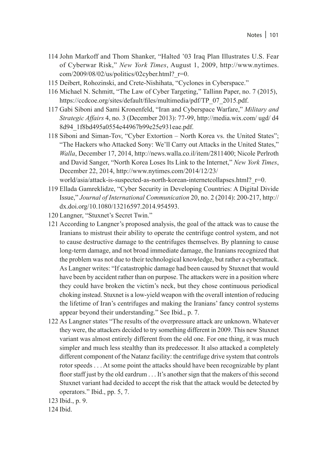- 114 John Markoff and Thom Shanker, "Halted '03 Iraq Plan Illustrates U.S. Fear of Cyberwar Risk," *New York Times*, August 1, 2009, http://www.nytimes. com/2009/08/02/us/politics/02cyber.html? r=0.
- 115 Deibert, Rohozinski, and Crete-Nishihata, "Cyclones in Cyberspace."
- 116 Michael N. Schmitt, "The Law of Cyber Targeting," Tallinn Paper, no. 7 (2015), https://ccdcoe.org/sites/default/files/multimedia/pdf/TP\_07\_2015.pdf.
- 117 Gabi Siboni and Sami Kronenfeld, "Iran and Cyberspace Warfare," *Military and Strategic Affairs* 4, no. 3 (December 2013): 77-99, http://media.wix.com/ ugd/ d4 8d94\_1f8bd495a0554e44967b99e25e931eae.pdf.
- 118 Siboni and Siman-Tov, "Cyber Extortion North Korea vs. the United States"; "The Hackers who Attacked Sony: We'll Carry out Attacks in the United States," *Walla*, December 17, 2014, http://news.walla.co.il/item/2811400; Nicole Perlroth and David Sanger, "North Korea Loses Its Link to the Internet," *New York Times*, December 22, 2014, http://www.nytimes.com/2014/12/23/ world/asia/attack-is-suspected-as-north-korean-internetcollapses.html? r=0.
- 119 Ellada Gamreklidze, "Cyber Security in Developing Countries: A Digital Divide Issue," *Journal of International Communication* 20, no. 2 (2014): 200-217, http:// dx.doi.org/10.1080/13216597.2014.954593.
- 120 Langner, "Stuxnet's Secret Twin."
- 121 According to Langner's proposed analysis, the goal of the attack was to cause the Iranians to mistrust their ability to operate the centrifuge control system, and not to cause destructive damage to the centrifuges themselves. By planning to cause long-term damage, and not broad immediate damage, the Iranians recognized that the problem was not due to their technological knowledge, but rather a cyberattack. As Langner writes: "If catastrophic damage had been caused by Stuxnet that would have been by accident rather than on purpose. The attackers were in a position where they could have broken the victim's neck, but they chose continuous periodical choking instead. Stuxnet is a low-yield weapon with the overall intention of reducing the lifetime of Iran's centrifuges and making the Iranians' fancy control systems appear beyond their understanding." See Ibid., p. 7.
- 122 As Langner states "The results of the overpressure attack are unknown. Whatever they were, the attackers decided to try something different in 2009. This new Stuxnet variant was almost entirely different from the old one. For one thing, it was much simpler and much less stealthy than its predecessor. It also attacked a completely different component of the Natanz facility: the centrifuge drive system that controls rotor speeds . . . At some point the attacks should have been recognizable by plant floor staff just by the old eardrum . . . It's another sign that the makers of this second Stuxnet variant had decided to accept the risk that the attack would be detected by operators." Ibid., pp. 5, 7.

123 Ibid., p. 9.

124 Ibid.